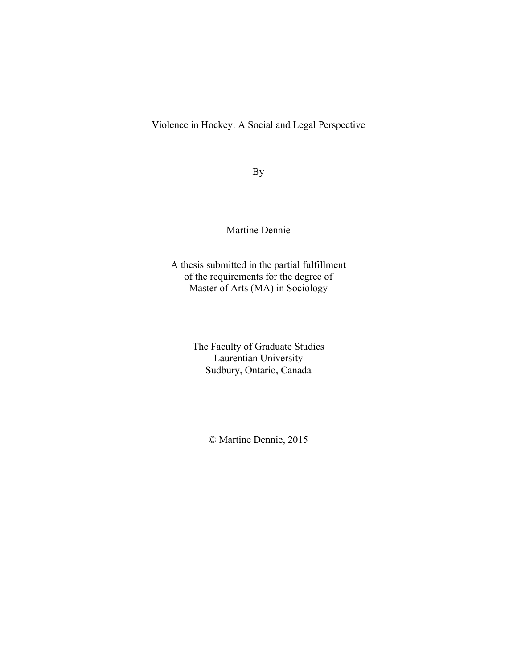Violence in Hockey: A Social and Legal Perspective

By

### Martine Dennie

A thesis submitted in the partial fulfillment of the requirements for the degree of Master of Arts (MA) in Sociology

> The Faculty of Graduate Studies Laurentian University Sudbury, Ontario, Canada

> > © Martine Dennie, 2015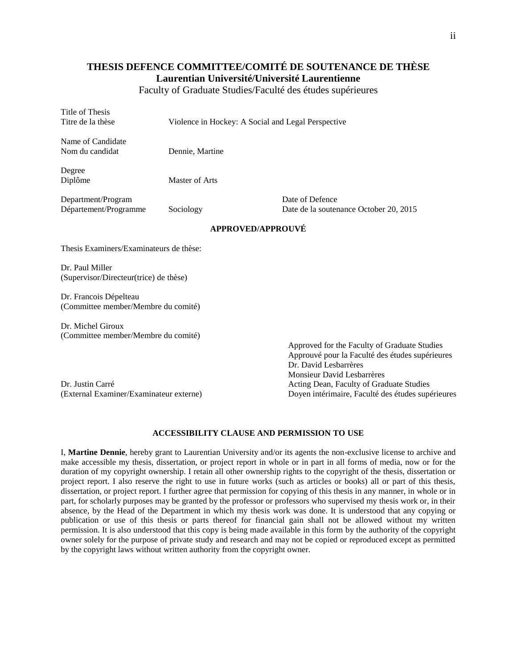#### **THESIS DEFENCE COMMITTEE/COMITÉ DE SOUTENANCE DE THÈSE Laurentian Université/Université Laurentienne**

Faculty of Graduate Studies/Faculté des études supérieures

| Title of Thesis<br>Titre de la thèse                          | Violence in Hockey: A Social and Legal Perspective |                                                           |  |  |
|---------------------------------------------------------------|----------------------------------------------------|-----------------------------------------------------------|--|--|
| Name of Candidate<br>Nom du candidat                          | Dennie, Martine                                    |                                                           |  |  |
| Degree<br>Diplôme                                             | Master of Arts                                     |                                                           |  |  |
| Department/Program<br>Département/Programme                   | Sociology                                          | Date of Defence<br>Date de la soutenance October 20, 2015 |  |  |
| <b>APPROVED/APPROUVÉ</b>                                      |                                                    |                                                           |  |  |
| Thesis Examiners/Examinateurs de thèse:                       |                                                    |                                                           |  |  |
| Dr. Paul Miller<br>(Supervisor/Directeur(trice) de thèse)     |                                                    |                                                           |  |  |
| Dr. Francois Dépelteau<br>(Committee member/Membre du comité) |                                                    |                                                           |  |  |
| Dr. Michel Giroux<br>(Committee member/Membre du comité)      |                                                    |                                                           |  |  |

Dr. Justin Carré **Acting Dean, Faculty of Graduate Studies** 

Approved for the Faculty of Graduate Studies Approuvé pour la Faculté des études supérieures Dr. David Lesbarrères Monsieur David Lesbarrères (External Examiner/Examinateur externe) Doyen intérimaire, Faculté des études supérieures

#### **ACCESSIBILITY CLAUSE AND PERMISSION TO USE**

I, **Martine Dennie**, hereby grant to Laurentian University and/or its agents the non-exclusive license to archive and make accessible my thesis, dissertation, or project report in whole or in part in all forms of media, now or for the duration of my copyright ownership. I retain all other ownership rights to the copyright of the thesis, dissertation or project report. I also reserve the right to use in future works (such as articles or books) all or part of this thesis, dissertation, or project report. I further agree that permission for copying of this thesis in any manner, in whole or in part, for scholarly purposes may be granted by the professor or professors who supervised my thesis work or, in their absence, by the Head of the Department in which my thesis work was done. It is understood that any copying or publication or use of this thesis or parts thereof for financial gain shall not be allowed without my written permission. It is also understood that this copy is being made available in this form by the authority of the copyright owner solely for the purpose of private study and research and may not be copied or reproduced except as permitted by the copyright laws without written authority from the copyright owner.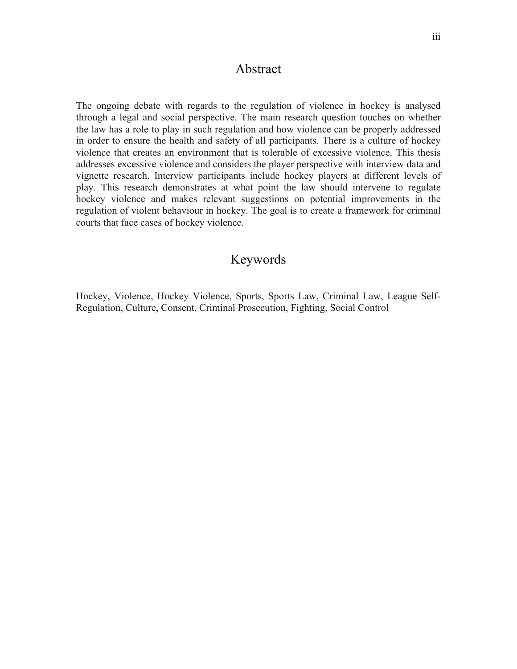### Abstract

The ongoing debate with regards to the regulation of violence in hockey is analysed through a legal and social perspective. The main research question touches on whether the law has a role to play in such regulation and how violence can be properly addressed in order to ensure the health and safety of all participants. There is a culture of hockey violence that creates an environment that is tolerable of excessive violence. This thesis addresses excessive violence and considers the player perspective with interview data and vignette research. Interview participants include hockey players at different levels of play. This research demonstrates at what point the law should intervene to regulate hockey violence and makes relevant suggestions on potential improvements in the regulation of violent behaviour in hockey. The goal is to create a framework for criminal courts that face cases of hockey violence.

## Keywords

Hockey, Violence, Hockey Violence, Sports, Sports Law, Criminal Law, League Self-Regulation, Culture, Consent, Criminal Prosecution, Fighting, Social Control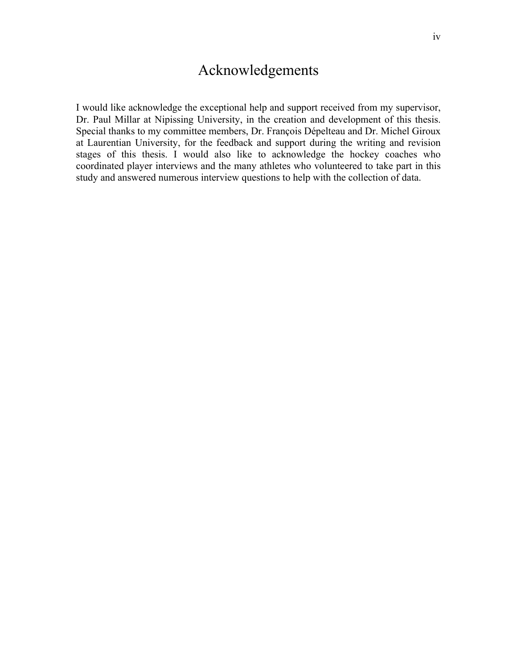# Acknowledgements

I would like acknowledge the exceptional help and support received from my supervisor, Dr. Paul Millar at Nipissing University, in the creation and development of this thesis. Special thanks to my committee members, Dr. François Dépelteau and Dr. Michel Giroux at Laurentian University, for the feedback and support during the writing and revision stages of this thesis. I would also like to acknowledge the hockey coaches who coordinated player interviews and the many athletes who volunteered to take part in this study and answered numerous interview questions to help with the collection of data.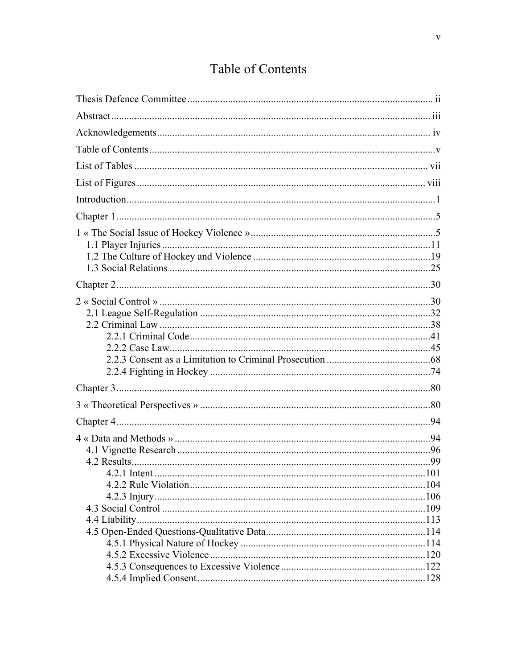# Table of Contents

| 4.2.1 Intent | 101 |
|--------------|-----|
|              |     |
|              |     |
|              |     |
|              |     |
|              |     |
|              |     |
|              |     |
|              |     |
|              |     |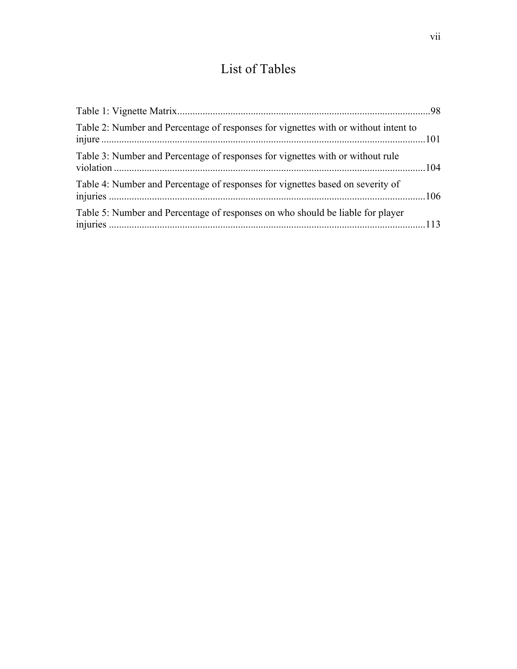# List of Tables

| Table 2: Number and Percentage of responses for vignettes with or without intent to |  |
|-------------------------------------------------------------------------------------|--|
| Table 3: Number and Percentage of responses for vignettes with or without rule      |  |
| Table 4: Number and Percentage of responses for vignettes based on severity of      |  |
| Table 5: Number and Percentage of responses on who should be liable for player      |  |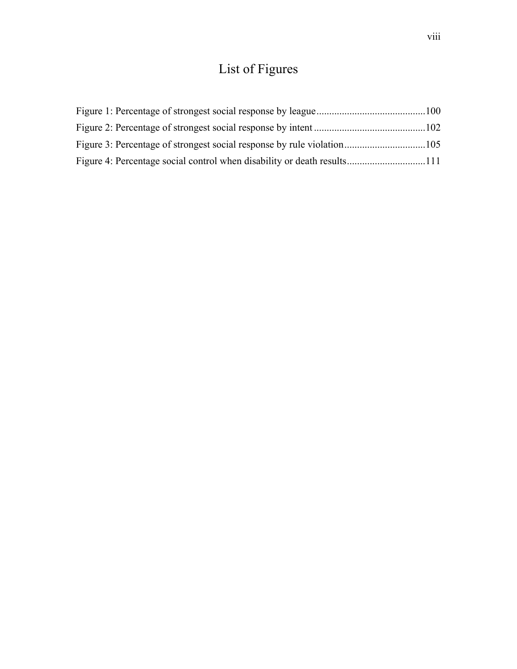# List of Figures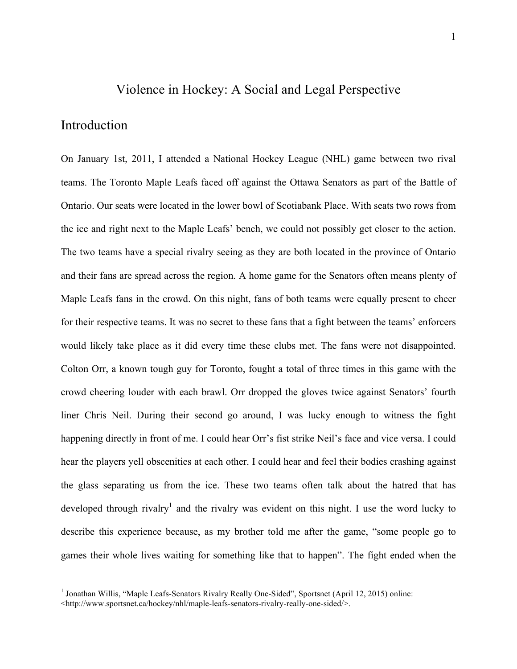## Violence in Hockey: A Social and Legal Perspective

#### Introduction

On January 1st, 2011, I attended a National Hockey League (NHL) game between two rival teams. The Toronto Maple Leafs faced off against the Ottawa Senators as part of the Battle of Ontario. Our seats were located in the lower bowl of Scotiabank Place. With seats two rows from the ice and right next to the Maple Leafs' bench, we could not possibly get closer to the action. The two teams have a special rivalry seeing as they are both located in the province of Ontario and their fans are spread across the region. A home game for the Senators often means plenty of Maple Leafs fans in the crowd. On this night, fans of both teams were equally present to cheer for their respective teams. It was no secret to these fans that a fight between the teams' enforcers would likely take place as it did every time these clubs met. The fans were not disappointed. Colton Orr, a known tough guy for Toronto, fought a total of three times in this game with the crowd cheering louder with each brawl. Orr dropped the gloves twice against Senators' fourth liner Chris Neil. During their second go around, I was lucky enough to witness the fight happening directly in front of me. I could hear Orr's fist strike Neil's face and vice versa. I could hear the players yell obscenities at each other. I could hear and feel their bodies crashing against the glass separating us from the ice. These two teams often talk about the hatred that has developed through rivalry<sup>1</sup> and the rivalry was evident on this night. I use the word lucky to describe this experience because, as my brother told me after the game, "some people go to games their whole lives waiting for something like that to happen". The fight ended when the

<sup>&</sup>lt;sup>1</sup> Jonathan Willis, "Maple Leafs-Senators Rivalry Really One-Sided", Sportsnet (April 12, 2015) online:

<sup>&</sup>lt;http://www.sportsnet.ca/hockey/nhl/maple-leafs-senators-rivalry-really-one-sided/>.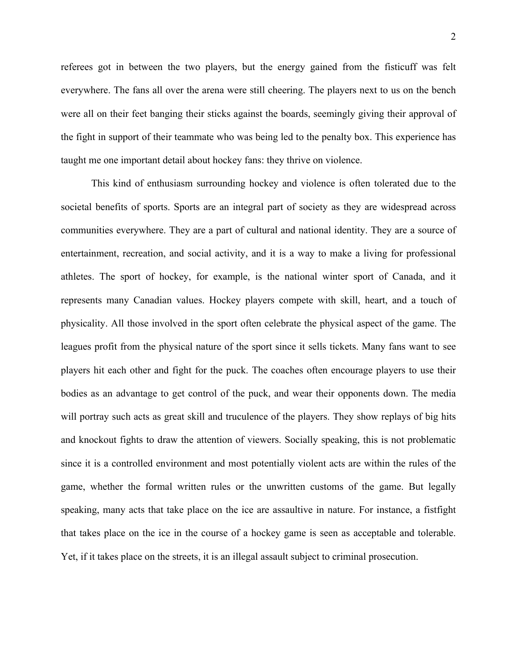referees got in between the two players, but the energy gained from the fisticuff was felt everywhere. The fans all over the arena were still cheering. The players next to us on the bench were all on their feet banging their sticks against the boards, seemingly giving their approval of the fight in support of their teammate who was being led to the penalty box. This experience has taught me one important detail about hockey fans: they thrive on violence.

This kind of enthusiasm surrounding hockey and violence is often tolerated due to the societal benefits of sports. Sports are an integral part of society as they are widespread across communities everywhere. They are a part of cultural and national identity. They are a source of entertainment, recreation, and social activity, and it is a way to make a living for professional athletes. The sport of hockey, for example, is the national winter sport of Canada, and it represents many Canadian values. Hockey players compete with skill, heart, and a touch of physicality. All those involved in the sport often celebrate the physical aspect of the game. The leagues profit from the physical nature of the sport since it sells tickets. Many fans want to see players hit each other and fight for the puck. The coaches often encourage players to use their bodies as an advantage to get control of the puck, and wear their opponents down. The media will portray such acts as great skill and truculence of the players. They show replays of big hits and knockout fights to draw the attention of viewers. Socially speaking, this is not problematic since it is a controlled environment and most potentially violent acts are within the rules of the game, whether the formal written rules or the unwritten customs of the game. But legally speaking, many acts that take place on the ice are assaultive in nature. For instance, a fistfight that takes place on the ice in the course of a hockey game is seen as acceptable and tolerable. Yet, if it takes place on the streets, it is an illegal assault subject to criminal prosecution.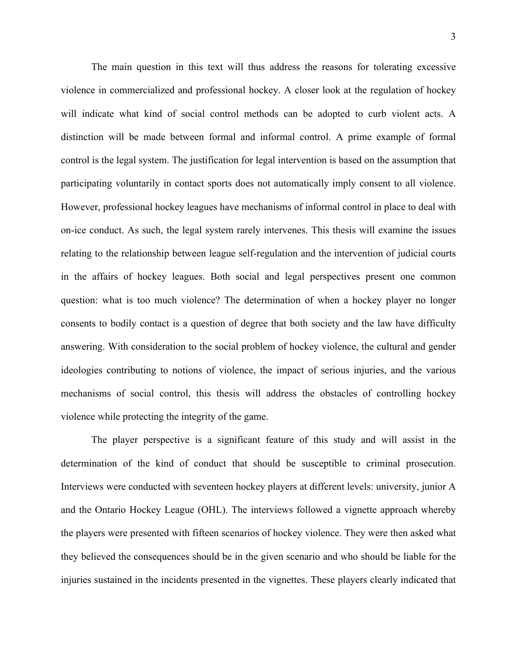The main question in this text will thus address the reasons for tolerating excessive violence in commercialized and professional hockey. A closer look at the regulation of hockey will indicate what kind of social control methods can be adopted to curb violent acts. A distinction will be made between formal and informal control. A prime example of formal control is the legal system. The justification for legal intervention is based on the assumption that participating voluntarily in contact sports does not automatically imply consent to all violence. However, professional hockey leagues have mechanisms of informal control in place to deal with on-ice conduct. As such, the legal system rarely intervenes. This thesis will examine the issues relating to the relationship between league self-regulation and the intervention of judicial courts in the affairs of hockey leagues. Both social and legal perspectives present one common question: what is too much violence? The determination of when a hockey player no longer consents to bodily contact is a question of degree that both society and the law have difficulty answering. With consideration to the social problem of hockey violence, the cultural and gender ideologies contributing to notions of violence, the impact of serious injuries, and the various mechanisms of social control, this thesis will address the obstacles of controlling hockey violence while protecting the integrity of the game.

The player perspective is a significant feature of this study and will assist in the determination of the kind of conduct that should be susceptible to criminal prosecution. Interviews were conducted with seventeen hockey players at different levels: university, junior A and the Ontario Hockey League (OHL). The interviews followed a vignette approach whereby the players were presented with fifteen scenarios of hockey violence. They were then asked what they believed the consequences should be in the given scenario and who should be liable for the injuries sustained in the incidents presented in the vignettes. These players clearly indicated that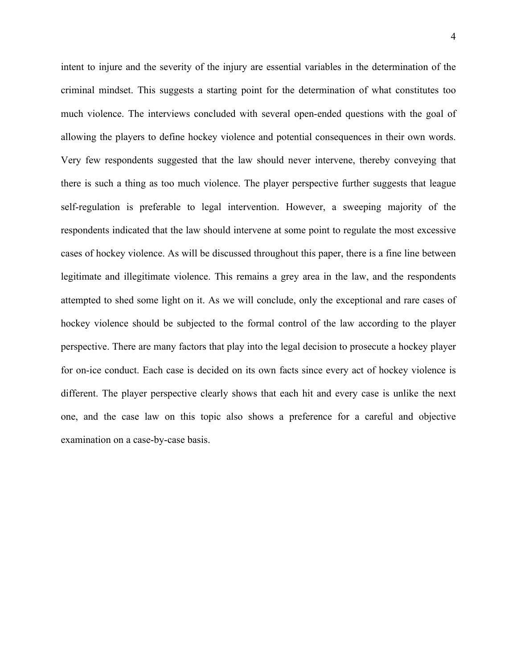intent to injure and the severity of the injury are essential variables in the determination of the criminal mindset. This suggests a starting point for the determination of what constitutes too much violence. The interviews concluded with several open-ended questions with the goal of allowing the players to define hockey violence and potential consequences in their own words. Very few respondents suggested that the law should never intervene, thereby conveying that there is such a thing as too much violence. The player perspective further suggests that league self-regulation is preferable to legal intervention. However, a sweeping majority of the respondents indicated that the law should intervene at some point to regulate the most excessive cases of hockey violence. As will be discussed throughout this paper, there is a fine line between legitimate and illegitimate violence. This remains a grey area in the law, and the respondents attempted to shed some light on it. As we will conclude, only the exceptional and rare cases of hockey violence should be subjected to the formal control of the law according to the player perspective. There are many factors that play into the legal decision to prosecute a hockey player for on-ice conduct. Each case is decided on its own facts since every act of hockey violence is different. The player perspective clearly shows that each hit and every case is unlike the next one, and the case law on this topic also shows a preference for a careful and objective examination on a case-by-case basis.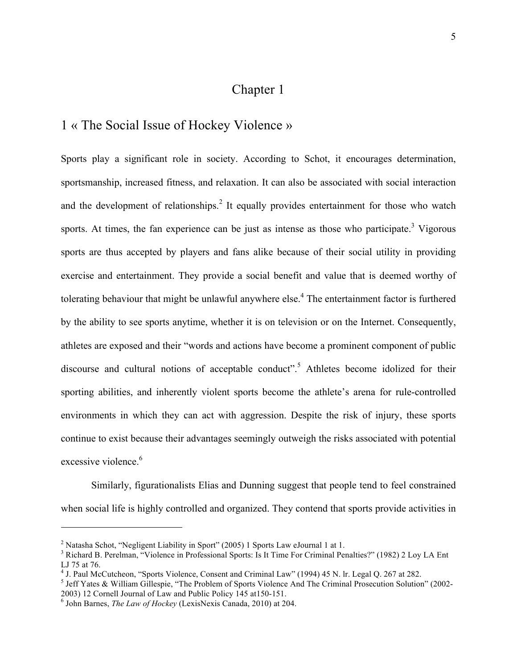## Chapter 1

### 1 « The Social Issue of Hockey Violence »

Sports play a significant role in society. According to Schot, it encourages determination, sportsmanship, increased fitness, and relaxation. It can also be associated with social interaction and the development of relationships.<sup>2</sup> It equally provides entertainment for those who watch sports. At times, the fan experience can be just as intense as those who participate. $3$  Vigorous sports are thus accepted by players and fans alike because of their social utility in providing exercise and entertainment. They provide a social benefit and value that is deemed worthy of tolerating behaviour that might be unlawful anywhere else.<sup>4</sup> The entertainment factor is furthered by the ability to see sports anytime, whether it is on television or on the Internet. Consequently, athletes are exposed and their "words and actions have become a prominent component of public discourse and cultural notions of acceptable conduct".<sup>5</sup> Athletes become idolized for their sporting abilities, and inherently violent sports become the athlete's arena for rule-controlled environments in which they can act with aggression. Despite the risk of injury, these sports continue to exist because their advantages seemingly outweigh the risks associated with potential excessive violence<sup>6</sup>

Similarly, figurationalists Elias and Dunning suggest that people tend to feel constrained when social life is highly controlled and organized. They contend that sports provide activities in

<sup>&</sup>lt;sup>2</sup> Natasha Schot, "Negligent Liability in Sport" (2005) 1 Sports Law eJournal 1 at 1.<br><sup>3</sup> Bisbard B. Barelman, "Violance in Brafassional Sports: Is It Time For Criminal Bar

<sup>&</sup>lt;sup>3</sup> Richard B. Perelman, "Violence in Professional Sports: Is It Time For Criminal Penalties?" (1982) 2 Loy LA Ent LJ 75 at 76.

<sup>&</sup>lt;sup>4</sup> J. Paul McCutcheon, "Sports Violence, Consent and Criminal Law" (1994) 45 N. lr. Legal Q. 267 at 282.

<sup>&</sup>lt;sup>5</sup> Jeff Yates & William Gillespie, "The Problem of Sports Violence And The Criminal Prosecution Solution" (2002-2003) 12 Cornell Journal of Law and Public Policy 145 at150-151. <sup>6</sup>

John Barnes, *The Law of Hockey* (LexisNexis Canada, 2010) at 204.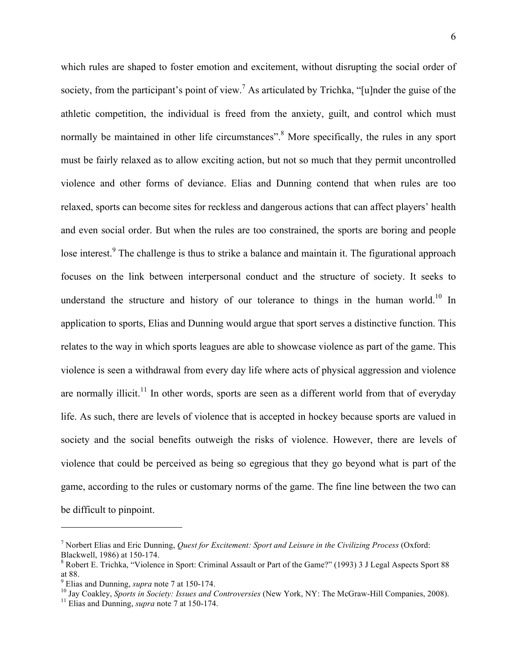which rules are shaped to foster emotion and excitement, without disrupting the social order of society, from the participant's point of view.<sup>7</sup> As articulated by Trichka, "[u]nder the guise of the athletic competition, the individual is freed from the anxiety, guilt, and control which must normally be maintained in other life circumstances".<sup>8</sup> More specifically, the rules in any sport must be fairly relaxed as to allow exciting action, but not so much that they permit uncontrolled violence and other forms of deviance. Elias and Dunning contend that when rules are too relaxed, sports can become sites for reckless and dangerous actions that can affect players' health and even social order. But when the rules are too constrained, the sports are boring and people lose interest.<sup>9</sup> The challenge is thus to strike a balance and maintain it. The figurational approach focuses on the link between interpersonal conduct and the structure of society. It seeks to understand the structure and history of our tolerance to things in the human world.<sup>10</sup> In application to sports, Elias and Dunning would argue that sport serves a distinctive function. This relates to the way in which sports leagues are able to showcase violence as part of the game. This violence is seen a withdrawal from every day life where acts of physical aggression and violence are normally illicit.<sup>11</sup> In other words, sports are seen as a different world from that of everyday life. As such, there are levels of violence that is accepted in hockey because sports are valued in society and the social benefits outweigh the risks of violence. However, there are levels of violence that could be perceived as being so egregious that they go beyond what is part of the game, according to the rules or customary norms of the game. The fine line between the two can be difficult to pinpoint.

<sup>7</sup> Norbert Elias and Eric Dunning, *Quest for Excitement: Sport and Leisure in the Civilizing Process* (Oxford: Blackwell, 1986) at 150-174. <sup>8</sup>

 $8$  Robert E. Trichka, "Violence in Sport: Criminal Assault or Part of the Game?" (1993) 3 J Legal Aspects Sport 88 at 88.

 $9$  Elias and Dunning, *supra* note 7 at 150-174.

<sup>&</sup>lt;sup>10</sup> Jay Coakley, *Sports in Society: Issues and Controversies* (New York, NY: The McGraw-Hill Companies, 2008).<br><sup>11</sup> Elias and Dunning, *supra* note 7 at 150-174.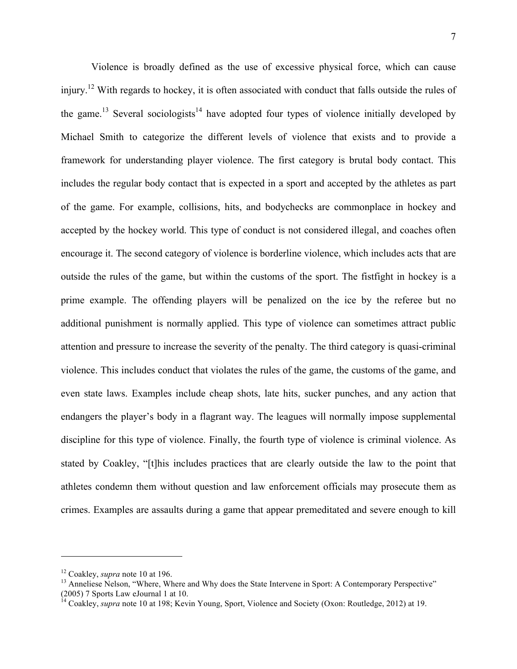Violence is broadly defined as the use of excessive physical force, which can cause injury.<sup>12</sup> With regards to hockey, it is often associated with conduct that falls outside the rules of the game.<sup>13</sup> Several sociologists<sup>14</sup> have adopted four types of violence initially developed by Michael Smith to categorize the different levels of violence that exists and to provide a framework for understanding player violence. The first category is brutal body contact. This includes the regular body contact that is expected in a sport and accepted by the athletes as part of the game. For example, collisions, hits, and bodychecks are commonplace in hockey and accepted by the hockey world. This type of conduct is not considered illegal, and coaches often encourage it. The second category of violence is borderline violence, which includes acts that are outside the rules of the game, but within the customs of the sport. The fistfight in hockey is a prime example. The offending players will be penalized on the ice by the referee but no additional punishment is normally applied. This type of violence can sometimes attract public attention and pressure to increase the severity of the penalty. The third category is quasi-criminal violence. This includes conduct that violates the rules of the game, the customs of the game, and even state laws. Examples include cheap shots, late hits, sucker punches, and any action that endangers the player's body in a flagrant way. The leagues will normally impose supplemental discipline for this type of violence. Finally, the fourth type of violence is criminal violence. As stated by Coakley, "[t]his includes practices that are clearly outside the law to the point that athletes condemn them without question and law enforcement officials may prosecute them as crimes. Examples are assaults during a game that appear premeditated and severe enough to kill

<sup>&</sup>lt;sup>12</sup> Coakley, *supra* note 10 at 196.<br><sup>13</sup> Anneliese Nelson, "Where, Where and Why does the State Intervene in Sport: A Contemporary Perspective" (2005) 7 Sports Law eJournal 1 at 10.

<sup>&</sup>lt;sup>14</sup> Coakley, *supra* note 10 at 198; Kevin Young, Sport, Violence and Society (Oxon: Routledge, 2012) at 19.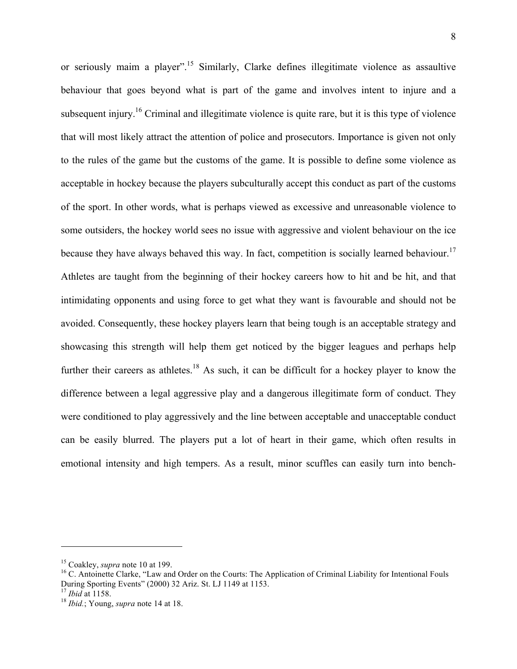or seriously maim a player".<sup>15</sup> Similarly, Clarke defines illegitimate violence as assaultive behaviour that goes beyond what is part of the game and involves intent to injure and a subsequent injury.<sup>16</sup> Criminal and illegitimate violence is quite rare, but it is this type of violence that will most likely attract the attention of police and prosecutors. Importance is given not only to the rules of the game but the customs of the game. It is possible to define some violence as acceptable in hockey because the players subculturally accept this conduct as part of the customs of the sport. In other words, what is perhaps viewed as excessive and unreasonable violence to some outsiders, the hockey world sees no issue with aggressive and violent behaviour on the ice because they have always behaved this way. In fact, competition is socially learned behaviour.<sup>17</sup> Athletes are taught from the beginning of their hockey careers how to hit and be hit, and that intimidating opponents and using force to get what they want is favourable and should not be avoided. Consequently, these hockey players learn that being tough is an acceptable strategy and showcasing this strength will help them get noticed by the bigger leagues and perhaps help further their careers as athletes.<sup>18</sup> As such, it can be difficult for a hockey player to know the difference between a legal aggressive play and a dangerous illegitimate form of conduct. They were conditioned to play aggressively and the line between acceptable and unacceptable conduct can be easily blurred. The players put a lot of heart in their game, which often results in emotional intensity and high tempers. As a result, minor scuffles can easily turn into bench-

<sup>&</sup>lt;sup>15</sup> Coakley, *supra* note 10 at 199.<br><sup>16</sup> C. Antoinette Clarke, "Law and Order on the Courts: The Application of Criminal Liability for Intentional Fouls During Sporting Events" (2000) 32 Ariz. St. LJ 1149 at 1153. 17 *Ibid* at 1158. <sup>18</sup> *Ibid.*; Young, *supra* note 14 at 18.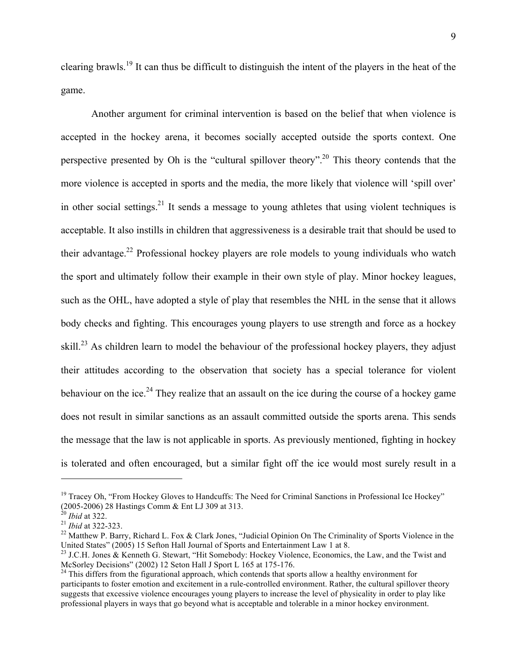clearing brawls.19 It can thus be difficult to distinguish the intent of the players in the heat of the game.

Another argument for criminal intervention is based on the belief that when violence is accepted in the hockey arena, it becomes socially accepted outside the sports context. One perspective presented by Oh is the "cultural spillover theory".20 This theory contends that the more violence is accepted in sports and the media, the more likely that violence will 'spill over' in other social settings.<sup>21</sup> It sends a message to young athletes that using violent techniques is acceptable. It also instills in children that aggressiveness is a desirable trait that should be used to their advantage.22 Professional hockey players are role models to young individuals who watch the sport and ultimately follow their example in their own style of play. Minor hockey leagues, such as the OHL, have adopted a style of play that resembles the NHL in the sense that it allows body checks and fighting. This encourages young players to use strength and force as a hockey skill.<sup>23</sup> As children learn to model the behaviour of the professional hockey players, they adjust their attitudes according to the observation that society has a special tolerance for violent behaviour on the ice.<sup>24</sup> They realize that an assault on the ice during the course of a hockey game does not result in similar sanctions as an assault committed outside the sports arena. This sends the message that the law is not applicable in sports. As previously mentioned, fighting in hockey is tolerated and often encouraged, but a similar fight off the ice would most surely result in a

<sup>&</sup>lt;sup>19</sup> Tracey Oh, "From Hockey Gloves to Handcuffs: The Need for Criminal Sanctions in Professional Ice Hockey" (2005-2006) 28 Hastings Comm & Ent LJ 309 at 313.<br><sup>20</sup> *Ibid* at 322.

<sup>&</sup>lt;sup>21</sup> *Ibid* at 322-323.<br><sup>22</sup> Matthew P. Barry, Richard L. Fox & Clark Jones, "Judicial Opinion On The Criminality of Sports Violence in the<br>United States" (2005) 15 Sefton Hall Journal of Sports and Entertainment Law 1 at

<sup>&</sup>lt;sup>23</sup> J.C.H. Jones & Kenneth G. Stewart, "Hit Somebody: Hockey Violence, Economics, the Law, and the Twist and McSorley Decisions" (2002) 12 Seton Hall J Sport L 165 at 175-176.

<sup>&</sup>lt;sup>24</sup> This differs from the figurational approach, which contends that sports allow a healthy environment for participants to foster emotion and excitement in a rule-controlled environment. Rather, the cultural spillover theory suggests that excessive violence encourages young players to increase the level of physicality in order to play like professional players in ways that go beyond what is acceptable and tolerable in a minor hockey environment.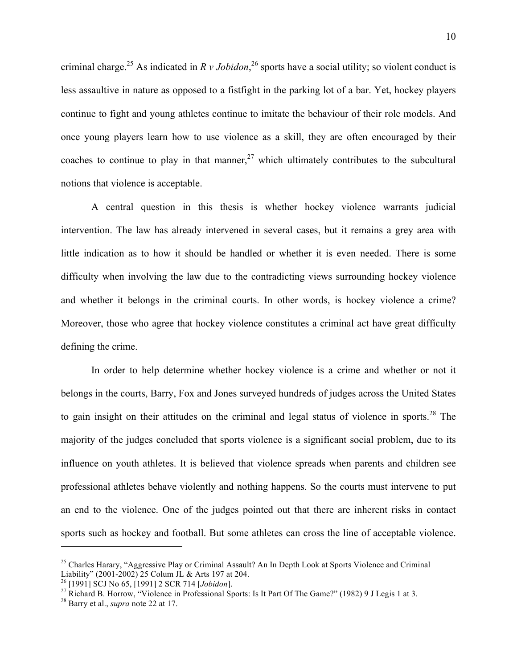criminal charge.<sup>25</sup> As indicated in  $R v$  *Jobidon*,<sup>26</sup> sports have a social utility; so violent conduct is less assaultive in nature as opposed to a fistfight in the parking lot of a bar. Yet, hockey players continue to fight and young athletes continue to imitate the behaviour of their role models. And once young players learn how to use violence as a skill, they are often encouraged by their coaches to continue to play in that manner,  $27$  which ultimately contributes to the subcultural notions that violence is acceptable.

A central question in this thesis is whether hockey violence warrants judicial intervention. The law has already intervened in several cases, but it remains a grey area with little indication as to how it should be handled or whether it is even needed. There is some difficulty when involving the law due to the contradicting views surrounding hockey violence and whether it belongs in the criminal courts. In other words, is hockey violence a crime? Moreover, those who agree that hockey violence constitutes a criminal act have great difficulty defining the crime.

In order to help determine whether hockey violence is a crime and whether or not it belongs in the courts, Barry, Fox and Jones surveyed hundreds of judges across the United States to gain insight on their attitudes on the criminal and legal status of violence in sports.<sup>28</sup> The majority of the judges concluded that sports violence is a significant social problem, due to its influence on youth athletes. It is believed that violence spreads when parents and children see professional athletes behave violently and nothing happens. So the courts must intervene to put an end to the violence. One of the judges pointed out that there are inherent risks in contact sports such as hockey and football. But some athletes can cross the line of acceptable violence.

<sup>&</sup>lt;sup>25</sup> Charles Harary, "Aggressive Play or Criminal Assault? An In Depth Look at Sports Violence and Criminal Liability" (2001-2002) 25 Colum JL & Arts 197 at 204.

<sup>26 [1991]</sup> SCJ No 65, [1991] 2 SCR 714 [*Jobidon*].<br><sup>27</sup> Richard B. Horrow, "Violence in Professional Sports: Is It Part Of The Game?" (1982) 9 J Legis 1 at 3.

<sup>28</sup> Barry et al., *supra* note 22 at 17.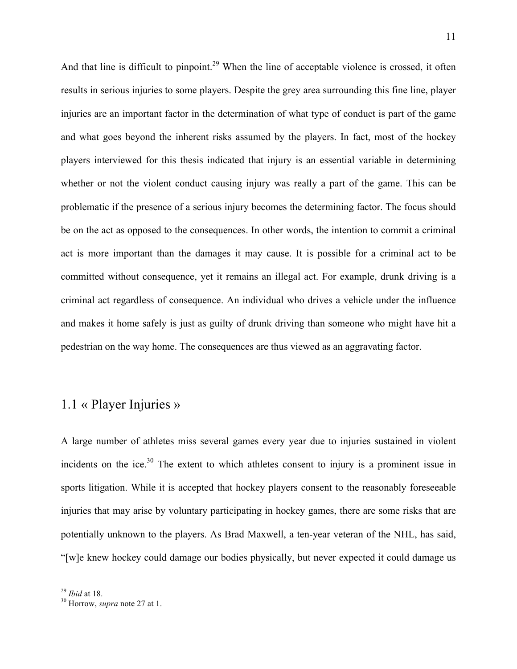And that line is difficult to pinpoint.<sup>29</sup> When the line of acceptable violence is crossed, it often results in serious injuries to some players. Despite the grey area surrounding this fine line, player injuries are an important factor in the determination of what type of conduct is part of the game and what goes beyond the inherent risks assumed by the players. In fact, most of the hockey players interviewed for this thesis indicated that injury is an essential variable in determining whether or not the violent conduct causing injury was really a part of the game. This can be problematic if the presence of a serious injury becomes the determining factor. The focus should be on the act as opposed to the consequences. In other words, the intention to commit a criminal act is more important than the damages it may cause. It is possible for a criminal act to be committed without consequence, yet it remains an illegal act. For example, drunk driving is a criminal act regardless of consequence. An individual who drives a vehicle under the influence and makes it home safely is just as guilty of drunk driving than someone who might have hit a pedestrian on the way home. The consequences are thus viewed as an aggravating factor.

### 1.1 « Player Injuries »

A large number of athletes miss several games every year due to injuries sustained in violent incidents on the ice.<sup>30</sup> The extent to which athletes consent to injury is a prominent issue in sports litigation. While it is accepted that hockey players consent to the reasonably foreseeable injuries that may arise by voluntary participating in hockey games, there are some risks that are potentially unknown to the players. As Brad Maxwell, a ten-year veteran of the NHL, has said, "[w]e knew hockey could damage our bodies physically, but never expected it could damage us

<sup>29</sup> *Ibid* at 18. 30 Horrow, *supra* note 27 at 1.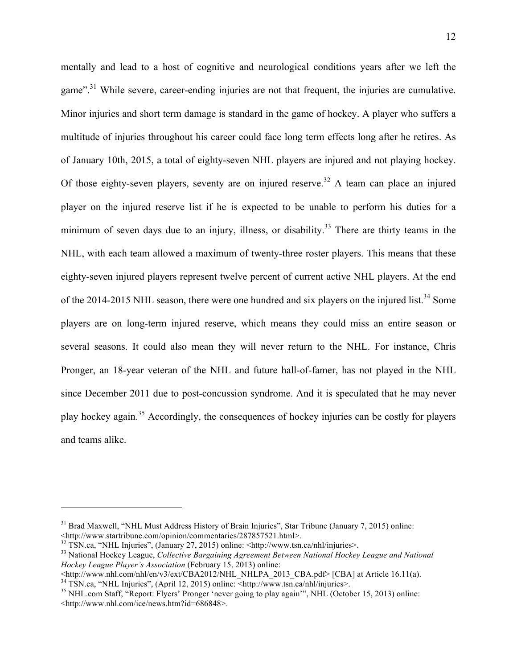mentally and lead to a host of cognitive and neurological conditions years after we left the game"<sup>31</sup>. While severe, career-ending injuries are not that frequent, the injuries are cumulative. Minor injuries and short term damage is standard in the game of hockey. A player who suffers a multitude of injuries throughout his career could face long term effects long after he retires. As of January 10th, 2015, a total of eighty-seven NHL players are injured and not playing hockey. Of those eighty-seven players, seventy are on injured reserve.<sup>32</sup> A team can place an injured player on the injured reserve list if he is expected to be unable to perform his duties for a minimum of seven days due to an injury, illness, or disability.<sup>33</sup> There are thirty teams in the NHL, with each team allowed a maximum of twenty-three roster players. This means that these eighty-seven injured players represent twelve percent of current active NHL players. At the end of the 2014-2015 NHL season, there were one hundred and six players on the injured list.<sup>34</sup> Some players are on long-term injured reserve, which means they could miss an entire season or several seasons. It could also mean they will never return to the NHL. For instance, Chris Pronger, an 18-year veteran of the NHL and future hall-of-famer, has not played in the NHL since December 2011 due to post-concussion syndrome. And it is speculated that he may never play hockey again.35 Accordingly, the consequences of hockey injuries can be costly for players and teams alike.

<sup>&</sup>lt;sup>31</sup> Brad Maxwell, "NHL Must Address History of Brain Injuries", Star Tribune (January 7, 2015) online: <http://www.startribune.com/opinion/commentaries/287857521.html>.

<sup>32</sup> TSN.ca, "NHL Injuries", (January 27, 2015) online: <http://www.tsn.ca/nhl/injuries>.

<sup>33</sup> National Hockey League, *Collective Bargaining Agreement Between National Hockey League and National Hockey League Player's Association* (February 15, 2013) online:<br>
<http://www.nhl.com/nhl/en/v3/ext/CBA2012/NHL NHLPA 2013 CBA.pdf> [CBA] at Article 16.11(a).

<sup>&</sup>lt;sup>34</sup> TSN.ca, "NHL Injuries", (April 12, 2015) online: <http://www.tsn.ca/nhl/injuries>.

<sup>&</sup>lt;sup>35</sup> NHL.com Staff, "Report: Flyers' Pronger 'never going to play again'", NHL (October 15, 2013) online: <http://www.nhl.com/ice/news.htm?id=686848>.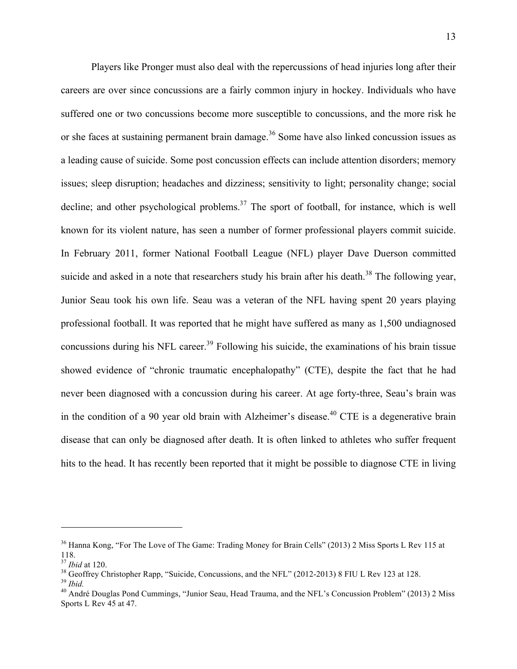Players like Pronger must also deal with the repercussions of head injuries long after their careers are over since concussions are a fairly common injury in hockey. Individuals who have suffered one or two concussions become more susceptible to concussions, and the more risk he or she faces at sustaining permanent brain damage.<sup>36</sup> Some have also linked concussion issues as a leading cause of suicide. Some post concussion effects can include attention disorders; memory issues; sleep disruption; headaches and dizziness; sensitivity to light; personality change; social decline; and other psychological problems.<sup>37</sup> The sport of football, for instance, which is well known for its violent nature, has seen a number of former professional players commit suicide. In February 2011, former National Football League (NFL) player Dave Duerson committed suicide and asked in a note that researchers study his brain after his death.<sup>38</sup> The following year, Junior Seau took his own life. Seau was a veteran of the NFL having spent 20 years playing professional football. It was reported that he might have suffered as many as 1,500 undiagnosed concussions during his NFL career.<sup>39</sup> Following his suicide, the examinations of his brain tissue showed evidence of "chronic traumatic encephalopathy" (CTE), despite the fact that he had never been diagnosed with a concussion during his career. At age forty-three, Seau's brain was in the condition of a 90 year old brain with Alzheimer's disease.<sup>40</sup> CTE is a degenerative brain disease that can only be diagnosed after death. It is often linked to athletes who suffer frequent hits to the head. It has recently been reported that it might be possible to diagnose CTE in living

<sup>&</sup>lt;sup>36</sup> Hanna Kong, "For The Love of The Game: Trading Money for Brain Cells" (2013) 2 Miss Sports L Rev 115 at  $118.$ <sup>37</sup>*Ibid* at 120.

<sup>&</sup>lt;sup>38</sup> Geoffrey Christopher Rapp, "Suicide, Concussions, and the NFL" (2012-2013) 8 FIU L Rev 123 at 128.<br><sup>39</sup> *Ibid.*<br><sup>40</sup> André Douglas Pond Cummings, "Junior Seau, Head Trauma, and the NFL's Concussion Problem" (2013) 2

Sports L Rev 45 at 47.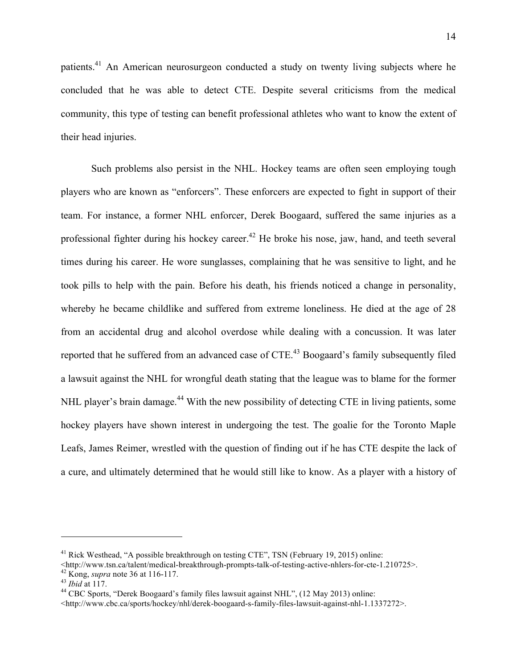patients.<sup>41</sup> An American neurosurgeon conducted a study on twenty living subjects where he concluded that he was able to detect CTE. Despite several criticisms from the medical community, this type of testing can benefit professional athletes who want to know the extent of their head injuries.

Such problems also persist in the NHL. Hockey teams are often seen employing tough players who are known as "enforcers". These enforcers are expected to fight in support of their team. For instance, a former NHL enforcer, Derek Boogaard, suffered the same injuries as a professional fighter during his hockey career.<sup>42</sup> He broke his nose, jaw, hand, and teeth several times during his career. He wore sunglasses, complaining that he was sensitive to light, and he took pills to help with the pain. Before his death, his friends noticed a change in personality, whereby he became childlike and suffered from extreme loneliness. He died at the age of 28 from an accidental drug and alcohol overdose while dealing with a concussion. It was later reported that he suffered from an advanced case of CTE.<sup>43</sup> Boogaard's family subsequently filed a lawsuit against the NHL for wrongful death stating that the league was to blame for the former NHL player's brain damage.<sup>44</sup> With the new possibility of detecting CTE in living patients, some hockey players have shown interest in undergoing the test. The goalie for the Toronto Maple Leafs, James Reimer, wrestled with the question of finding out if he has CTE despite the lack of a cure, and ultimately determined that he would still like to know. As a player with a history of

<sup>&</sup>lt;sup>41</sup> Rick Westhead, "A possible breakthrough on testing CTE", TSN (February 19, 2015) online:<br>  $\lt$ http://www.tsn.ca/talent/medical-breakthrough-prompts-talk-of-testing-active-nhlers-for-cte-1.210725>.

<sup>&</sup>lt;sup>42</sup> Kong, *supra* note 36 at 116-117.<br><sup>43</sup> *Ibid* at 117.<br><sup>44</sup> CBC Sports, "Derek Boogaard's family files lawsuit against NHL", (12 May 2013) online:

 $\langle$ http://www.cbc.ca/sports/hockey/nhl/derek-boogaard-s-family-files-lawsuit-against-nhl-1.1337272>.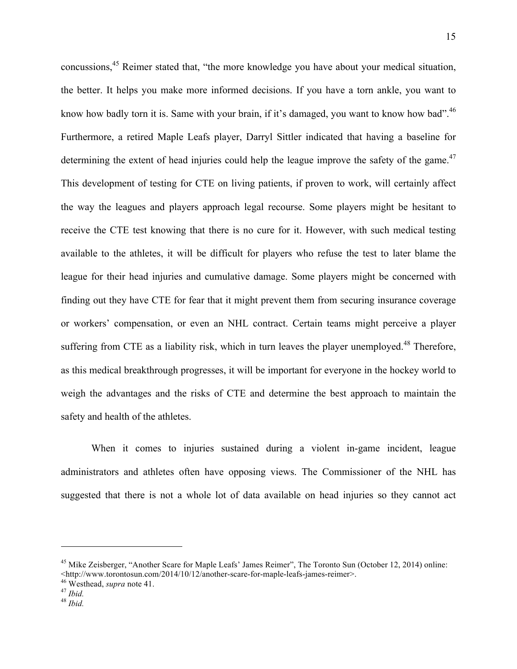concussions,<sup>45</sup> Reimer stated that, "the more knowledge you have about your medical situation, the better. It helps you make more informed decisions. If you have a torn ankle, you want to know how badly torn it is. Same with your brain, if it's damaged, you want to know how bad".<sup>46</sup> Furthermore, a retired Maple Leafs player, Darryl Sittler indicated that having a baseline for determining the extent of head injuries could help the league improve the safety of the game.<sup>47</sup> This development of testing for CTE on living patients, if proven to work, will certainly affect the way the leagues and players approach legal recourse. Some players might be hesitant to receive the CTE test knowing that there is no cure for it. However, with such medical testing available to the athletes, it will be difficult for players who refuse the test to later blame the league for their head injuries and cumulative damage. Some players might be concerned with finding out they have CTE for fear that it might prevent them from securing insurance coverage or workers' compensation, or even an NHL contract. Certain teams might perceive a player suffering from CTE as a liability risk, which in turn leaves the player unemployed.<sup>48</sup> Therefore, as this medical breakthrough progresses, it will be important for everyone in the hockey world to weigh the advantages and the risks of CTE and determine the best approach to maintain the safety and health of the athletes.

When it comes to injuries sustained during a violent in-game incident, league administrators and athletes often have opposing views. The Commissioner of the NHL has suggested that there is not a whole lot of data available on head injuries so they cannot act

<sup>&</sup>lt;sup>45</sup> Mike Zeisberger, "Another Scare for Maple Leafs' James Reimer", The Toronto Sun (October 12, 2014) online: <http://www.torontosun.com/2014/10/12/another-scare-for-maple-leafs-james-reimer>. <sup>46</sup> Westhead, *supra* note 41. 47 *Ibid.* <sup>48</sup> *Ibid.*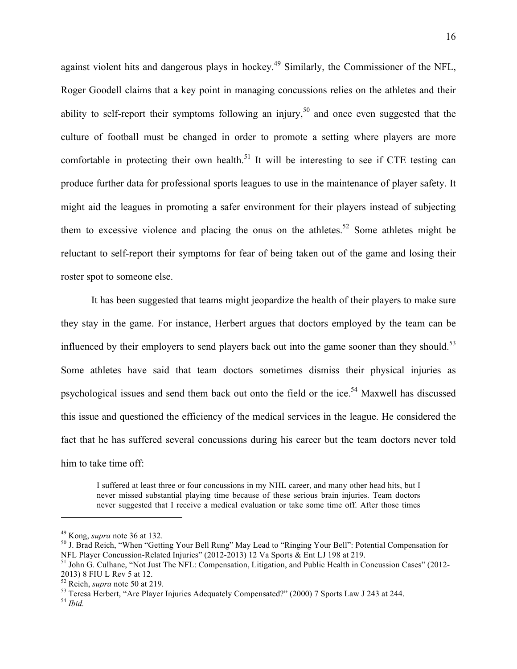against violent hits and dangerous plays in hockey.<sup>49</sup> Similarly, the Commissioner of the NFL, Roger Goodell claims that a key point in managing concussions relies on the athletes and their ability to self-report their symptoms following an injury,<sup>50</sup> and once even suggested that the culture of football must be changed in order to promote a setting where players are more comfortable in protecting their own health.<sup>51</sup> It will be interesting to see if CTE testing can produce further data for professional sports leagues to use in the maintenance of player safety. It might aid the leagues in promoting a safer environment for their players instead of subjecting them to excessive violence and placing the onus on the athletes.<sup>52</sup> Some athletes might be reluctant to self-report their symptoms for fear of being taken out of the game and losing their roster spot to someone else.

It has been suggested that teams might jeopardize the health of their players to make sure they stay in the game. For instance, Herbert argues that doctors employed by the team can be influenced by their employers to send players back out into the game sooner than they should.<sup>53</sup> Some athletes have said that team doctors sometimes dismiss their physical injuries as psychological issues and send them back out onto the field or the ice.<sup>54</sup> Maxwell has discussed this issue and questioned the efficiency of the medical services in the league. He considered the fact that he has suffered several concussions during his career but the team doctors never told him to take time off:

I suffered at least three or four concussions in my NHL career, and many other head hits, but I never missed substantial playing time because of these serious brain injuries. Team doctors never suggested that I receive a medical evaluation or take some time off. After those times

<sup>&</sup>lt;sup>49</sup> Kong, *supra* note 36 at 132.<br><sup>50</sup> J. Brad Reich, "When "Getting Your Bell Rung" May Lead to "Ringing Your Bell": Potential Compensation for<br>NFL Player Concussion-Related Injuries" (2012-2013) 12 Va Sports & Ent LJ 19

<sup>&</sup>lt;sup>51</sup> John G. Culhane, "Not Just The NFL: Compensation, Litigation, and Public Health in Concussion Cases" (2012-2013) 8 FIU L Rev 5 at 12.<br><sup>52</sup> Reich, *supra* note 50 at 219.

<sup>&</sup>lt;sup>53</sup> Teresa Herbert, "Are Player Injuries Adequately Compensated?" (2000) 7 Sports Law J 243 at 244.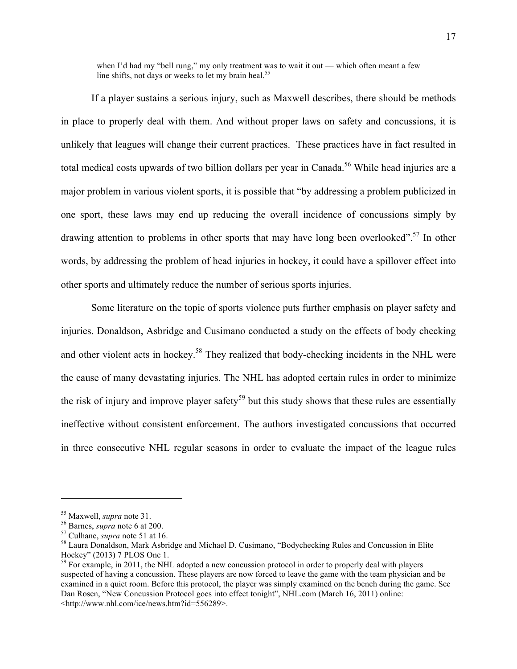when I'd had my "bell rung," my only treatment was to wait it out — which often meant a few line shifts, not days or weeks to let my brain heal.<sup>55</sup>

If a player sustains a serious injury, such as Maxwell describes, there should be methods in place to properly deal with them. And without proper laws on safety and concussions, it is unlikely that leagues will change their current practices. These practices have in fact resulted in total medical costs upwards of two billion dollars per year in Canada.<sup>56</sup> While head injuries are a major problem in various violent sports, it is possible that "by addressing a problem publicized in one sport, these laws may end up reducing the overall incidence of concussions simply by drawing attention to problems in other sports that may have long been overlooked".<sup>57</sup> In other words, by addressing the problem of head injuries in hockey, it could have a spillover effect into other sports and ultimately reduce the number of serious sports injuries.

Some literature on the topic of sports violence puts further emphasis on player safety and injuries. Donaldson, Asbridge and Cusimano conducted a study on the effects of body checking and other violent acts in hockey.<sup>58</sup> They realized that body-checking incidents in the NHL were the cause of many devastating injuries. The NHL has adopted certain rules in order to minimize the risk of injury and improve player safety<sup>59</sup> but this study shows that these rules are essentially ineffective without consistent enforcement. The authors investigated concussions that occurred in three consecutive NHL regular seasons in order to evaluate the impact of the league rules

<sup>&</sup>lt;sup>55</sup> Maxwell, *supra* note 31.<br><sup>56</sup> Barnes, *supra* note 6 at 200.<br><sup>57</sup> Culhane, *supra* note 51 at 16.<br><sup>58</sup> Laura Donaldson, Mark Asbridge and Michael D. Cusimano, "Bodychecking Rules and Concussion in Elite<br>Hockey" (2013

 $59$  For example, in 2011, the NHL adopted a new concussion protocol in order to properly deal with players suspected of having a concussion. These players are now forced to leave the game with the team physician and be examined in a quiet room. Before this protocol, the player was simply examined on the bench during the game. See Dan Rosen, "New Concussion Protocol goes into effect tonight", NHL.com (March 16, 2011) online: <http://www.nhl.com/ice/news.htm?id=556289>.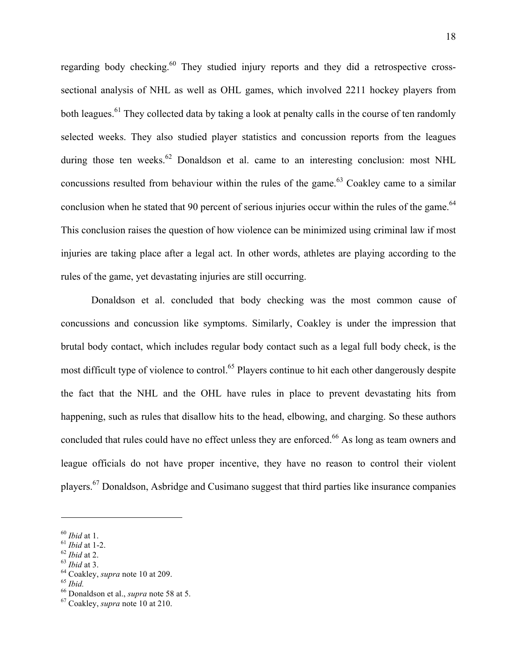regarding body checking.<sup>60</sup> They studied injury reports and they did a retrospective crosssectional analysis of NHL as well as OHL games, which involved 2211 hockey players from both leagues.<sup>61</sup> They collected data by taking a look at penalty calls in the course of ten randomly selected weeks. They also studied player statistics and concussion reports from the leagues during those ten weeks.  $62$  Donaldson et al. came to an interesting conclusion: most NHL concussions resulted from behaviour within the rules of the game.<sup>63</sup> Coakley came to a similar conclusion when he stated that 90 percent of serious injuries occur within the rules of the game.<sup>64</sup> This conclusion raises the question of how violence can be minimized using criminal law if most injuries are taking place after a legal act. In other words, athletes are playing according to the rules of the game, yet devastating injuries are still occurring.

Donaldson et al. concluded that body checking was the most common cause of concussions and concussion like symptoms. Similarly, Coakley is under the impression that brutal body contact, which includes regular body contact such as a legal full body check, is the most difficult type of violence to control.<sup>65</sup> Players continue to hit each other dangerously despite the fact that the NHL and the OHL have rules in place to prevent devastating hits from happening, such as rules that disallow hits to the head, elbowing, and charging. So these authors concluded that rules could have no effect unless they are enforced.<sup>66</sup> As long as team owners and league officials do not have proper incentive, they have no reason to control their violent players.67 Donaldson, Asbridge and Cusimano suggest that third parties like insurance companies

<sup>&</sup>lt;sup>60</sup> *Ibid* at 1.<br>
<sup>61</sup> *Ibid* at 1-2.<br>
<sup>62</sup> *Ibid* at 2.<br>
<sup>63</sup> *Ibid* at 3.<br>
<sup>64</sup> Coakley, *supra* note 10 at 209.<br>
<sup>65</sup> *Ibid.*<br>
<sup>66</sup> Donaldson et al., *supra* note 58 at 5.<br>
<sup>67</sup> Coakley, *supra* note 10 at 210.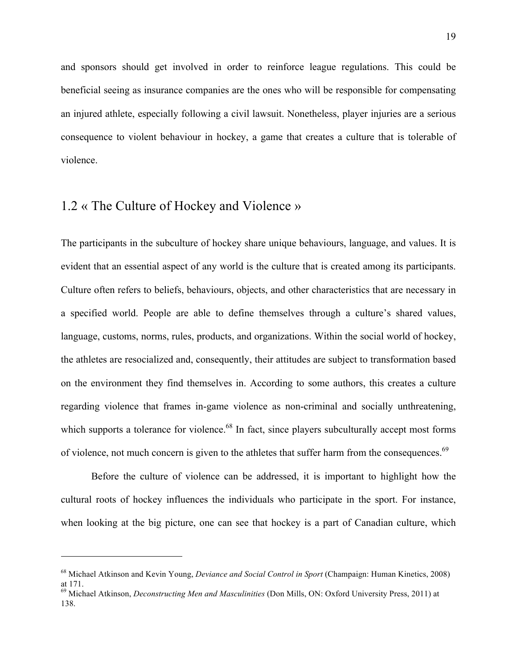and sponsors should get involved in order to reinforce league regulations. This could be beneficial seeing as insurance companies are the ones who will be responsible for compensating an injured athlete, especially following a civil lawsuit. Nonetheless, player injuries are a serious consequence to violent behaviour in hockey, a game that creates a culture that is tolerable of violence.

### 1.2 « The Culture of Hockey and Violence »

 

The participants in the subculture of hockey share unique behaviours, language, and values. It is evident that an essential aspect of any world is the culture that is created among its participants. Culture often refers to beliefs, behaviours, objects, and other characteristics that are necessary in a specified world. People are able to define themselves through a culture's shared values, language, customs, norms, rules, products, and organizations. Within the social world of hockey, the athletes are resocialized and, consequently, their attitudes are subject to transformation based on the environment they find themselves in. According to some authors, this creates a culture regarding violence that frames in-game violence as non-criminal and socially unthreatening, which supports a tolerance for violence.<sup>68</sup> In fact, since players subculturally accept most forms of violence, not much concern is given to the athletes that suffer harm from the consequences.<sup>69</sup>

Before the culture of violence can be addressed, it is important to highlight how the cultural roots of hockey influences the individuals who participate in the sport. For instance, when looking at the big picture, one can see that hockey is a part of Canadian culture, which

<sup>68</sup> Michael Atkinson and Kevin Young, *Deviance and Social Control in Sport* (Champaign: Human Kinetics, 2008) at 171.

<sup>69</sup> Michael Atkinson, *Deconstructing Men and Masculinities* (Don Mills, ON: Oxford University Press, 2011) at 138.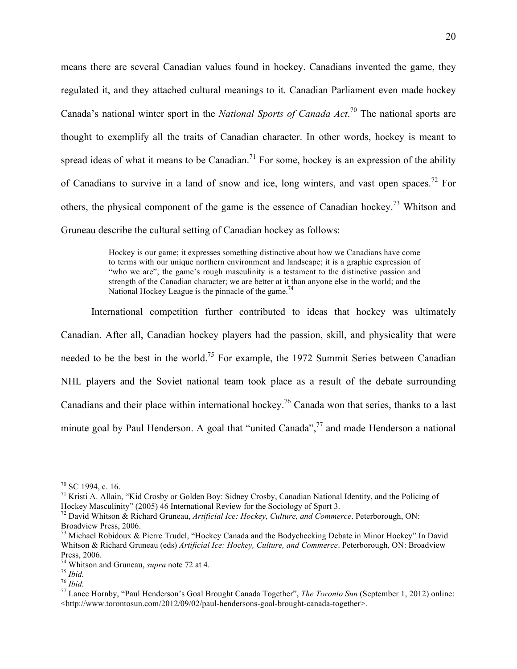means there are several Canadian values found in hockey. Canadians invented the game, they regulated it, and they attached cultural meanings to it. Canadian Parliament even made hockey Canada's national winter sport in the *National Sports of Canada Act*. 70 The national sports are thought to exemplify all the traits of Canadian character. In other words, hockey is meant to spread ideas of what it means to be Canadian.<sup>71</sup> For some, hockey is an expression of the ability of Canadians to survive in a land of snow and ice, long winters, and vast open spaces.<sup>72</sup> For others, the physical component of the game is the essence of Canadian hockey.73 Whitson and Gruneau describe the cultural setting of Canadian hockey as follows:

> Hockey is our game; it expresses something distinctive about how we Canadians have come to terms with our unique northern environment and landscape; it is a graphic expression of "who we are"; the game's rough masculinity is a testament to the distinctive passion and strength of the Canadian character; we are better at it than anyone else in the world; and the National Hockey League is the pinnacle of the game.<sup>74</sup>

International competition further contributed to ideas that hockey was ultimately Canadian. After all, Canadian hockey players had the passion, skill, and physicality that were needed to be the best in the world.<sup>75</sup> For example, the 1972 Summit Series between Canadian NHL players and the Soviet national team took place as a result of the debate surrounding Canadians and their place within international hockey.<sup>76</sup> Canada won that series, thanks to a last minute goal by Paul Henderson. A goal that "united Canada",<sup>77</sup> and made Henderson a national

 $70$  SC 1994, c. 16.

<sup>&</sup>lt;sup>71</sup> Kristi A. Allain, "Kid Crosby or Golden Boy: Sidney Crosby, Canadian National Identity, and the Policing of Hockey Masculinity" (2005) 46 International Review for the Sociology of Sport 3.

<sup>72</sup> David Whitson & Richard Gruneau, *Artificial Ice: Hockey, Culture, and Commerce*. Peterborough, ON: Broadview Press, 2006.

<sup>&</sup>lt;sup>73</sup> Michael Robidoux & Pierre Trudel, "Hockey Canada and the Bodychecking Debate in Minor Hockey" In David Whitson & Richard Gruneau (eds) *Artificial Ice: Hockey, Culture, and Commerce*. Peterborough, ON: Broadview Press, 2006.<br><sup>74</sup> Whitson and Gruneau, *supra* note 72 at 4.

<sup>&</sup>lt;sup>75</sup> Ibid.<br><sup>76</sup> Ibid.<br><sup>77</sup> Lance Hornby, "Paul Henderson's Goal Brought Canada Together", *The Toronto Sun* (September 1, 2012) online: <http://www.torontosun.com/2012/09/02/paul-hendersons-goal-brought-canada-together>.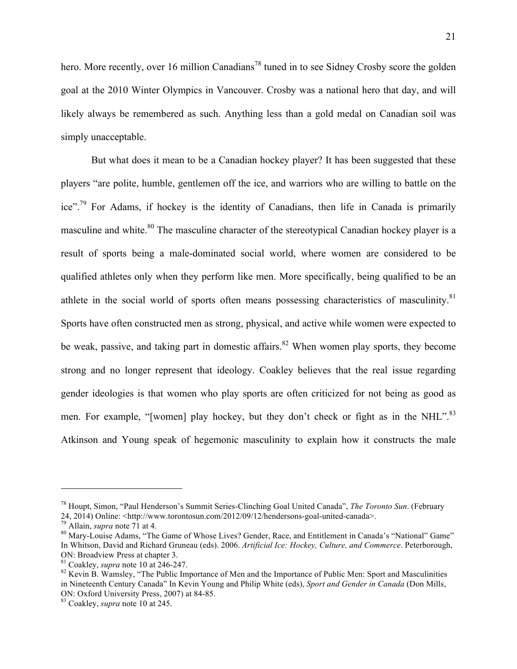hero. More recently, over 16 million Canadians<sup>78</sup> tuned in to see Sidney Crosby score the golden goal at the 2010 Winter Olympics in Vancouver. Crosby was a national hero that day, and will likely always be remembered as such. Anything less than a gold medal on Canadian soil was simply unacceptable.

But what does it mean to be a Canadian hockey player? It has been suggested that these players "are polite, humble, gentlemen off the ice, and warriors who are willing to battle on the ice".<sup>79</sup> For Adams, if hockey is the identity of Canadians, then life in Canada is primarily masculine and white.<sup>80</sup> The masculine character of the stereotypical Canadian hockey player is a result of sports being a male-dominated social world, where women are considered to be qualified athletes only when they perform like men. More specifically, being qualified to be an athlete in the social world of sports often means possessing characteristics of masculinity. $81$ Sports have often constructed men as strong, physical, and active while women were expected to be weak, passive, and taking part in domestic affairs.<sup>82</sup> When women play sports, they become strong and no longer represent that ideology. Coakley believes that the real issue regarding gender ideologies is that women who play sports are often criticized for not being as good as men. For example, "[women] play hockey, but they don't check or fight as in the NHL".<sup>83</sup> Atkinson and Young speak of hegemonic masculinity to explain how it constructs the male

<sup>78</sup> Houpt, Simon, "Paul Henderson's Summit Series-Clinching Goal United Canada", *The Toronto Sun*. (February 24, 2014) Online: <http://www.torontosun.com/2012/09/12/hendersons-goal-united-canada>.<br><sup>79</sup> Allain, *supra* note 71 at 4.<br><sup>80</sup> Mary-Louise Adams, "The Game of Whose Lives? Gender, Race, and Entitlement in Canada's "Nation

In Whitson, David and Richard Gruneau (eds). 2006. *Artificial Ice: Hockey, Culture, and Commerce*. Peterborough,

<sup>&</sup>lt;sup>81</sup> Coakley, *supra* note 10 at 246-247.<br><sup>82</sup> Kevin B. Wamsley, "The Public Importance of Men and the Importance of Public Men: Sport and Masculinities in Nineteenth Century Canada" In Kevin Young and Philip White (eds), *Sport and Gender in Canada* (Don Mills, ON: Oxford University Press, 2007) at 84-85. 83 Coakley, *supra* note 10 at 245.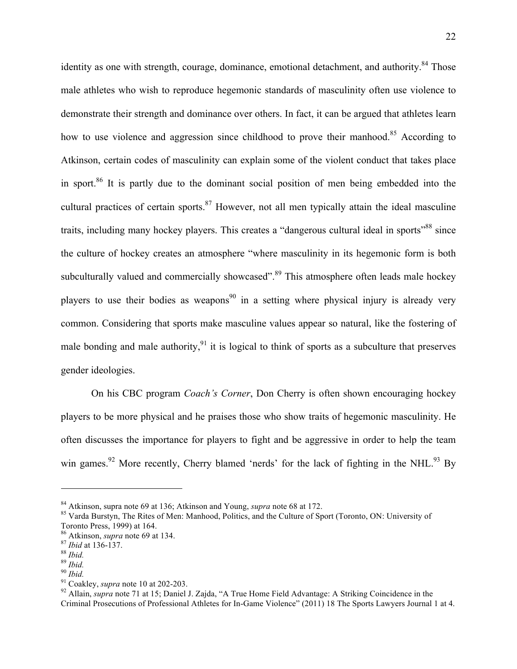identity as one with strength, courage, dominance, emotional detachment, and authority.<sup>84</sup> Those male athletes who wish to reproduce hegemonic standards of masculinity often use violence to demonstrate their strength and dominance over others. In fact, it can be argued that athletes learn how to use violence and aggression since childhood to prove their manhood.<sup>85</sup> According to Atkinson, certain codes of masculinity can explain some of the violent conduct that takes place in sport.<sup>86</sup> It is partly due to the dominant social position of men being embedded into the cultural practices of certain sports.<sup>87</sup> However, not all men typically attain the ideal masculine traits, including many hockey players. This creates a "dangerous cultural ideal in sports"<sup>88</sup> since the culture of hockey creates an atmosphere "where masculinity in its hegemonic form is both subculturally valued and commercially showcased".<sup>89</sup> This atmosphere often leads male hockey players to use their bodies as weapons<sup>90</sup> in a setting where physical injury is already very common. Considering that sports make masculine values appear so natural, like the fostering of male bonding and male authority,  $91$  it is logical to think of sports as a subculture that preserves gender ideologies.

On his CBC program *Coach's Corner*, Don Cherry is often shown encouraging hockey players to be more physical and he praises those who show traits of hegemonic masculinity. He often discusses the importance for players to fight and be aggressive in order to help the team win games.<sup>92</sup> More recently, Cherry blamed 'nerds' for the lack of fighting in the NHL.<sup>93</sup> By

<sup>&</sup>lt;sup>84</sup> Atkinson, supra note 69 at 136; Atkinson and Young, *supra* note 68 at 172.<br><sup>85</sup> Varda Burstyn, The Rites of Men: Manhood, Politics, and the Culture of Sport (Toronto, ON: University of Toronto Press, 1999) at 164.

<sup>&</sup>lt;sup>86</sup> Atkinson, *supra* note 69 at 134.<br>
<sup>87</sup> *Ibid* at 136-137.<br>
<sup>88</sup> *Ibid.*<br>
<sup>90</sup> *Ibid.*<br>
<sup>90</sup> *Ibid.*<br>
<sup>91</sup> Coakley, *supra* note 10 at 202-203.<br>
<sup>92</sup> Allain, *supra* note 71 at 15; Daniel J. Zajda, "A True Home Field Criminal Prosecutions of Professional Athletes for In-Game Violence" (2011) 18 The Sports Lawyers Journal 1 at 4.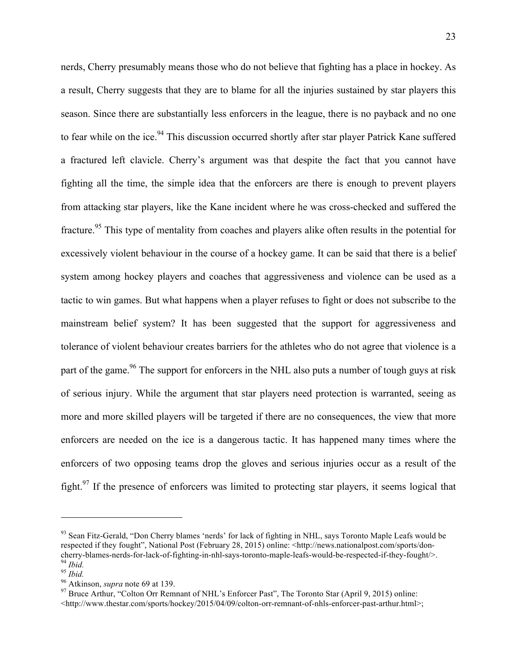nerds, Cherry presumably means those who do not believe that fighting has a place in hockey. As a result, Cherry suggests that they are to blame for all the injuries sustained by star players this season. Since there are substantially less enforcers in the league, there is no payback and no one to fear while on the ice.<sup>94</sup> This discussion occurred shortly after star player Patrick Kane suffered a fractured left clavicle. Cherry's argument was that despite the fact that you cannot have fighting all the time, the simple idea that the enforcers are there is enough to prevent players from attacking star players, like the Kane incident where he was cross-checked and suffered the fracture.<sup>95</sup> This type of mentality from coaches and players alike often results in the potential for excessively violent behaviour in the course of a hockey game. It can be said that there is a belief system among hockey players and coaches that aggressiveness and violence can be used as a tactic to win games. But what happens when a player refuses to fight or does not subscribe to the mainstream belief system? It has been suggested that the support for aggressiveness and tolerance of violent behaviour creates barriers for the athletes who do not agree that violence is a part of the game.<sup>96</sup> The support for enforcers in the NHL also puts a number of tough guys at risk of serious injury. While the argument that star players need protection is warranted, seeing as more and more skilled players will be targeted if there are no consequences, the view that more enforcers are needed on the ice is a dangerous tactic. It has happened many times where the enforcers of two opposing teams drop the gloves and serious injuries occur as a result of the fight.<sup>97</sup> If the presence of enforcers was limited to protecting star players, it seems logical that

<sup>&</sup>lt;sup>93</sup> Sean Fitz-Gerald, "Don Cherry blames 'nerds' for lack of fighting in NHL, says Toronto Maple Leafs would be respected if they fought", National Post (February 28, 2015) online: <http://news.nationalpost.com/sports/don-<br>cherry-blames-nerds-for-lack-of-fighting-in-nhl-says-toronto-maple-leafs-would-be-respected-if-they-fought/>.

<sup>&</sup>lt;sup>94</sup> Ibid.<br><sup>95</sup> Ibid.<br><sup>95</sup> Atkinson, *supra* note 69 at 139.<br><sup>97</sup> Bruce Arthur, "Colton Orr Remnant of NHL's Enforcer Past", The Toronto Star (April 9, 2015) online:  $\langle$ http://www.thestar.com/sports/hockey/2015/04/09/colton-orr-remnant-of-nhls-enforcer-past-arthur.html>;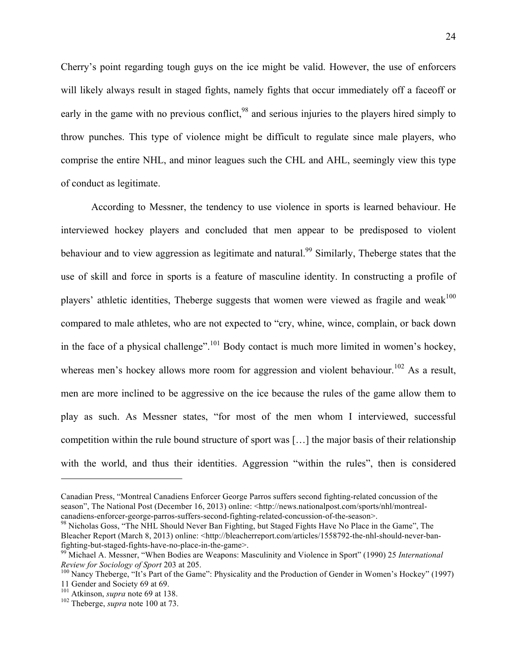Cherry's point regarding tough guys on the ice might be valid. However, the use of enforcers will likely always result in staged fights, namely fights that occur immediately off a faceoff or early in the game with no previous conflict,<sup>98</sup> and serious injuries to the players hired simply to throw punches. This type of violence might be difficult to regulate since male players, who comprise the entire NHL, and minor leagues such the CHL and AHL, seemingly view this type of conduct as legitimate.

According to Messner, the tendency to use violence in sports is learned behaviour. He interviewed hockey players and concluded that men appear to be predisposed to violent behaviour and to view aggression as legitimate and natural.<sup>99</sup> Similarly, Theberge states that the use of skill and force in sports is a feature of masculine identity. In constructing a profile of players' athletic identities, Theberge suggests that women were viewed as fragile and weak<sup>100</sup> compared to male athletes, who are not expected to "cry, whine, wince, complain, or back down in the face of a physical challenge".<sup>101</sup> Body contact is much more limited in women's hockey, whereas men's hockey allows more room for aggression and violent behaviour.<sup>102</sup> As a result, men are more inclined to be aggressive on the ice because the rules of the game allow them to play as such. As Messner states, "for most of the men whom I interviewed, successful competition within the rule bound structure of sport was […] the major basis of their relationship with the world, and thus their identities. Aggression "within the rules", then is considered

Canadian Press, "Montreal Canadiens Enforcer George Parros suffers second fighting-related concussion of the season", The National Post (December 16, 2013) online: <http://news.nationalpost.com/sports/nhl/montreal-canadiens-enforcer-george-parros-suffers-second-fighting-related-concussion-of-the-season>.

<sup>&</sup>lt;sup>98</sup> Nicholas Goss, "The NHL Should Never Ban Fighting, but Staged Fights Have No Place in the Game", The Bleacher Report (March 8, 2013) online: <http://bleacherreport.com/articles/1558792-the-nhl-should-never-ban-

fighting-but-staged-fights-have-no-place-in-the-game>. 99 Michael A. Messner, "When Bodies are Weapons: Masculinity and Violence in Sport" (1990) 25 *International* 

<sup>&</sup>lt;sup>100</sup> Nancy Theberge, "It's Part of the Game": Physicality and the Production of Gender in Women's Hockey" (1997) 11 Gender and Society 69 at 69.<br><sup>101</sup> Atkinson, *supra* note 69 at 138.

<sup>&</sup>lt;sup>102</sup> Theberge, *supra* note 100 at 73.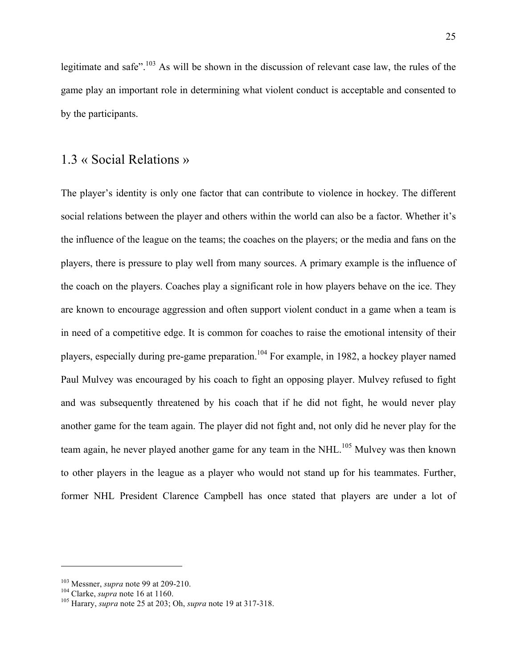legitimate and safe".<sup>103</sup> As will be shown in the discussion of relevant case law, the rules of the game play an important role in determining what violent conduct is acceptable and consented to by the participants.

### 1.3 « Social Relations »

The player's identity is only one factor that can contribute to violence in hockey. The different social relations between the player and others within the world can also be a factor. Whether it's the influence of the league on the teams; the coaches on the players; or the media and fans on the players, there is pressure to play well from many sources. A primary example is the influence of the coach on the players. Coaches play a significant role in how players behave on the ice. They are known to encourage aggression and often support violent conduct in a game when a team is in need of a competitive edge. It is common for coaches to raise the emotional intensity of their players, especially during pre-game preparation.104 For example, in 1982, a hockey player named Paul Mulvey was encouraged by his coach to fight an opposing player. Mulvey refused to fight and was subsequently threatened by his coach that if he did not fight, he would never play another game for the team again. The player did not fight and, not only did he never play for the team again, he never played another game for any team in the NHL.<sup>105</sup> Mulvey was then known to other players in the league as a player who would not stand up for his teammates. Further, former NHL President Clarence Campbell has once stated that players are under a lot of

<sup>&</sup>lt;sup>103</sup> Messner, *supra* note 99 at 209-210.<br><sup>104</sup> Clarke, *supra* note 16 at 1160.<br><sup>105</sup> Harary, *supra* note 25 at 203; Oh, *supra* note 19 at 317-318.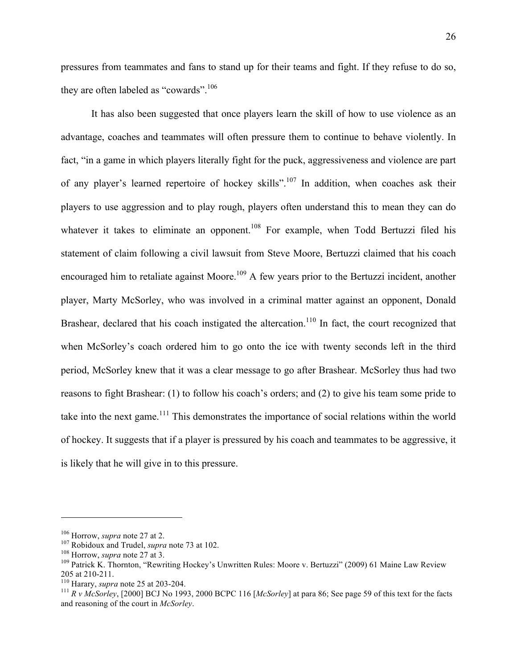pressures from teammates and fans to stand up for their teams and fight. If they refuse to do so, they are often labeled as "cowards".<sup>106</sup>

It has also been suggested that once players learn the skill of how to use violence as an advantage, coaches and teammates will often pressure them to continue to behave violently. In fact, "in a game in which players literally fight for the puck, aggressiveness and violence are part of any player's learned repertoire of hockey skills".<sup>107</sup> In addition, when coaches ask their players to use aggression and to play rough, players often understand this to mean they can do whatever it takes to eliminate an opponent.<sup>108</sup> For example, when Todd Bertuzzi filed his statement of claim following a civil lawsuit from Steve Moore, Bertuzzi claimed that his coach encouraged him to retaliate against Moore.<sup>109</sup> A few years prior to the Bertuzzi incident, another player, Marty McSorley, who was involved in a criminal matter against an opponent, Donald Brashear, declared that his coach instigated the altercation.<sup>110</sup> In fact, the court recognized that when McSorley's coach ordered him to go onto the ice with twenty seconds left in the third period, McSorley knew that it was a clear message to go after Brashear. McSorley thus had two reasons to fight Brashear: (1) to follow his coach's orders; and (2) to give his team some pride to take into the next game.<sup>111</sup> This demonstrates the importance of social relations within the world of hockey. It suggests that if a player is pressured by his coach and teammates to be aggressive, it is likely that he will give in to this pressure.

<sup>&</sup>lt;sup>106</sup> Horrow, *supra* note 27 at 2.<br><sup>107</sup> Robidoux and Trudel, *supra* note 73 at 102.<br><sup>108</sup> Horrow, *supra* note 27 at 3.<br><sup>108</sup> Patrick K. Thornton, "Rewriting Hockey's Unwritten Rules: Moore v. Bertuzzi" (2009) 61 Maine 205 at 210-211. 110 Harary, *supra* note 25 at 203-204. <sup>111</sup> *R v McSorley*, [2000] BCJ No 1993, 2000 BCPC 116 [*McSorley*] at para 86; See page 59 of this text for the facts

and reasoning of the court in *McSorley*.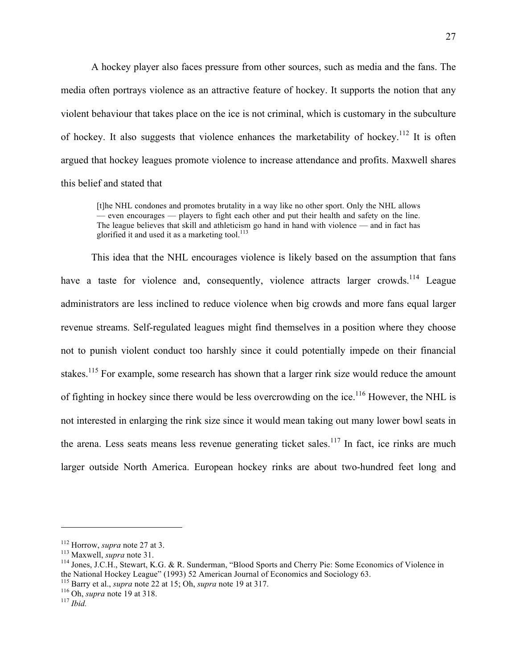A hockey player also faces pressure from other sources, such as media and the fans. The media often portrays violence as an attractive feature of hockey. It supports the notion that any violent behaviour that takes place on the ice is not criminal, which is customary in the subculture of hockey. It also suggests that violence enhances the marketability of hockey.<sup>112</sup> It is often argued that hockey leagues promote violence to increase attendance and profits. Maxwell shares this belief and stated that

[t]he NHL condones and promotes brutality in a way like no other sport. Only the NHL allows — even encourages — players to fight each other and put their health and safety on the line. The league believes that skill and athleticism go hand in hand with violence — and in fact has glorified it and used it as a marketing tool.<sup>113</sup>

This idea that the NHL encourages violence is likely based on the assumption that fans have a taste for violence and, consequently, violence attracts larger crowds.<sup>114</sup> League administrators are less inclined to reduce violence when big crowds and more fans equal larger revenue streams. Self-regulated leagues might find themselves in a position where they choose not to punish violent conduct too harshly since it could potentially impede on their financial stakes.<sup>115</sup> For example, some research has shown that a larger rink size would reduce the amount of fighting in hockey since there would be less overcrowding on the ice.<sup>116</sup> However, the NHL is not interested in enlarging the rink size since it would mean taking out many lower bowl seats in the arena. Less seats means less revenue generating ticket sales.<sup>117</sup> In fact, ice rinks are much larger outside North America. European hockey rinks are about two-hundred feet long and

<sup>&</sup>lt;sup>112</sup> Horrow, *supra* note 27 at 3.<br><sup>113</sup> Maxwell, *supra* note 31.<br><sup>114</sup> Jones, J.C.H., Stewart, K.G. & R. Sunderman, "Blood Sports and Cherry Pie: Some Economics of Violence in the National Hockey League" (1993) 52 American Journal of Economics and Sociology 63.

<sup>115</sup> Barry et al., *supra* note 22 at 15; Oh, *supra* note 19 at 317. 116 Oh, *supra* note 19 at 318. <sup>117</sup> *Ibid.*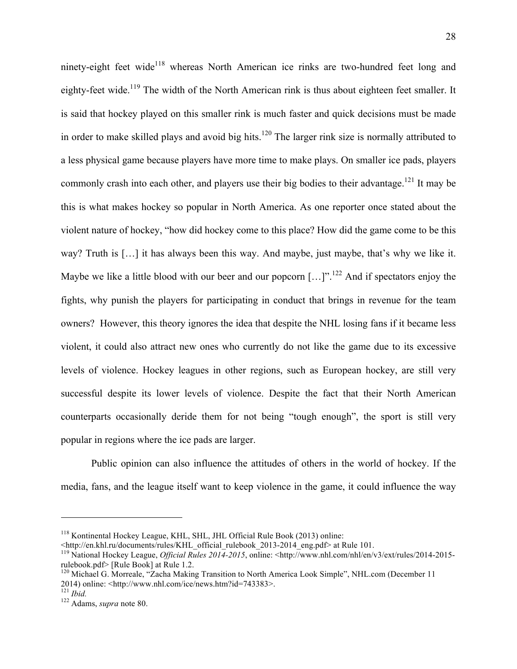ninety-eight feet wide<sup>118</sup> whereas North American ice rinks are two-hundred feet long and eighty-feet wide.<sup>119</sup> The width of the North American rink is thus about eighteen feet smaller. It is said that hockey played on this smaller rink is much faster and quick decisions must be made in order to make skilled plays and avoid big hits.<sup>120</sup> The larger rink size is normally attributed to a less physical game because players have more time to make plays. On smaller ice pads, players commonly crash into each other, and players use their big bodies to their advantage.<sup>121</sup> It may be this is what makes hockey so popular in North America. As one reporter once stated about the violent nature of hockey, "how did hockey come to this place? How did the game come to be this way? Truth is […] it has always been this way. And maybe, just maybe, that's why we like it. Maybe we like a little blood with our beer and our popcorn  $[...]$ <sup>". 122</sup> And if spectators enjoy the fights, why punish the players for participating in conduct that brings in revenue for the team owners? However, this theory ignores the idea that despite the NHL losing fans if it became less violent, it could also attract new ones who currently do not like the game due to its excessive levels of violence. Hockey leagues in other regions, such as European hockey, are still very successful despite its lower levels of violence. Despite the fact that their North American counterparts occasionally deride them for not being "tough enough", the sport is still very popular in regions where the ice pads are larger.

Public opinion can also influence the attitudes of others in the world of hockey. If the media, fans, and the league itself want to keep violence in the game, it could influence the way

<sup>&</sup>lt;sup>118</sup> Kontinental Hockey League, KHL, SHL, JHL Official Rule Book (2013) online:<br>  $\lt$ http://en.khl.ru/documents/rules/KHL official rulebook 2013-2014 eng.pdf> at Rule 101.

<sup>&</sup>lt;sup>119</sup> National Hockey League, *Official Rules 2014-2015*, online: <http://www.nhl.com/nhl/en/v3/ext/rules/2014-2015rulebook.pdf> [Rule Book] at Rule 1.2.

<sup>&</sup>lt;sup>120</sup> Michael G. Morreale, "Zacha Making Transition to North America Look Simple", NHL.com (December 11 2014) online:  $\langle$ http://www.nhl.com/ice/news.htm?id=743383>.<br><sup>121</sup> Ihid

<sup>&</sup>lt;sup>122</sup> Adams, *supra* note 80.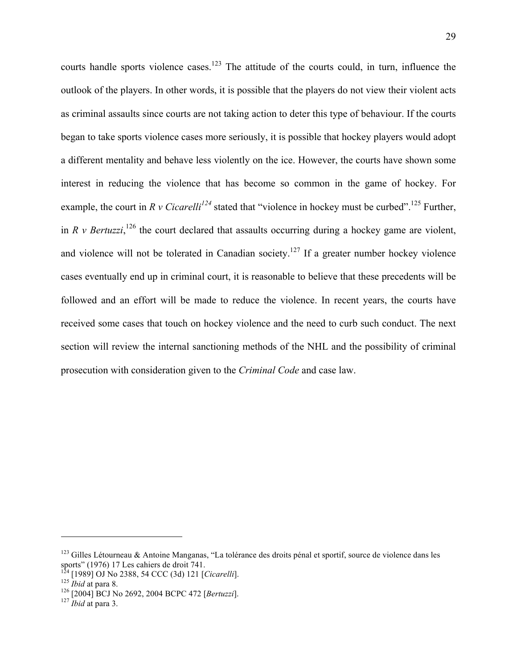courts handle sports violence cases.<sup>123</sup> The attitude of the courts could, in turn, influence the outlook of the players. In other words, it is possible that the players do not view their violent acts as criminal assaults since courts are not taking action to deter this type of behaviour. If the courts began to take sports violence cases more seriously, it is possible that hockey players would adopt a different mentality and behave less violently on the ice. However, the courts have shown some interest in reducing the violence that has become so common in the game of hockey. For example, the court in *R v Cicarelli<sup>124</sup>* stated that "violence in hockey must be curbed".<sup>125</sup> Further, in *R v Bertuzzi*,<sup>126</sup> the court declared that assaults occurring during a hockey game are violent, and violence will not be tolerated in Canadian society.<sup>127</sup> If a greater number hockey violence cases eventually end up in criminal court, it is reasonable to believe that these precedents will be followed and an effort will be made to reduce the violence. In recent years, the courts have received some cases that touch on hockey violence and the need to curb such conduct. The next section will review the internal sanctioning methods of the NHL and the possibility of criminal prosecution with consideration given to the *Criminal Code* and case law.

<sup>&</sup>lt;sup>123</sup> Gilles Létourneau & Antoine Manganas, "La tolérance des droits pénal et sportif, source de violence dans les sports" (1976) 17 Les cahiers de droit 741.

<sup>124 [1989]</sup> OJ No 2388, 54 CCC (3d) 121 [*Cicarelli*]. <sup>125</sup> *Ibid* at para 8. 126 [2004] BCJ No 2692, 2004 BCPC 472 [*Bertuzzi*]. 127 *Ibid* at para 3.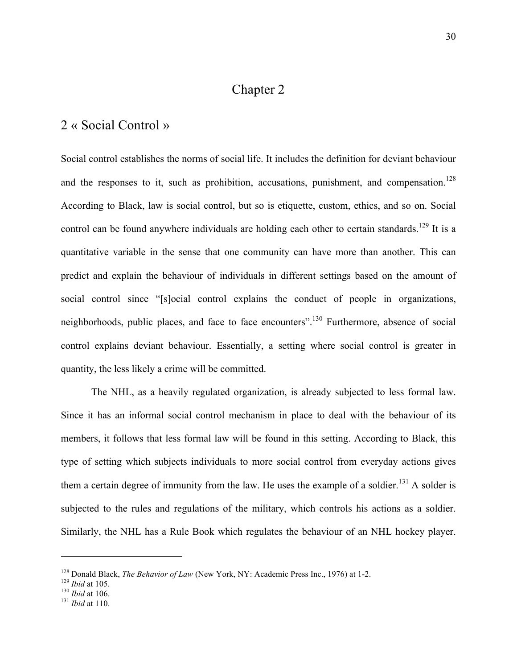# Chapter 2

#### 2 « Social Control »

Social control establishes the norms of social life. It includes the definition for deviant behaviour and the responses to it, such as prohibition, accusations, punishment, and compensation.<sup>128</sup> According to Black, law is social control, but so is etiquette, custom, ethics, and so on. Social control can be found anywhere individuals are holding each other to certain standards.<sup>129</sup> It is a quantitative variable in the sense that one community can have more than another. This can predict and explain the behaviour of individuals in different settings based on the amount of social control since "[s]ocial control explains the conduct of people in organizations, neighborhoods, public places, and face to face encounters".<sup>130</sup> Furthermore, absence of social control explains deviant behaviour. Essentially, a setting where social control is greater in quantity, the less likely a crime will be committed.

The NHL, as a heavily regulated organization, is already subjected to less formal law. Since it has an informal social control mechanism in place to deal with the behaviour of its members, it follows that less formal law will be found in this setting. According to Black, this type of setting which subjects individuals to more social control from everyday actions gives them a certain degree of immunity from the law. He uses the example of a soldier.<sup>131</sup> A solder is subjected to the rules and regulations of the military, which controls his actions as a soldier. Similarly, the NHL has a Rule Book which regulates the behaviour of an NHL hockey player.

<sup>&</sup>lt;sup>128</sup> Donald Black, *The Behavior of Law* (New York, NY: Academic Press Inc., 1976) at 1-2.<br><sup>129</sup> *Ibid* at 105.<br><sup>130</sup> *Ibid* at 106.<br><sup>131</sup> *Ibid* at 110.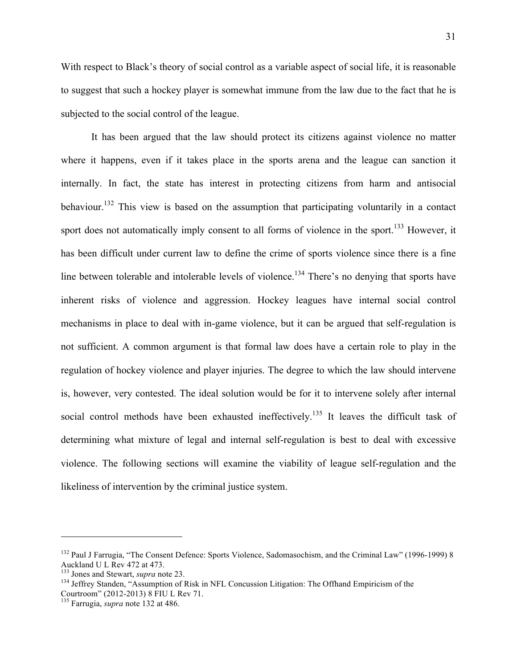With respect to Black's theory of social control as a variable aspect of social life, it is reasonable to suggest that such a hockey player is somewhat immune from the law due to the fact that he is subjected to the social control of the league.

It has been argued that the law should protect its citizens against violence no matter where it happens, even if it takes place in the sports arena and the league can sanction it internally. In fact, the state has interest in protecting citizens from harm and antisocial behaviour.<sup>132</sup> This view is based on the assumption that participating voluntarily in a contact sport does not automatically imply consent to all forms of violence in the sport.<sup>133</sup> However, it has been difficult under current law to define the crime of sports violence since there is a fine line between tolerable and intolerable levels of violence.<sup>134</sup> There's no denying that sports have inherent risks of violence and aggression. Hockey leagues have internal social control mechanisms in place to deal with in-game violence, but it can be argued that self-regulation is not sufficient. A common argument is that formal law does have a certain role to play in the regulation of hockey violence and player injuries. The degree to which the law should intervene is, however, very contested. The ideal solution would be for it to intervene solely after internal social control methods have been exhausted ineffectively.<sup>135</sup> It leaves the difficult task of determining what mixture of legal and internal self-regulation is best to deal with excessive violence. The following sections will examine the viability of league self-regulation and the likeliness of intervention by the criminal justice system.

<sup>&</sup>lt;sup>132</sup> Paul J Farrugia, "The Consent Defence: Sports Violence, Sadomasochism, and the Criminal Law" (1996-1999) 8 Auckland U L Rev 472 at 473.<br><sup>133</sup> Jones and Stewart, *supra* note 23.

<sup>133</sup> Jones and Stewart, *supra* note 23. 134 Jeffrey Standen, "Assumption of Risk in NFL Concussion Litigation: The Offhand Empiricism of the Courtroom" (2012-2013) 8 FIU L Rev 71. 135 Farrugia, *supra* note 132 at 486.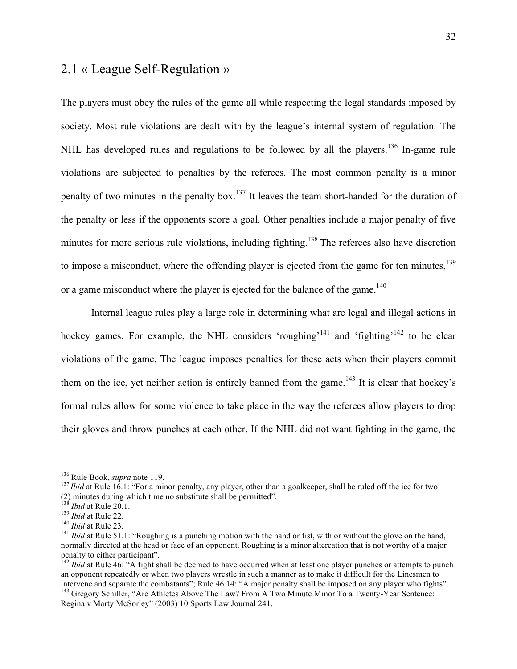## 2.1 « League Self-Regulation »

The players must obey the rules of the game all while respecting the legal standards imposed by society. Most rule violations are dealt with by the league's internal system of regulation. The NHL has developed rules and regulations to be followed by all the players.<sup>136</sup> In-game rule violations are subjected to penalties by the referees. The most common penalty is a minor penalty of two minutes in the penalty box.<sup>137</sup> It leaves the team short-handed for the duration of the penalty or less if the opponents score a goal. Other penalties include a major penalty of five minutes for more serious rule violations, including fighting.<sup>138</sup> The referees also have discretion to impose a misconduct, where the offending player is ejected from the game for ten minutes,  $^{139}$ or a game misconduct where the player is ejected for the balance of the game.<sup>140</sup>

Internal league rules play a large role in determining what are legal and illegal actions in hockey games. For example, the NHL considers 'roughing'<sup>141</sup> and 'fighting'<sup>142</sup> to be clear violations of the game. The league imposes penalties for these acts when their players commit them on the ice, yet neither action is entirely banned from the game.<sup>143</sup> It is clear that hockey's formal rules allow for some violence to take place in the way the referees allow players to drop their gloves and throw punches at each other. If the NHL did not want fighting in the game, the

<sup>&</sup>lt;sup>136</sup> Rule Book, *supra* note 119.<br><sup>137</sup>*Ibid* at Rule 16.1: "For a minor penalty, any player, other than a goalkeeper, shall be ruled off the ice for two<br>(2) minutes during which time no substitute shall be permitted".<br><sup>1</sup>

<sup>&</sup>lt;sup>139</sup> *Ibid* at Rule 22.<br><sup>140</sup> *Ibid* at Rule 23.<br><sup>140</sup> *Ibid* at Rule 51.1: "Roughing is a punching motion with the hand or fist, with or without the glove on the hand, normally directed at the head or face of an opponent. Roughing is a minor altercation that is not worthy of a major penalty to either participant".

<sup>&</sup>lt;sup>142</sup> *Ibid* at Rule 46: "A fight shall be deemed to have occurred when at least one player punches or attempts to punch an opponent repeatedly or when two players wrestle in such a manner as to make it difficult for the Linesmen to intervene and separate the combatants"; Rule 46.14: "A major penalty shall be imposed on any player who fights".

<sup>&</sup>lt;sup>143</sup> Gregory Schiller, "Are Athletes Above The Law? From A Two Minute Minor To a Twenty-Year Sentence: Regina v Marty McSorley" (2003) 10 Sports Law Journal 241.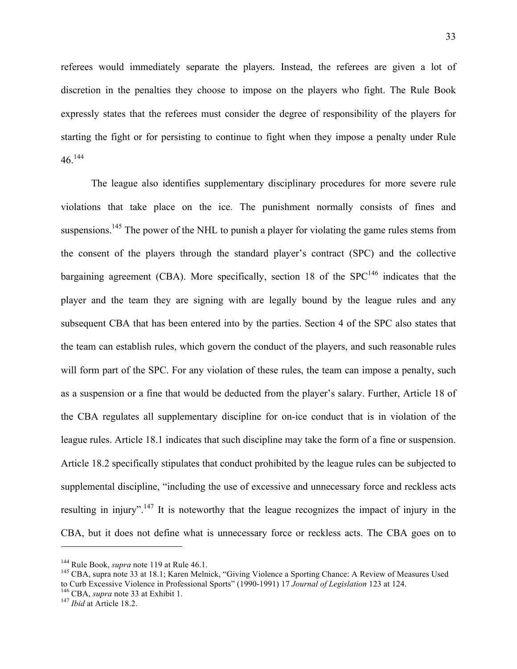referees would immediately separate the players. Instead, the referees are given a lot of discretion in the penalties they choose to impose on the players who fight. The Rule Book expressly states that the referees must consider the degree of responsibility of the players for starting the fight or for persisting to continue to fight when they impose a penalty under Rule  $46^{144}$ 

The league also identifies supplementary disciplinary procedures for more severe rule violations that take place on the ice. The punishment normally consists of fines and suspensions.<sup>145</sup> The power of the NHL to punish a player for violating the game rules stems from the consent of the players through the standard player's contract (SPC) and the collective bargaining agreement (CBA). More specifically, section 18 of the  $SPC<sup>146</sup>$  indicates that the player and the team they are signing with are legally bound by the league rules and any subsequent CBA that has been entered into by the parties. Section 4 of the SPC also states that the team can establish rules, which govern the conduct of the players, and such reasonable rules will form part of the SPC. For any violation of these rules, the team can impose a penalty, such as a suspension or a fine that would be deducted from the player's salary. Further, Article 18 of the CBA regulates all supplementary discipline for on-ice conduct that is in violation of the league rules. Article 18.1 indicates that such discipline may take the form of a fine or suspension. Article 18.2 specifically stipulates that conduct prohibited by the league rules can be subjected to supplemental discipline, "including the use of excessive and unnecessary force and reckless acts resulting in injury".<sup>147</sup> It is noteworthy that the league recognizes the impact of injury in the CBA, but it does not define what is unnecessary force or reckless acts. The CBA goes on to

<sup>&</sup>lt;sup>144</sup> Rule Book, *supra* note 119 at Rule 46.1.<br><sup>145</sup> CBA, supra note 33 at 18.1; Karen Melnick, "Giving Violence a Sporting Chance: A Review of Measures Used to Curb Excessive Violence in Professional Sports" (1990-1991) 17 *Journal of Legislation* 123 at 124. 146 CBA, *supra* note 33 at Exhibit 1. <sup>147</sup> *Ibid* at Article 18.2.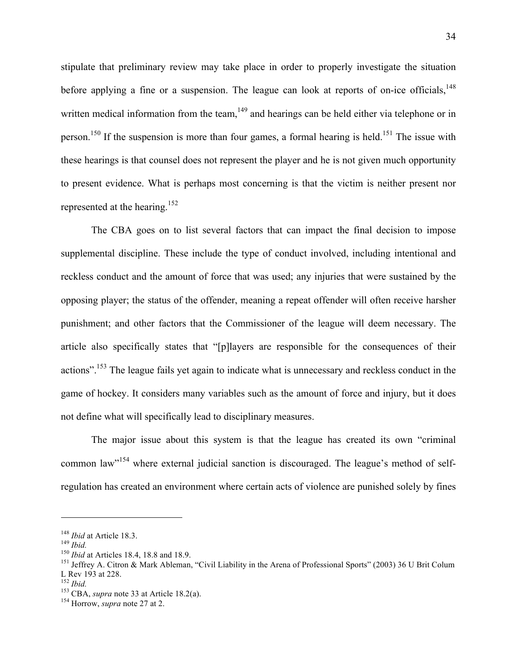stipulate that preliminary review may take place in order to properly investigate the situation before applying a fine or a suspension. The league can look at reports of on-ice officials,  $^{148}$ written medical information from the team,  $149$  and hearings can be held either via telephone or in person.<sup>150</sup> If the suspension is more than four games, a formal hearing is held.<sup>151</sup> The issue with these hearings is that counsel does not represent the player and he is not given much opportunity to present evidence. What is perhaps most concerning is that the victim is neither present nor represented at the hearing.152

The CBA goes on to list several factors that can impact the final decision to impose supplemental discipline. These include the type of conduct involved, including intentional and reckless conduct and the amount of force that was used; any injuries that were sustained by the opposing player; the status of the offender, meaning a repeat offender will often receive harsher punishment; and other factors that the Commissioner of the league will deem necessary. The article also specifically states that "[p]layers are responsible for the consequences of their actions".<sup>153</sup> The league fails yet again to indicate what is unnecessary and reckless conduct in the game of hockey. It considers many variables such as the amount of force and injury, but it does not define what will specifically lead to disciplinary measures.

The major issue about this system is that the league has created its own "criminal common law"154 where external judicial sanction is discouraged. The league's method of selfregulation has created an environment where certain acts of violence are punished solely by fines

<sup>&</sup>lt;sup>148</sup> *Ibid* at Article 18.3.<br><sup>149</sup> *Ibid.*<br><sup>150</sup> *Ibid* at Articles 18.4, 18.8 and 18.9.<br><sup>151</sup> Jeffrey A. Citron & Mark Ableman, "Civil Liability in the Arena of Professional Sports" (2003) 36 U Brit Colum L Rev 193 at 228.<br><sup>152</sup> *Ibid.* 

<sup>152</sup> *Ibid.* 153 CBA, *supra* note 33 at Article 18.2(a). 154 Horrow, *supra* note 27 at 2.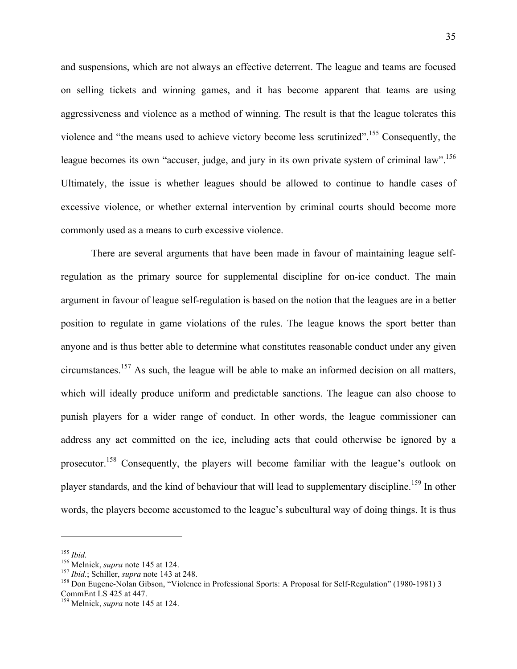and suspensions, which are not always an effective deterrent. The league and teams are focused on selling tickets and winning games, and it has become apparent that teams are using aggressiveness and violence as a method of winning. The result is that the league tolerates this violence and "the means used to achieve victory become less scrutinized".155 Consequently, the league becomes its own "accuser, judge, and jury in its own private system of criminal law".<sup>156</sup> Ultimately, the issue is whether leagues should be allowed to continue to handle cases of excessive violence, or whether external intervention by criminal courts should become more commonly used as a means to curb excessive violence.

There are several arguments that have been made in favour of maintaining league selfregulation as the primary source for supplemental discipline for on-ice conduct. The main argument in favour of league self-regulation is based on the notion that the leagues are in a better position to regulate in game violations of the rules. The league knows the sport better than anyone and is thus better able to determine what constitutes reasonable conduct under any given circumstances.<sup>157</sup> As such, the league will be able to make an informed decision on all matters, which will ideally produce uniform and predictable sanctions. The league can also choose to punish players for a wider range of conduct. In other words, the league commissioner can address any act committed on the ice, including acts that could otherwise be ignored by a prosecutor.<sup>158</sup> Consequently, the players will become familiar with the league's outlook on player standards, and the kind of behaviour that will lead to supplementary discipline.<sup>159</sup> In other words, the players become accustomed to the league's subcultural way of doing things. It is thus

<sup>&</sup>lt;sup>155</sup> Ibid.<br><sup>156</sup> Melnick, *supra* note 145 at 124.<br><sup>157</sup> Ibid.; Schiller, *supra* note 143 at 248.<br><sup>158</sup> Don Eugene-Nolan Gibson, "Violence in Professional Sports: A Proposal for Self-Regulation" (1980-1981) 3 CommEnt LS 425 at 447.

<sup>159</sup> Melnick, *supra* note 145 at 124.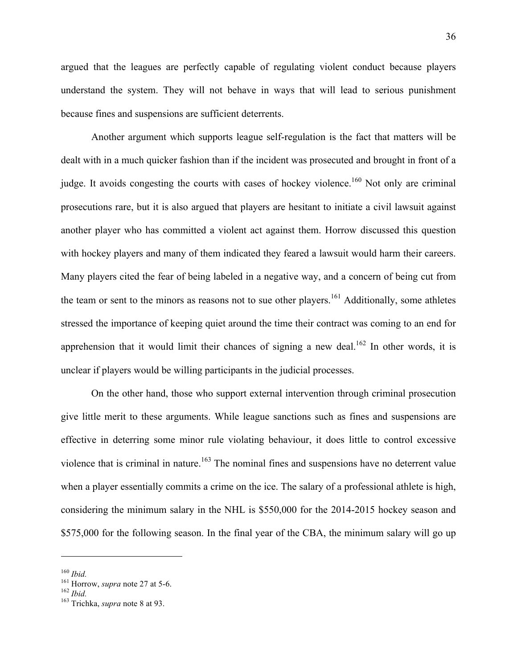argued that the leagues are perfectly capable of regulating violent conduct because players understand the system. They will not behave in ways that will lead to serious punishment because fines and suspensions are sufficient deterrents.

Another argument which supports league self-regulation is the fact that matters will be dealt with in a much quicker fashion than if the incident was prosecuted and brought in front of a judge. It avoids congesting the courts with cases of hockey violence.<sup>160</sup> Not only are criminal prosecutions rare, but it is also argued that players are hesitant to initiate a civil lawsuit against another player who has committed a violent act against them. Horrow discussed this question with hockey players and many of them indicated they feared a lawsuit would harm their careers. Many players cited the fear of being labeled in a negative way, and a concern of being cut from the team or sent to the minors as reasons not to sue other players.<sup>161</sup> Additionally, some athletes stressed the importance of keeping quiet around the time their contract was coming to an end for apprehension that it would limit their chances of signing a new deal.<sup>162</sup> In other words, it is unclear if players would be willing participants in the judicial processes.

On the other hand, those who support external intervention through criminal prosecution give little merit to these arguments. While league sanctions such as fines and suspensions are effective in deterring some minor rule violating behaviour, it does little to control excessive violence that is criminal in nature.<sup>163</sup> The nominal fines and suspensions have no deterrent value when a player essentially commits a crime on the ice. The salary of a professional athlete is high, considering the minimum salary in the NHL is \$550,000 for the 2014-2015 hockey season and \$575,000 for the following season. In the final year of the CBA, the minimum salary will go up

<sup>160</sup> *Ibid.* 161 Horrow, *supra* note 27 at 5-6. <sup>162</sup> *Ibid.* 163 Trichka, *supra* note 8 at 93.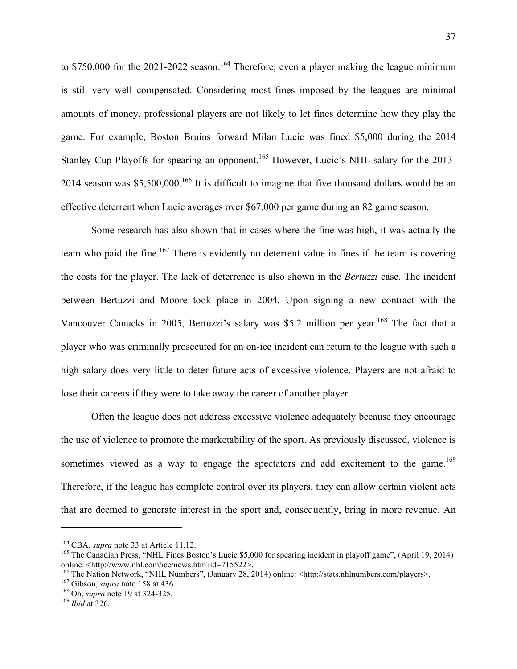to  $$750,000$  for the 2021-2022 season.<sup>164</sup> Therefore, even a player making the league minimum is still very well compensated. Considering most fines imposed by the leagues are minimal amounts of money, professional players are not likely to let fines determine how they play the game. For example, Boston Bruins forward Milan Lucic was fined \$5,000 during the 2014 Stanley Cup Playoffs for spearing an opponent.<sup>165</sup> However, Lucic's NHL salary for the 2013-2014 season was \$5,500,000.<sup>166</sup> It is difficult to imagine that five thousand dollars would be an effective deterrent when Lucic averages over \$67,000 per game during an 82 game season.

Some research has also shown that in cases where the fine was high, it was actually the team who paid the fine.<sup>167</sup> There is evidently no deterrent value in fines if the team is covering the costs for the player. The lack of deterrence is also shown in the *Bertuzzi* case. The incident between Bertuzzi and Moore took place in 2004. Upon signing a new contract with the Vancouver Canucks in 2005, Bertuzzi's salary was \$5.2 million per year.<sup>168</sup> The fact that a player who was criminally prosecuted for an on-ice incident can return to the league with such a high salary does very little to deter future acts of excessive violence. Players are not afraid to lose their careers if they were to take away the career of another player.

Often the league does not address excessive violence adequately because they encourage the use of violence to promote the marketability of the sport. As previously discussed, violence is sometimes viewed as a way to engage the spectators and add excitement to the game.<sup>169</sup> Therefore, if the league has complete control over its players, they can allow certain violent acts that are deemed to generate interest in the sport and, consequently, bring in more revenue. An

<sup>&</sup>lt;sup>164</sup> CBA, *supra* note 33 at Article 11.12.<br><sup>165</sup> The Canadian Press, "NHL Fines Boston's Lucic \$5,000 for spearing incident in playoff game", (April 19, 2014)<br>online: <http://www.nhl.com/ice/news.htm?id=715522>.

<sup>&</sup>lt;sup>166</sup> The Nation Network, "NHL Numbers", (January 28, 2014) online: <http://stats.nhlnumbers.com/players>.<br><sup>167</sup> Gibson, *supra* note 158 at 436.<br><sup>168</sup> Oh, *supra* note 19 at 324-325.<br><sup>168</sup> Ibid at 326.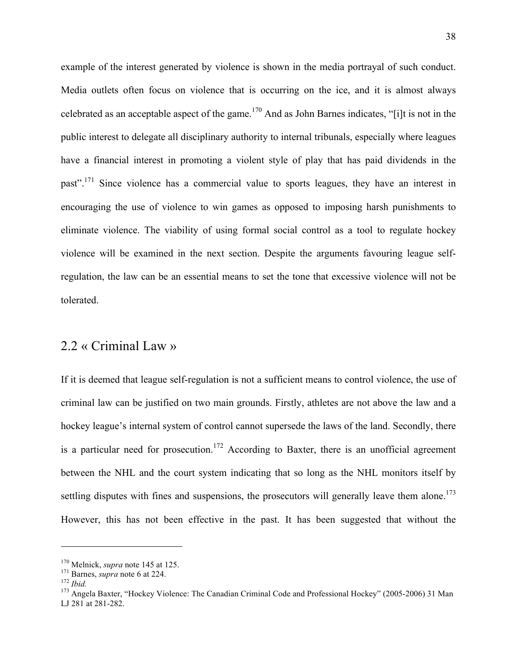example of the interest generated by violence is shown in the media portrayal of such conduct. Media outlets often focus on violence that is occurring on the ice, and it is almost always celebrated as an acceptable aspect of the game.<sup>170</sup> And as John Barnes indicates, "[i]t is not in the public interest to delegate all disciplinary authority to internal tribunals, especially where leagues have a financial interest in promoting a violent style of play that has paid dividends in the past".<sup>171</sup> Since violence has a commercial value to sports leagues, they have an interest in encouraging the use of violence to win games as opposed to imposing harsh punishments to eliminate violence. The viability of using formal social control as a tool to regulate hockey violence will be examined in the next section. Despite the arguments favouring league selfregulation, the law can be an essential means to set the tone that excessive violence will not be tolerated.

### 2.2 « Criminal Law »

If it is deemed that league self-regulation is not a sufficient means to control violence, the use of criminal law can be justified on two main grounds. Firstly, athletes are not above the law and a hockey league's internal system of control cannot supersede the laws of the land. Secondly, there is a particular need for prosecution.<sup>172</sup> According to Baxter, there is an unofficial agreement between the NHL and the court system indicating that so long as the NHL monitors itself by settling disputes with fines and suspensions, the prosecutors will generally leave them alone.<sup>173</sup> However, this has not been effective in the past. It has been suggested that without the

<sup>&</sup>lt;sup>170</sup> Melnick, *supra* note 145 at 125.<br><sup>171</sup> Barnes, *supra* note 6 at 224.<br><sup>172</sup> *Ibid.* 173 Angela Baxter, "Hockey Violence: The Canadian Criminal Code and Professional Hockey" (2005-2006) 31 Man LJ 281 at 281-282.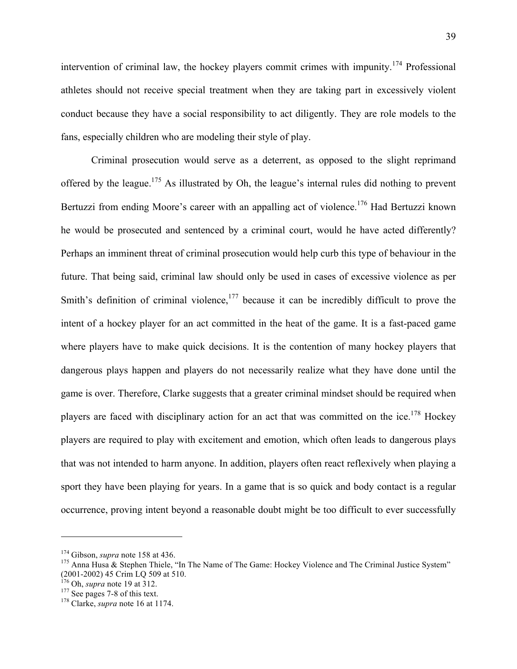intervention of criminal law, the hockey players commit crimes with impunity.<sup>174</sup> Professional athletes should not receive special treatment when they are taking part in excessively violent conduct because they have a social responsibility to act diligently. They are role models to the fans, especially children who are modeling their style of play.

Criminal prosecution would serve as a deterrent, as opposed to the slight reprimand offered by the league.175 As illustrated by Oh, the league's internal rules did nothing to prevent Bertuzzi from ending Moore's career with an appalling act of violence.<sup>176</sup> Had Bertuzzi known he would be prosecuted and sentenced by a criminal court, would he have acted differently? Perhaps an imminent threat of criminal prosecution would help curb this type of behaviour in the future. That being said, criminal law should only be used in cases of excessive violence as per Smith's definition of criminal violence, $177$  because it can be incredibly difficult to prove the intent of a hockey player for an act committed in the heat of the game. It is a fast-paced game where players have to make quick decisions. It is the contention of many hockey players that dangerous plays happen and players do not necessarily realize what they have done until the game is over. Therefore, Clarke suggests that a greater criminal mindset should be required when players are faced with disciplinary action for an act that was committed on the ice.<sup>178</sup> Hockey players are required to play with excitement and emotion, which often leads to dangerous plays that was not intended to harm anyone. In addition, players often react reflexively when playing a sport they have been playing for years. In a game that is so quick and body contact is a regular occurrence, proving intent beyond a reasonable doubt might be too difficult to ever successfully

<sup>&</sup>lt;sup>174</sup> Gibson, *supra* note 158 at 436.<br><sup>175</sup> Anna Husa & Stephen Thiele, "In The Name of The Game: Hockey Violence and The Criminal Justice System" (2001-2002) 45 Crim LQ 509 at 510. 176 Oh, *supra* note 19 at 312. 177 See pages 7-8 of this text. 178 Clarke, *supra* note 16 at 1174.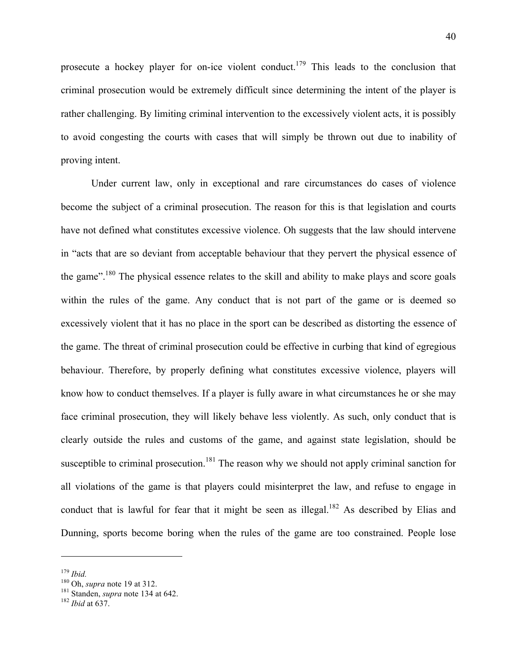prosecute a hockey player for on-ice violent conduct.<sup>179</sup> This leads to the conclusion that criminal prosecution would be extremely difficult since determining the intent of the player is rather challenging. By limiting criminal intervention to the excessively violent acts, it is possibly to avoid congesting the courts with cases that will simply be thrown out due to inability of proving intent.

Under current law, only in exceptional and rare circumstances do cases of violence become the subject of a criminal prosecution. The reason for this is that legislation and courts have not defined what constitutes excessive violence. Oh suggests that the law should intervene in "acts that are so deviant from acceptable behaviour that they pervert the physical essence of the game".<sup>180</sup> The physical essence relates to the skill and ability to make plays and score goals within the rules of the game. Any conduct that is not part of the game or is deemed so excessively violent that it has no place in the sport can be described as distorting the essence of the game. The threat of criminal prosecution could be effective in curbing that kind of egregious behaviour. Therefore, by properly defining what constitutes excessive violence, players will know how to conduct themselves. If a player is fully aware in what circumstances he or she may face criminal prosecution, they will likely behave less violently. As such, only conduct that is clearly outside the rules and customs of the game, and against state legislation, should be susceptible to criminal prosecution.<sup>181</sup> The reason why we should not apply criminal sanction for all violations of the game is that players could misinterpret the law, and refuse to engage in conduct that is lawful for fear that it might be seen as illegal.<sup>182</sup> As described by Elias and Dunning, sports become boring when the rules of the game are too constrained. People lose

<sup>&</sup>lt;sup>179</sup> *Ibid.* 180 Oh, *supra* note 19 at 312.<br><sup>181</sup> Standen, *supra* note 134 at 642.<br><sup>182</sup> *Ibid* at 637.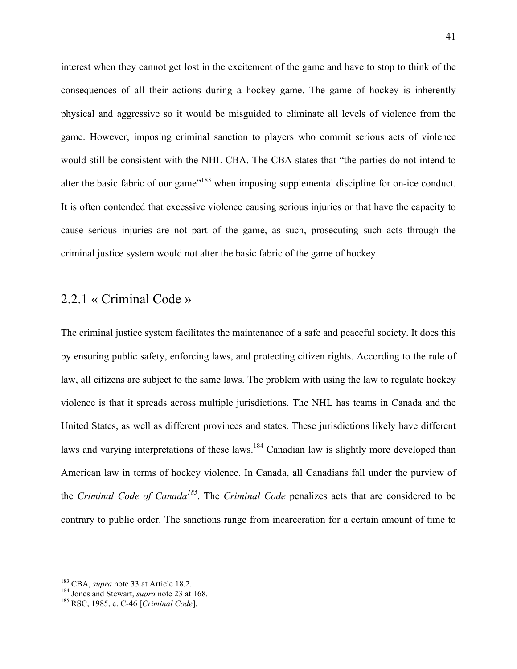interest when they cannot get lost in the excitement of the game and have to stop to think of the consequences of all their actions during a hockey game. The game of hockey is inherently physical and aggressive so it would be misguided to eliminate all levels of violence from the game. However, imposing criminal sanction to players who commit serious acts of violence would still be consistent with the NHL CBA. The CBA states that "the parties do not intend to alter the basic fabric of our game<sup>"183</sup> when imposing supplemental discipline for on-ice conduct. It is often contended that excessive violence causing serious injuries or that have the capacity to cause serious injuries are not part of the game, as such, prosecuting such acts through the criminal justice system would not alter the basic fabric of the game of hockey.

## 2.2.1 « Criminal Code »

The criminal justice system facilitates the maintenance of a safe and peaceful society. It does this by ensuring public safety, enforcing laws, and protecting citizen rights. According to the rule of law, all citizens are subject to the same laws. The problem with using the law to regulate hockey violence is that it spreads across multiple jurisdictions. The NHL has teams in Canada and the United States, as well as different provinces and states. These jurisdictions likely have different laws and varying interpretations of these laws.<sup>184</sup> Canadian law is slightly more developed than American law in terms of hockey violence. In Canada, all Canadians fall under the purview of the *Criminal Code of Canada<sup>185</sup>*. The *Criminal Code* penalizes acts that are considered to be contrary to public order. The sanctions range from incarceration for a certain amount of time to

<sup>&</sup>lt;sup>183</sup> CBA, *supra* note 33 at Article 18.2.<br><sup>184</sup> Jones and Stewart, *supra* note 23 at 168.<br><sup>185</sup> RSC, 1985, c. C-46 [*Criminal Code*].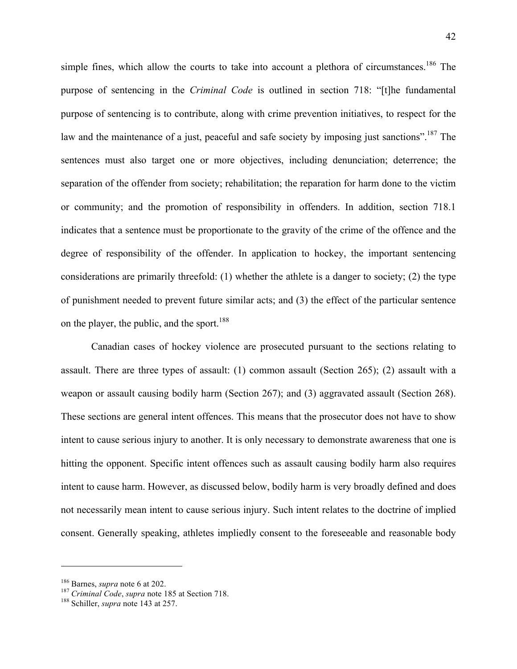simple fines, which allow the courts to take into account a plethora of circumstances.<sup>186</sup> The purpose of sentencing in the *Criminal Code* is outlined in section 718: "[t]he fundamental purpose of sentencing is to contribute, along with crime prevention initiatives, to respect for the law and the maintenance of a just, peaceful and safe society by imposing just sanctions".<sup>187</sup> The sentences must also target one or more objectives, including denunciation; deterrence; the separation of the offender from society; rehabilitation; the reparation for harm done to the victim or community; and the promotion of responsibility in offenders. In addition, section 718.1 indicates that a sentence must be proportionate to the gravity of the crime of the offence and the degree of responsibility of the offender. In application to hockey, the important sentencing considerations are primarily threefold: (1) whether the athlete is a danger to society; (2) the type of punishment needed to prevent future similar acts; and (3) the effect of the particular sentence on the player, the public, and the sport. $188$ 

Canadian cases of hockey violence are prosecuted pursuant to the sections relating to assault. There are three types of assault: (1) common assault (Section 265); (2) assault with a weapon or assault causing bodily harm (Section 267); and (3) aggravated assault (Section 268). These sections are general intent offences. This means that the prosecutor does not have to show intent to cause serious injury to another. It is only necessary to demonstrate awareness that one is hitting the opponent. Specific intent offences such as assault causing bodily harm also requires intent to cause harm. However, as discussed below, bodily harm is very broadly defined and does not necessarily mean intent to cause serious injury. Such intent relates to the doctrine of implied consent. Generally speaking, athletes impliedly consent to the foreseeable and reasonable body

<sup>&</sup>lt;sup>186</sup> Barnes, *supra* note 6 at 202.<br><sup>187</sup> *Criminal Code, supra* note 185 at Section 718.<br><sup>188</sup> Schiller, *supra* note 143 at 257.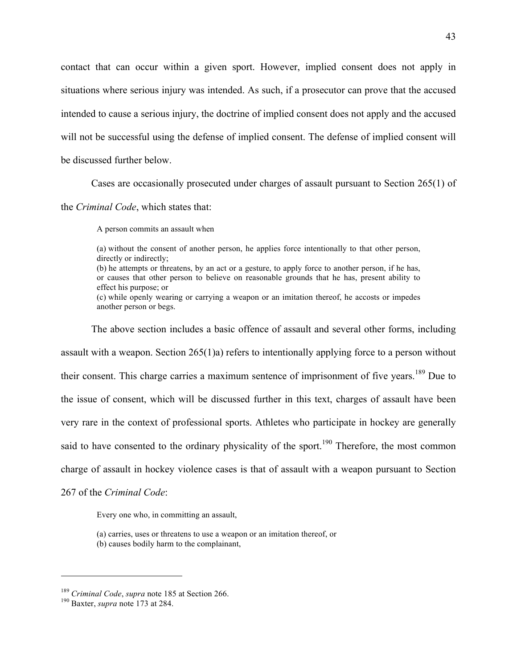contact that can occur within a given sport. However, implied consent does not apply in situations where serious injury was intended. As such, if a prosecutor can prove that the accused intended to cause a serious injury, the doctrine of implied consent does not apply and the accused will not be successful using the defense of implied consent. The defense of implied consent will be discussed further below.

Cases are occasionally prosecuted under charges of assault pursuant to Section 265(1) of

the *Criminal Code*, which states that:

A person commits an assault when

(a) without the consent of another person, he applies force intentionally to that other person, directly or indirectly;

(b) he attempts or threatens, by an act or a gesture, to apply force to another person, if he has, or causes that other person to believe on reasonable grounds that he has, present ability to effect his purpose; or

(c) while openly wearing or carrying a weapon or an imitation thereof, he accosts or impedes another person or begs.

The above section includes a basic offence of assault and several other forms, including assault with a weapon. Section 265(1)a) refers to intentionally applying force to a person without their consent. This charge carries a maximum sentence of imprisonment of five years.<sup>189</sup> Due to the issue of consent, which will be discussed further in this text, charges of assault have been very rare in the context of professional sports. Athletes who participate in hockey are generally said to have consented to the ordinary physicality of the sport.<sup>190</sup> Therefore, the most common charge of assault in hockey violence cases is that of assault with a weapon pursuant to Section

267 of the *Criminal Code*:

Every one who, in committing an assault,

- (a) carries, uses or threatens to use a weapon or an imitation thereof, or
- (b) causes bodily harm to the complainant,

<sup>189</sup> *Criminal Code*, *supra* note 185 at Section 266. 190 Baxter, *supra* note 173 at 284.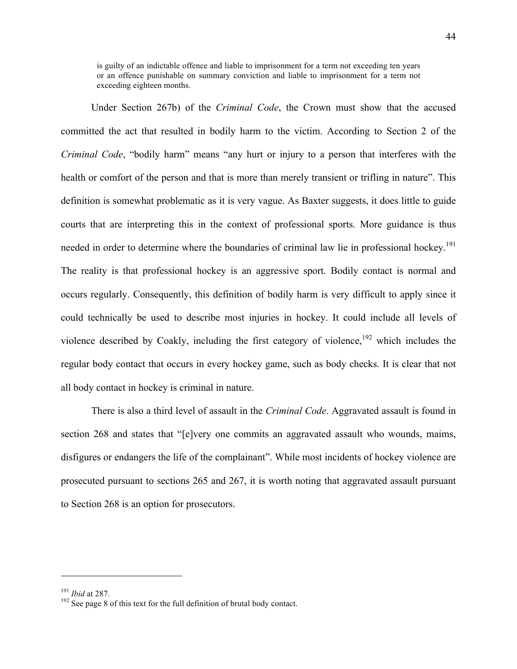is guilty of an indictable offence and liable to imprisonment for a term not exceeding ten years or an offence punishable on summary conviction and liable to imprisonment for a term not exceeding eighteen months.

Under Section 267b) of the *Criminal Code*, the Crown must show that the accused committed the act that resulted in bodily harm to the victim. According to Section 2 of the *Criminal Code*, "bodily harm" means "any hurt or injury to a person that interferes with the health or comfort of the person and that is more than merely transient or trifling in nature". This definition is somewhat problematic as it is very vague. As Baxter suggests, it does little to guide courts that are interpreting this in the context of professional sports. More guidance is thus needed in order to determine where the boundaries of criminal law lie in professional hockey.<sup>191</sup> The reality is that professional hockey is an aggressive sport. Bodily contact is normal and occurs regularly. Consequently, this definition of bodily harm is very difficult to apply since it could technically be used to describe most injuries in hockey. It could include all levels of violence described by Coakly, including the first category of violence,<sup>192</sup> which includes the regular body contact that occurs in every hockey game, such as body checks. It is clear that not all body contact in hockey is criminal in nature.

There is also a third level of assault in the *Criminal Code*. Aggravated assault is found in section 268 and states that "[e]very one commits an aggravated assault who wounds, maims, disfigures or endangers the life of the complainant". While most incidents of hockey violence are prosecuted pursuant to sections 265 and 267, it is worth noting that aggravated assault pursuant to Section 268 is an option for prosecutors.

<sup>&</sup>lt;sup>191</sup> *Ibid* at 287.<br><sup>192</sup> See page 8 of this text for the full definition of brutal body contact.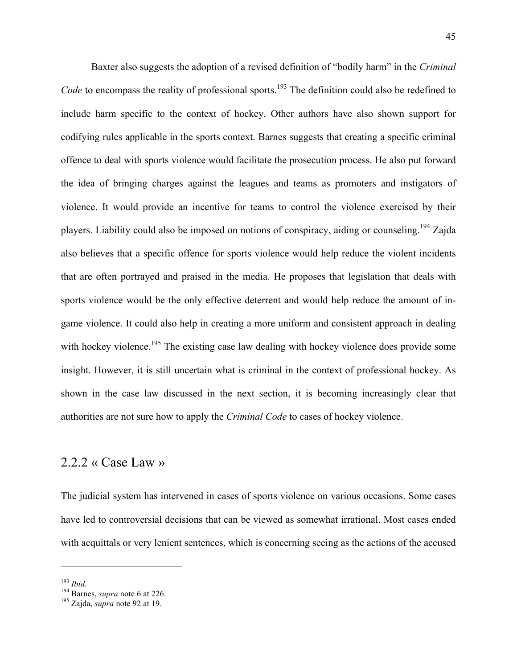Baxter also suggests the adoption of a revised definition of "bodily harm" in the *Criminal Code* to encompass the reality of professional sports.<sup>193</sup> The definition could also be redefined to include harm specific to the context of hockey. Other authors have also shown support for codifying rules applicable in the sports context. Barnes suggests that creating a specific criminal offence to deal with sports violence would facilitate the prosecution process. He also put forward the idea of bringing charges against the leagues and teams as promoters and instigators of violence. It would provide an incentive for teams to control the violence exercised by their players. Liability could also be imposed on notions of conspiracy, aiding or counseling.194 Zajda also believes that a specific offence for sports violence would help reduce the violent incidents that are often portrayed and praised in the media. He proposes that legislation that deals with sports violence would be the only effective deterrent and would help reduce the amount of ingame violence. It could also help in creating a more uniform and consistent approach in dealing with hockey violence.<sup>195</sup> The existing case law dealing with hockey violence does provide some insight. However, it is still uncertain what is criminal in the context of professional hockey. As shown in the case law discussed in the next section, it is becoming increasingly clear that authorities are not sure how to apply the *Criminal Code* to cases of hockey violence.

#### 2.2.2 « Case Law »

The judicial system has intervened in cases of sports violence on various occasions. Some cases have led to controversial decisions that can be viewed as somewhat irrational. Most cases ended with acquittals or very lenient sentences, which is concerning seeing as the actions of the accused

<sup>193</sup> *Ibid.* 194 Barnes, *supra* note 6 at 226. 195 Zajda, *supra* note 92 at 19.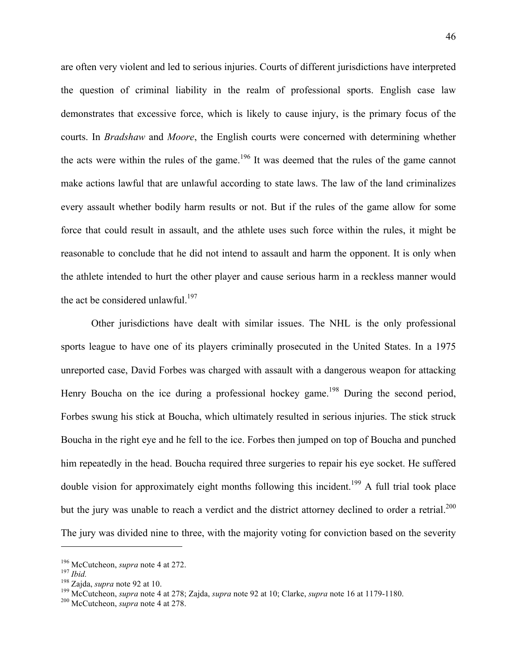are often very violent and led to serious injuries. Courts of different jurisdictions have interpreted the question of criminal liability in the realm of professional sports. English case law demonstrates that excessive force, which is likely to cause injury, is the primary focus of the courts. In *Bradshaw* and *Moore*, the English courts were concerned with determining whether the acts were within the rules of the game.<sup>196</sup> It was deemed that the rules of the game cannot make actions lawful that are unlawful according to state laws. The law of the land criminalizes every assault whether bodily harm results or not. But if the rules of the game allow for some force that could result in assault, and the athlete uses such force within the rules, it might be reasonable to conclude that he did not intend to assault and harm the opponent. It is only when the athlete intended to hurt the other player and cause serious harm in a reckless manner would the act be considered unlawful.<sup>197</sup>

Other jurisdictions have dealt with similar issues. The NHL is the only professional sports league to have one of its players criminally prosecuted in the United States. In a 1975 unreported case, David Forbes was charged with assault with a dangerous weapon for attacking Henry Boucha on the ice during a professional hockey game.<sup>198</sup> During the second period, Forbes swung his stick at Boucha, which ultimately resulted in serious injuries. The stick struck Boucha in the right eye and he fell to the ice. Forbes then jumped on top of Boucha and punched him repeatedly in the head. Boucha required three surgeries to repair his eye socket. He suffered double vision for approximately eight months following this incident.<sup>199</sup> A full trial took place but the jury was unable to reach a verdict and the district attorney declined to order a retrial.<sup>200</sup> The jury was divided nine to three, with the majority voting for conviction based on the severity

<sup>&</sup>lt;sup>196</sup> McCutcheon, *supra* note 4 at 272.<br><sup>197</sup> *Ibid.*<br><sup>198</sup> Zajda, *supra* note 92 at 10.<br><sup>198</sup> McCutcheon, *supra* note 4 at 278; Zajda, *supra* note 92 at 10; Clarke, *supra* note 16 at 1179-1180.<br><sup>200</sup> McCutcheon, *su*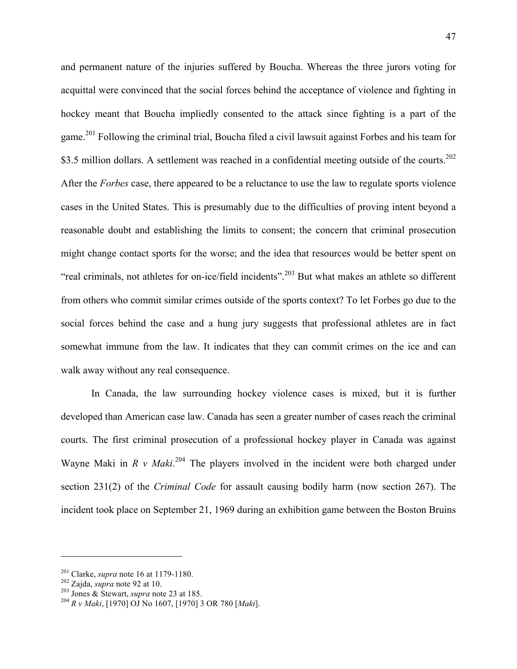and permanent nature of the injuries suffered by Boucha. Whereas the three jurors voting for acquittal were convinced that the social forces behind the acceptance of violence and fighting in hockey meant that Boucha impliedly consented to the attack since fighting is a part of the game.201 Following the criminal trial, Boucha filed a civil lawsuit against Forbes and his team for \$3.5 million dollars. A settlement was reached in a confidential meeting outside of the courts.<sup>202</sup> After the *Forbes* case, there appeared to be a reluctance to use the law to regulate sports violence cases in the United States. This is presumably due to the difficulties of proving intent beyond a reasonable doubt and establishing the limits to consent; the concern that criminal prosecution might change contact sports for the worse; and the idea that resources would be better spent on "real criminals, not athletes for on-ice/field incidents".<sup>203</sup> But what makes an athlete so different from others who commit similar crimes outside of the sports context? To let Forbes go due to the social forces behind the case and a hung jury suggests that professional athletes are in fact somewhat immune from the law. It indicates that they can commit crimes on the ice and can walk away without any real consequence.

In Canada, the law surrounding hockey violence cases is mixed, but it is further developed than American case law. Canada has seen a greater number of cases reach the criminal courts. The first criminal prosecution of a professional hockey player in Canada was against Wayne Maki in  $R$  v Maki.<sup>204</sup> The players involved in the incident were both charged under section 231(2) of the *Criminal Code* for assault causing bodily harm (now section 267). The incident took place on September 21, 1969 during an exhibition game between the Boston Bruins

<sup>&</sup>lt;sup>201</sup> Clarke, *supra* note 16 at 1179-1180.<br><sup>202</sup> Zajda, *supra* note 92 at 10.<br><sup>203</sup> Jones & Stewart, *supra* note 23 at 185.<br><sup>204</sup> *R v Maki*, [1970] OJ No 1607, [1970] 3 OR 780 [*Maki*].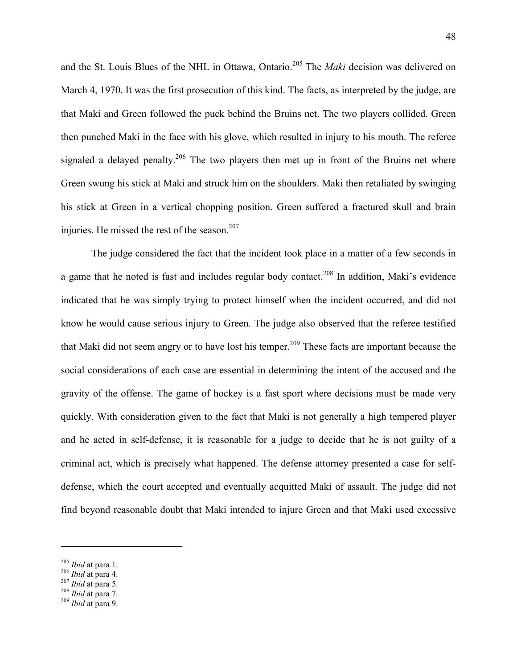and the St. Louis Blues of the NHL in Ottawa, Ontario.<sup>205</sup> The *Maki* decision was delivered on March 4, 1970. It was the first prosecution of this kind. The facts, as interpreted by the judge, are that Maki and Green followed the puck behind the Bruins net. The two players collided. Green then punched Maki in the face with his glove, which resulted in injury to his mouth. The referee signaled a delayed penalty.<sup>206</sup> The two players then met up in front of the Bruins net where Green swung his stick at Maki and struck him on the shoulders. Maki then retaliated by swinging his stick at Green in a vertical chopping position. Green suffered a fractured skull and brain injuries. He missed the rest of the season. $207$ 

The judge considered the fact that the incident took place in a matter of a few seconds in a game that he noted is fast and includes regular body contact.<sup>208</sup> In addition, Maki's evidence indicated that he was simply trying to protect himself when the incident occurred, and did not know he would cause serious injury to Green. The judge also observed that the referee testified that Maki did not seem angry or to have lost his temper.<sup>209</sup> These facts are important because the social considerations of each case are essential in determining the intent of the accused and the gravity of the offense. The game of hockey is a fast sport where decisions must be made very quickly. With consideration given to the fact that Maki is not generally a high tempered player and he acted in self-defense, it is reasonable for a judge to decide that he is not guilty of a criminal act, which is precisely what happened. The defense attorney presented a case for selfdefense, which the court accepted and eventually acquitted Maki of assault. The judge did not find beyond reasonable doubt that Maki intended to injure Green and that Maki used excessive

<sup>205</sup> *Ibid* at para 1. 206 *Ibid* at para 4. <sup>207</sup> *Ibid* at para 5. <sup>208</sup> *Ibid* at para 7. <sup>209</sup> *Ibid* at para 9.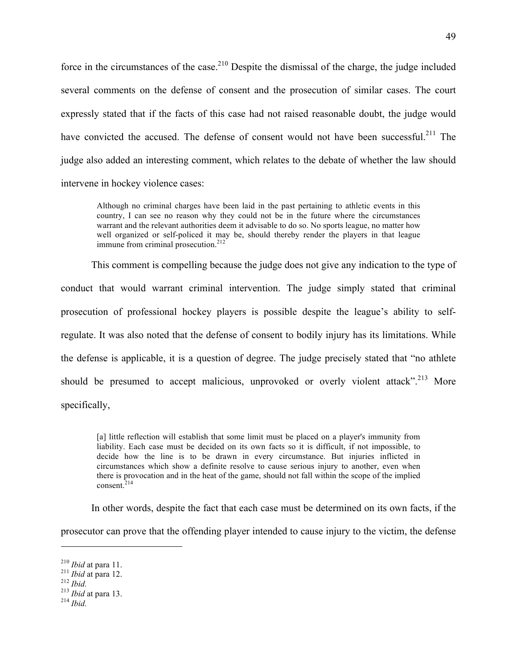force in the circumstances of the case.<sup>210</sup> Despite the dismissal of the charge, the judge included several comments on the defense of consent and the prosecution of similar cases. The court expressly stated that if the facts of this case had not raised reasonable doubt, the judge would have convicted the accused. The defense of consent would not have been successful.<sup>211</sup> The judge also added an interesting comment, which relates to the debate of whether the law should intervene in hockey violence cases:

Although no criminal charges have been laid in the past pertaining to athletic events in this country, I can see no reason why they could not be in the future where the circumstances warrant and the relevant authorities deem it advisable to do so. No sports league, no matter how well organized or self-policed it may be, should thereby render the players in that league immune from criminal prosecution.<sup>212</sup>

This comment is compelling because the judge does not give any indication to the type of conduct that would warrant criminal intervention. The judge simply stated that criminal prosecution of professional hockey players is possible despite the league's ability to selfregulate. It was also noted that the defense of consent to bodily injury has its limitations. While the defense is applicable, it is a question of degree. The judge precisely stated that "no athlete should be presumed to accept malicious, unprovoked or overly violent attack".<sup>213</sup> More specifically,

[a] little reflection will establish that some limit must be placed on a player's immunity from liability. Each case must be decided on its own facts so it is difficult, if not impossible, to decide how the line is to be drawn in every circumstance. But injuries inflicted in circumstances which show a definite resolve to cause serious injury to another, even when there is provocation and in the heat of the game, should not fall within the scope of the implied consent. $214$ 

In other words, despite the fact that each case must be determined on its own facts, if the

prosecutor can prove that the offending player intended to cause injury to the victim, the defense

<sup>210</sup> *Ibid* at para 11. <sup>211</sup> *Ibid* at para 12. <sup>212</sup> *Ibid.* <sup>213</sup> *Ibid* at para 13. <sup>214</sup> *Ibid.*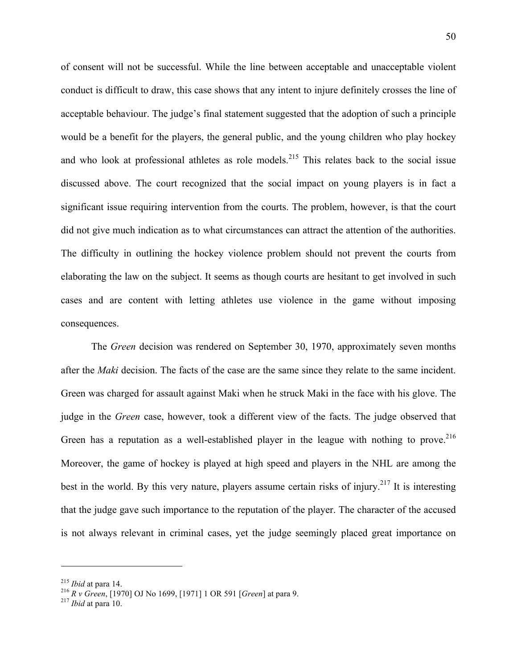of consent will not be successful. While the line between acceptable and unacceptable violent conduct is difficult to draw, this case shows that any intent to injure definitely crosses the line of acceptable behaviour. The judge's final statement suggested that the adoption of such a principle would be a benefit for the players, the general public, and the young children who play hockey and who look at professional athletes as role models.<sup>215</sup> This relates back to the social issue discussed above. The court recognized that the social impact on young players is in fact a significant issue requiring intervention from the courts. The problem, however, is that the court did not give much indication as to what circumstances can attract the attention of the authorities. The difficulty in outlining the hockey violence problem should not prevent the courts from elaborating the law on the subject. It seems as though courts are hesitant to get involved in such cases and are content with letting athletes use violence in the game without imposing consequences.

The *Green* decision was rendered on September 30, 1970, approximately seven months after the *Maki* decision. The facts of the case are the same since they relate to the same incident. Green was charged for assault against Maki when he struck Maki in the face with his glove. The judge in the *Green* case, however, took a different view of the facts. The judge observed that Green has a reputation as a well-established player in the league with nothing to prove.<sup>216</sup> Moreover, the game of hockey is played at high speed and players in the NHL are among the best in the world. By this very nature, players assume certain risks of injury.<sup>217</sup> It is interesting that the judge gave such importance to the reputation of the player. The character of the accused is not always relevant in criminal cases, yet the judge seemingly placed great importance on

<sup>215</sup> *Ibid* at para 14. <sup>216</sup> *R v Green*, [1970] OJ No 1699, [1971] 1 OR 591 [*Green*] at para 9. <sup>217</sup> *Ibid* at para 10.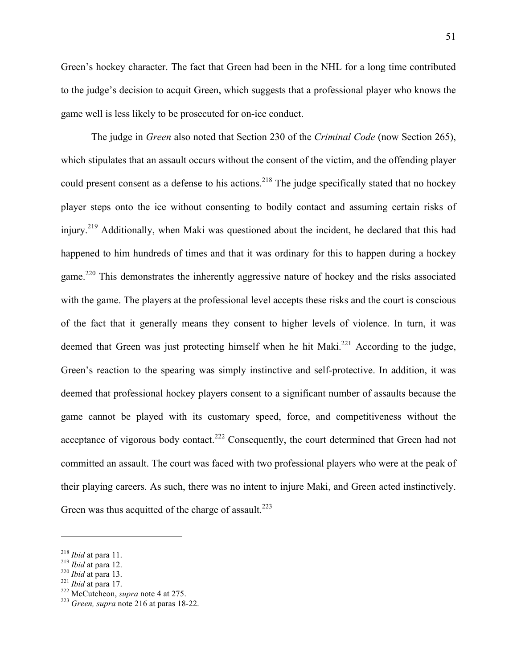Green's hockey character. The fact that Green had been in the NHL for a long time contributed to the judge's decision to acquit Green, which suggests that a professional player who knows the game well is less likely to be prosecuted for on-ice conduct.

The judge in *Green* also noted that Section 230 of the *Criminal Code* (now Section 265), which stipulates that an assault occurs without the consent of the victim, and the offending player could present consent as a defense to his actions.<sup>218</sup> The judge specifically stated that no hockey player steps onto the ice without consenting to bodily contact and assuming certain risks of injury.<sup>219</sup> Additionally, when Maki was questioned about the incident, he declared that this had happened to him hundreds of times and that it was ordinary for this to happen during a hockey game.<sup>220</sup> This demonstrates the inherently aggressive nature of hockey and the risks associated with the game. The players at the professional level accepts these risks and the court is conscious of the fact that it generally means they consent to higher levels of violence. In turn, it was deemed that Green was just protecting himself when he hit Maki.<sup>221</sup> According to the judge, Green's reaction to the spearing was simply instinctive and self-protective. In addition, it was deemed that professional hockey players consent to a significant number of assaults because the game cannot be played with its customary speed, force, and competitiveness without the acceptance of vigorous body contact.<sup>222</sup> Consequently, the court determined that Green had not committed an assault. The court was faced with two professional players who were at the peak of their playing careers. As such, there was no intent to injure Maki, and Green acted instinctively. Green was thus acquitted of the charge of assault.<sup>223</sup>

<sup>218</sup> *Ibid* at para 11. <sup>219</sup> *Ibid* at para 12. <sup>220</sup> *Ibid* at para 13. <sup>221</sup> *Ibid* at para 17. 222 McCutcheon, *supra* note 4 at 275. <sup>223</sup> *Green, supra* note 216 at paras 18-22.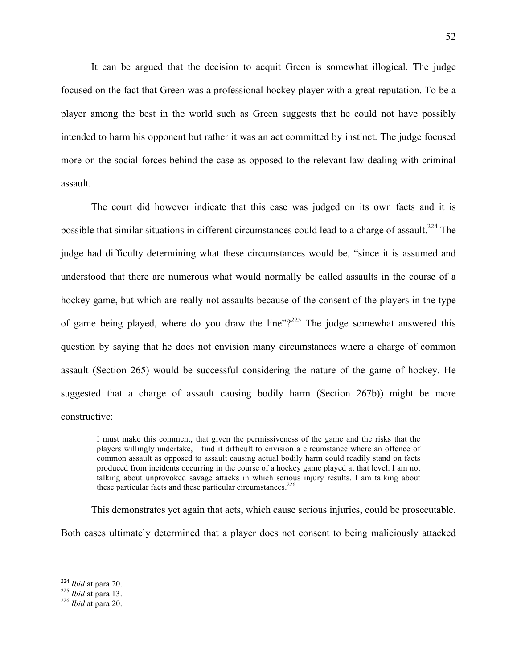It can be argued that the decision to acquit Green is somewhat illogical. The judge focused on the fact that Green was a professional hockey player with a great reputation. To be a player among the best in the world such as Green suggests that he could not have possibly intended to harm his opponent but rather it was an act committed by instinct. The judge focused more on the social forces behind the case as opposed to the relevant law dealing with criminal assault.

The court did however indicate that this case was judged on its own facts and it is possible that similar situations in different circumstances could lead to a charge of assault.<sup>224</sup> The judge had difficulty determining what these circumstances would be, "since it is assumed and understood that there are numerous what would normally be called assaults in the course of a hockey game, but which are really not assaults because of the consent of the players in the type of game being played, where do you draw the line"?<sup>225</sup> The judge somewhat answered this question by saying that he does not envision many circumstances where a charge of common assault (Section 265) would be successful considering the nature of the game of hockey. He suggested that a charge of assault causing bodily harm (Section 267b)) might be more constructive:

I must make this comment, that given the permissiveness of the game and the risks that the players willingly undertake, I find it difficult to envision a circumstance where an offence of common assault as opposed to assault causing actual bodily harm could readily stand on facts produced from incidents occurring in the course of a hockey game played at that level. I am not talking about unprovoked savage attacks in which serious injury results. I am talking about these particular facts and these particular circumstances. $226$ 

This demonstrates yet again that acts, which cause serious injuries, could be prosecutable.

Both cases ultimately determined that a player does not consent to being maliciously attacked

<sup>224</sup> *Ibid* at para 20. <sup>225</sup> *Ibid* at para 13. <sup>226</sup> *Ibid* at para 20.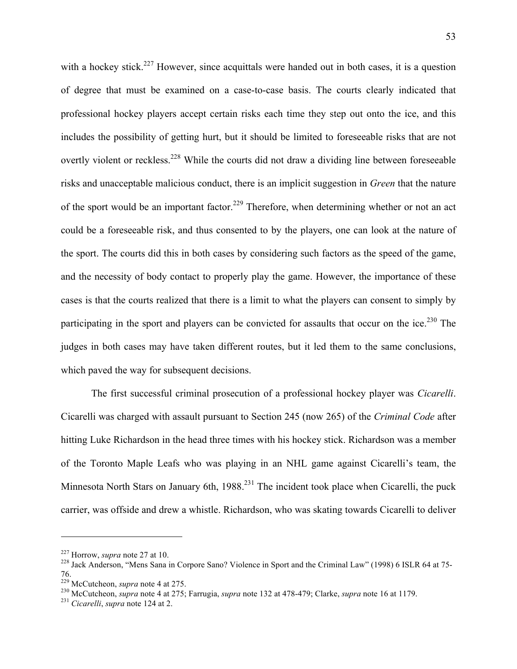with a hockey stick.<sup>227</sup> However, since acquittals were handed out in both cases, it is a question of degree that must be examined on a case-to-case basis. The courts clearly indicated that professional hockey players accept certain risks each time they step out onto the ice, and this includes the possibility of getting hurt, but it should be limited to foreseeable risks that are not overtly violent or reckless.<sup>228</sup> While the courts did not draw a dividing line between foreseeable risks and unacceptable malicious conduct, there is an implicit suggestion in *Green* that the nature of the sport would be an important factor.<sup>229</sup> Therefore, when determining whether or not an act could be a foreseeable risk, and thus consented to by the players, one can look at the nature of the sport. The courts did this in both cases by considering such factors as the speed of the game, and the necessity of body contact to properly play the game. However, the importance of these cases is that the courts realized that there is a limit to what the players can consent to simply by participating in the sport and players can be convicted for assaults that occur on the ice.<sup>230</sup> The judges in both cases may have taken different routes, but it led them to the same conclusions, which paved the way for subsequent decisions.

The first successful criminal prosecution of a professional hockey player was *Cicarelli*. Cicarelli was charged with assault pursuant to Section 245 (now 265) of the *Criminal Code* after hitting Luke Richardson in the head three times with his hockey stick. Richardson was a member of the Toronto Maple Leafs who was playing in an NHL game against Cicarelli's team, the Minnesota North Stars on January 6th, 1988.<sup>231</sup> The incident took place when Cicarelli, the puck carrier, was offside and drew a whistle. Richardson, who was skating towards Cicarelli to deliver

<sup>&</sup>lt;sup>227</sup> Horrow, *supra* note 27 at 10.<br><sup>228</sup> Jack Anderson, "Mens Sana in Corpore Sano? Violence in Sport and the Criminal Law" (1998) 6 ISLR 64 at 75-76.<br><sup>229</sup> McCutcheon, *supra* note 4 at 275.

<sup>&</sup>lt;sup>230</sup> McCutcheon, *supra* note 4 at 275; Farrugia, *supra* note 132 at 478-479; Clarke, *supra* note 16 at 1179.<br><sup>231</sup> *Cicarelli*, *supra* note 124 at 2.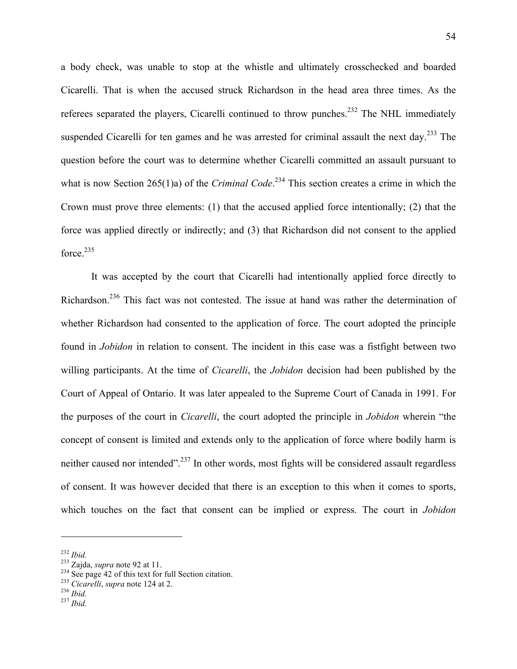a body check, was unable to stop at the whistle and ultimately crosschecked and boarded Cicarelli. That is when the accused struck Richardson in the head area three times. As the referees separated the players, Cicarelli continued to throw punches.<sup>232</sup> The NHL immediately suspended Cicarelli for ten games and he was arrested for criminal assault the next day.<sup>233</sup> The question before the court was to determine whether Cicarelli committed an assault pursuant to what is now Section 265(1)a) of the *Criminal Code*.<sup>234</sup> This section creates a crime in which the Crown must prove three elements: (1) that the accused applied force intentionally; (2) that the force was applied directly or indirectly; and (3) that Richardson did not consent to the applied force. $235$ 

It was accepted by the court that Cicarelli had intentionally applied force directly to Richardson.236 This fact was not contested. The issue at hand was rather the determination of whether Richardson had consented to the application of force. The court adopted the principle found in *Jobidon* in relation to consent. The incident in this case was a fistfight between two willing participants. At the time of *Cicarelli*, the *Jobidon* decision had been published by the Court of Appeal of Ontario. It was later appealed to the Supreme Court of Canada in 1991. For the purposes of the court in *Cicarelli*, the court adopted the principle in *Jobidon* wherein "the concept of consent is limited and extends only to the application of force where bodily harm is neither caused nor intended".<sup>237</sup> In other words, most fights will be considered assault regardless of consent. It was however decided that there is an exception to this when it comes to sports, which touches on the fact that consent can be implied or express. The court in *Jobidon*

<sup>232</sup> *Ibid.* 233 Zajda, *supra* note 92 at 11. <sup>234</sup> See page 42 of this text for full Section citation. <sup>235</sup> *Cicarelli*, *supra* note 124 at 2. <sup>236</sup> *Ibid.* <sup>237</sup> *Ibid.*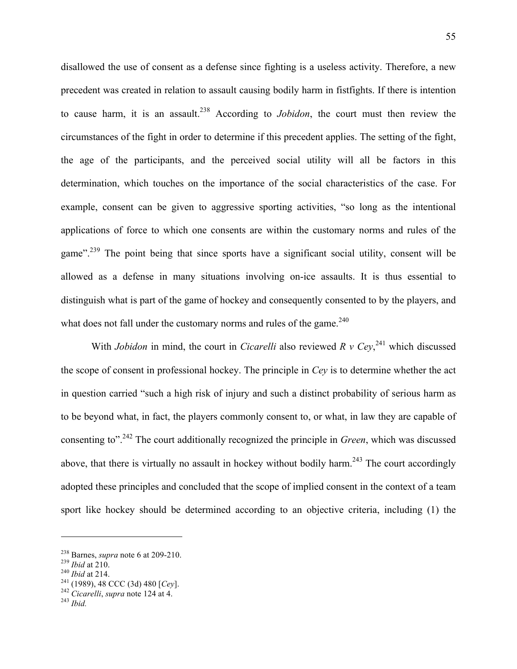disallowed the use of consent as a defense since fighting is a useless activity. Therefore, a new precedent was created in relation to assault causing bodily harm in fistfights. If there is intention to cause harm, it is an assault.238 According to *Jobidon*, the court must then review the circumstances of the fight in order to determine if this precedent applies. The setting of the fight, the age of the participants, and the perceived social utility will all be factors in this determination, which touches on the importance of the social characteristics of the case. For example, consent can be given to aggressive sporting activities, "so long as the intentional applications of force to which one consents are within the customary norms and rules of the game".<sup>239</sup> The point being that since sports have a significant social utility, consent will be allowed as a defense in many situations involving on-ice assaults. It is thus essential to distinguish what is part of the game of hockey and consequently consented to by the players, and what does not fall under the customary norms and rules of the game.<sup>240</sup>

With *Jobidon* in mind, the court in *Cicarelli* also reviewed  $R$  v  $Cey$ <sup>241</sup>, which discussed the scope of consent in professional hockey. The principle in *Cey* is to determine whether the act in question carried "such a high risk of injury and such a distinct probability of serious harm as to be beyond what, in fact, the players commonly consent to, or what, in law they are capable of consenting to".242 The court additionally recognized the principle in *Green*, which was discussed above, that there is virtually no assault in hockey without bodily harm.<sup>243</sup> The court accordingly adopted these principles and concluded that the scope of implied consent in the context of a team sport like hockey should be determined according to an objective criteria, including (1) the

<sup>238</sup> Barnes, *supra* note 6 at 209-210. <sup>239</sup> *Ibid* at 210. <sup>240</sup> *Ibid* at 214. 241 (1989), 48 CCC (3d) 480 [*Cey*]. 242 *Cicarelli*, *supra* note 124 at 4. <sup>243</sup> *Ibid.*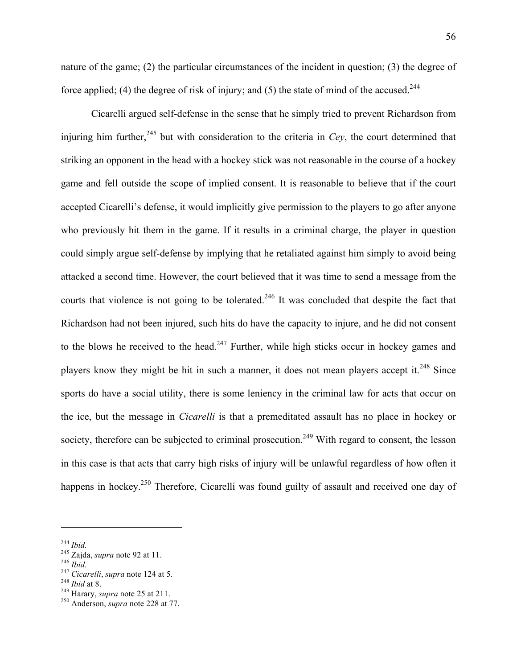nature of the game; (2) the particular circumstances of the incident in question; (3) the degree of force applied; (4) the degree of risk of injury; and (5) the state of mind of the accused.<sup>244</sup>

Cicarelli argued self-defense in the sense that he simply tried to prevent Richardson from injuring him further,  $245$  but with consideration to the criteria in *Cey*, the court determined that striking an opponent in the head with a hockey stick was not reasonable in the course of a hockey game and fell outside the scope of implied consent. It is reasonable to believe that if the court accepted Cicarelli's defense, it would implicitly give permission to the players to go after anyone who previously hit them in the game. If it results in a criminal charge, the player in question could simply argue self-defense by implying that he retaliated against him simply to avoid being attacked a second time. However, the court believed that it was time to send a message from the courts that violence is not going to be tolerated.<sup>246</sup> It was concluded that despite the fact that Richardson had not been injured, such hits do have the capacity to injure, and he did not consent to the blows he received to the head.<sup>247</sup> Further, while high sticks occur in hockey games and players know they might be hit in such a manner, it does not mean players accept it.<sup>248</sup> Since sports do have a social utility, there is some leniency in the criminal law for acts that occur on the ice, but the message in *Cicarelli* is that a premeditated assault has no place in hockey or society, therefore can be subjected to criminal prosecution.<sup>249</sup> With regard to consent, the lesson in this case is that acts that carry high risks of injury will be unlawful regardless of how often it happens in hockey.<sup>250</sup> Therefore, Cicarelli was found guilty of assault and received one day of

<sup>&</sup>lt;sup>244</sup> *Ibid.*<br><sup>245</sup> Zajda, *supra* note 92 at 11.<br><sup>246</sup> *Ibid.*<br><sup>247</sup> *Cicarelli, supra* note 124 at 5.<br><sup>248</sup> *Ibid* at 8.<br><sup>249</sup> Harary, *supra* note 25 at 211.<br><sup>250</sup> Anderson, *supra* note 228 at 77.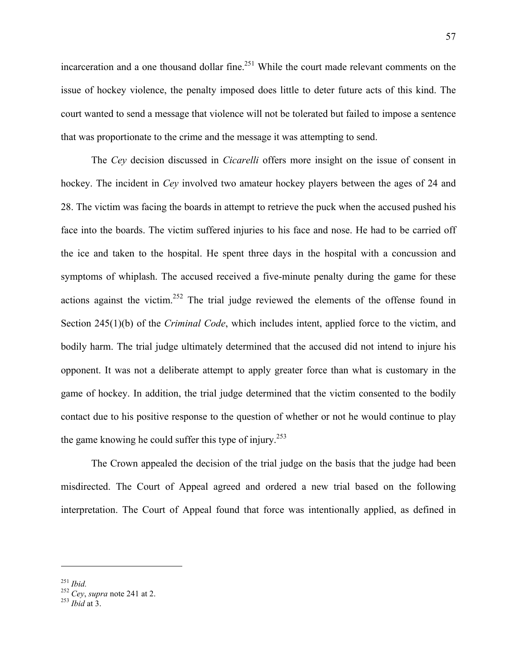incarceration and a one thousand dollar fine.<sup>251</sup> While the court made relevant comments on the issue of hockey violence, the penalty imposed does little to deter future acts of this kind. The court wanted to send a message that violence will not be tolerated but failed to impose a sentence that was proportionate to the crime and the message it was attempting to send.

The *Cey* decision discussed in *Cicarelli* offers more insight on the issue of consent in hockey. The incident in *Cey* involved two amateur hockey players between the ages of 24 and 28. The victim was facing the boards in attempt to retrieve the puck when the accused pushed his face into the boards. The victim suffered injuries to his face and nose. He had to be carried off the ice and taken to the hospital. He spent three days in the hospital with a concussion and symptoms of whiplash. The accused received a five-minute penalty during the game for these actions against the victim.<sup>252</sup> The trial judge reviewed the elements of the offense found in Section 245(1)(b) of the *Criminal Code*, which includes intent, applied force to the victim, and bodily harm. The trial judge ultimately determined that the accused did not intend to injure his opponent. It was not a deliberate attempt to apply greater force than what is customary in the game of hockey. In addition, the trial judge determined that the victim consented to the bodily contact due to his positive response to the question of whether or not he would continue to play the game knowing he could suffer this type of injury.<sup>253</sup>

The Crown appealed the decision of the trial judge on the basis that the judge had been misdirected. The Court of Appeal agreed and ordered a new trial based on the following interpretation. The Court of Appeal found that force was intentionally applied, as defined in

<sup>251</sup> *Ibid.* <sup>252</sup> *Cey*, *supra* note 241 at 2. <sup>253</sup> *Ibid* at 3.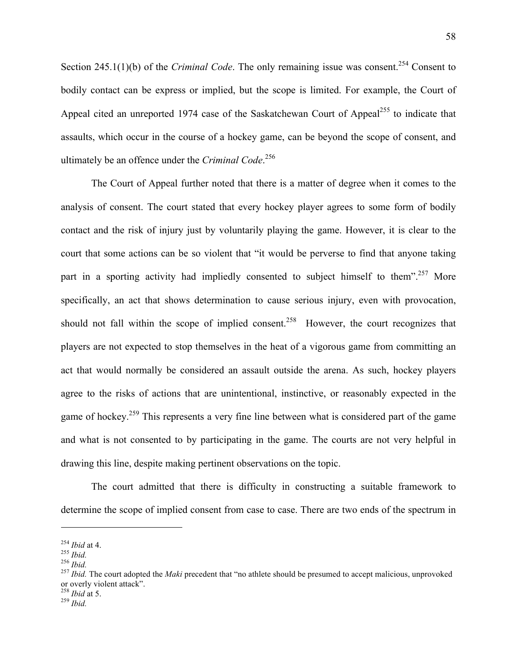Section 245.1(1)(b) of the *Criminal Code*. The only remaining issue was consent.<sup>254</sup> Consent to bodily contact can be express or implied, but the scope is limited. For example, the Court of Appeal cited an unreported 1974 case of the Saskatchewan Court of Appeal<sup>255</sup> to indicate that assaults, which occur in the course of a hockey game, can be beyond the scope of consent, and ultimately be an offence under the *Criminal Code*. 256

The Court of Appeal further noted that there is a matter of degree when it comes to the analysis of consent. The court stated that every hockey player agrees to some form of bodily contact and the risk of injury just by voluntarily playing the game. However, it is clear to the court that some actions can be so violent that "it would be perverse to find that anyone taking part in a sporting activity had impliedly consented to subject himself to them".<sup>257</sup> More specifically, an act that shows determination to cause serious injury, even with provocation, should not fall within the scope of implied consent.<sup>258</sup> However, the court recognizes that players are not expected to stop themselves in the heat of a vigorous game from committing an act that would normally be considered an assault outside the arena. As such, hockey players agree to the risks of actions that are unintentional, instinctive, or reasonably expected in the game of hockey.<sup>259</sup> This represents a very fine line between what is considered part of the game and what is not consented to by participating in the game. The courts are not very helpful in drawing this line, despite making pertinent observations on the topic.

The court admitted that there is difficulty in constructing a suitable framework to determine the scope of implied consent from case to case. There are two ends of the spectrum in

<sup>254</sup> *Ibid* at 4. <sup>255</sup> *Ibid.* <sup>256</sup> *Ibid.* <sup>257</sup> *Ibid.* The court adopted the *Maki* precedent that "no athlete should be presumed to accept malicious, unprovoked or overly violent attack". 258 *Ibid* at 5. <sup>259</sup> *Ibid.*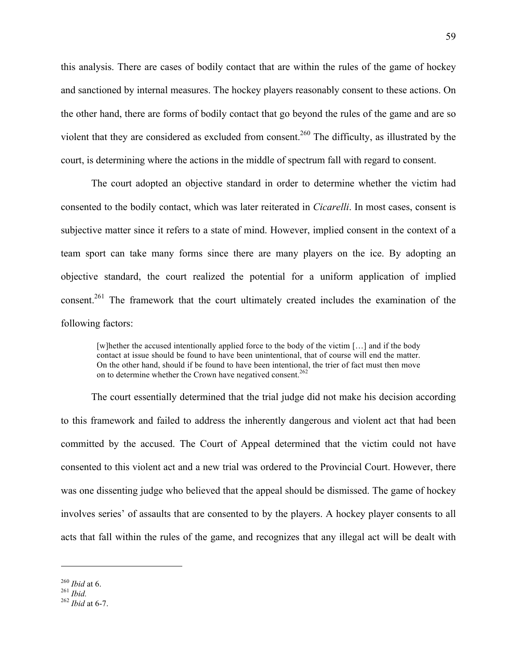this analysis. There are cases of bodily contact that are within the rules of the game of hockey and sanctioned by internal measures. The hockey players reasonably consent to these actions. On the other hand, there are forms of bodily contact that go beyond the rules of the game and are so violent that they are considered as excluded from consent.<sup>260</sup> The difficulty, as illustrated by the court, is determining where the actions in the middle of spectrum fall with regard to consent.

The court adopted an objective standard in order to determine whether the victim had consented to the bodily contact, which was later reiterated in *Cicarelli*. In most cases, consent is subjective matter since it refers to a state of mind. However, implied consent in the context of a team sport can take many forms since there are many players on the ice. By adopting an objective standard, the court realized the potential for a uniform application of implied consent.261 The framework that the court ultimately created includes the examination of the following factors:

[w]hether the accused intentionally applied force to the body of the victim […] and if the body contact at issue should be found to have been unintentional, that of course will end the matter. On the other hand, should if be found to have been intentional, the trier of fact must then move on to determine whether the Crown have negatived consent.<sup>262</sup>

The court essentially determined that the trial judge did not make his decision according to this framework and failed to address the inherently dangerous and violent act that had been committed by the accused. The Court of Appeal determined that the victim could not have consented to this violent act and a new trial was ordered to the Provincial Court. However, there was one dissenting judge who believed that the appeal should be dismissed. The game of hockey involves series' of assaults that are consented to by the players. A hockey player consents to all acts that fall within the rules of the game, and recognizes that any illegal act will be dealt with

<sup>260</sup> *Ibid* at 6. <sup>261</sup> *Ibid.* <sup>262</sup> *Ibid* at 6-7.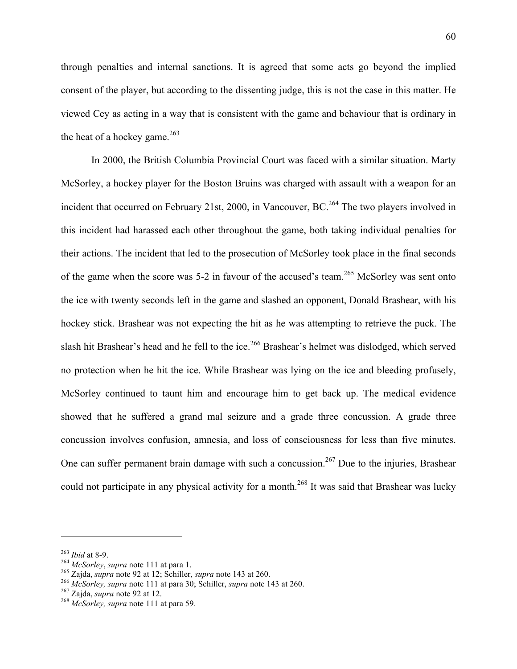through penalties and internal sanctions. It is agreed that some acts go beyond the implied consent of the player, but according to the dissenting judge, this is not the case in this matter. He viewed Cey as acting in a way that is consistent with the game and behaviour that is ordinary in the heat of a hockey game. $263$ 

In 2000, the British Columbia Provincial Court was faced with a similar situation. Marty McSorley, a hockey player for the Boston Bruins was charged with assault with a weapon for an incident that occurred on February 21st, 2000, in Vancouver, BC.<sup>264</sup> The two players involved in this incident had harassed each other throughout the game, both taking individual penalties for their actions. The incident that led to the prosecution of McSorley took place in the final seconds of the game when the score was  $5-2$  in favour of the accused's team.<sup>265</sup> McSorley was sent onto the ice with twenty seconds left in the game and slashed an opponent, Donald Brashear, with his hockey stick. Brashear was not expecting the hit as he was attempting to retrieve the puck. The slash hit Brashear's head and he fell to the ice.<sup>266</sup> Brashear's helmet was dislodged, which served no protection when he hit the ice. While Brashear was lying on the ice and bleeding profusely, McSorley continued to taunt him and encourage him to get back up. The medical evidence showed that he suffered a grand mal seizure and a grade three concussion. A grade three concussion involves confusion, amnesia, and loss of consciousness for less than five minutes. One can suffer permanent brain damage with such a concussion.<sup>267</sup> Due to the injuries, Brashear could not participate in any physical activity for a month.<sup>268</sup> It was said that Brashear was lucky

<sup>&</sup>lt;sup>263</sup> *Ibid* at 8-9.<br>
<sup>264</sup> *McSorley*, *supra* note 111 at para 1.<br>
<sup>265</sup> *Zajda, supra* note 92 at 12; Schiller, *supra* note 143 at 260.<br>
<sup>266</sup> *McSorley*, *supra* note 111 at para 30; Schiller, *supra* note 143 at 260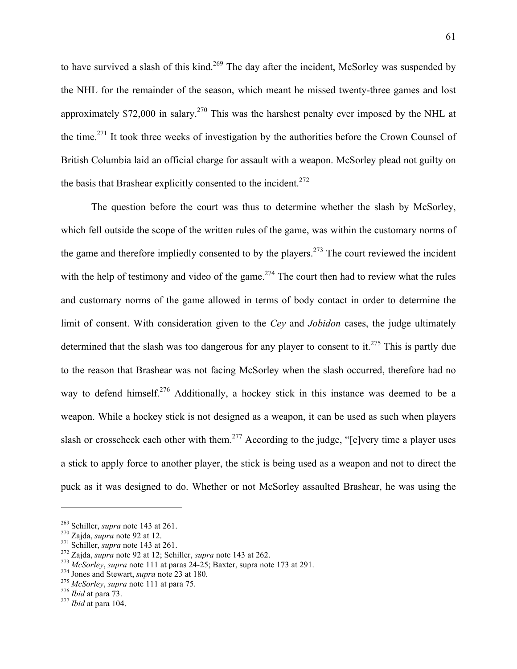to have survived a slash of this kind.<sup>269</sup> The day after the incident, McSorley was suspended by the NHL for the remainder of the season, which meant he missed twenty-three games and lost approximately \$72,000 in salary.<sup>270</sup> This was the harshest penalty ever imposed by the NHL at the time.271 It took three weeks of investigation by the authorities before the Crown Counsel of British Columbia laid an official charge for assault with a weapon. McSorley plead not guilty on the basis that Brashear explicitly consented to the incident.<sup>272</sup>

The question before the court was thus to determine whether the slash by McSorley, which fell outside the scope of the written rules of the game, was within the customary norms of the game and therefore impliedly consented to by the players.<sup>273</sup> The court reviewed the incident with the help of testimony and video of the game.<sup>274</sup> The court then had to review what the rules and customary norms of the game allowed in terms of body contact in order to determine the limit of consent. With consideration given to the *Cey* and *Jobidon* cases, the judge ultimately determined that the slash was too dangerous for any player to consent to it.<sup>275</sup> This is partly due to the reason that Brashear was not facing McSorley when the slash occurred, therefore had no way to defend himself.<sup>276</sup> Additionally, a hockey stick in this instance was deemed to be a weapon. While a hockey stick is not designed as a weapon, it can be used as such when players slash or crosscheck each other with them.<sup>277</sup> According to the judge, "[e]very time a player uses a stick to apply force to another player, the stick is being used as a weapon and not to direct the puck as it was designed to do. Whether or not McSorley assaulted Brashear, he was using the

<sup>&</sup>lt;sup>269</sup> Schiller, *supra* note 143 at 261.<br>
<sup>270</sup> Zajda, *supra* note 92 at 12.<br>
<sup>271</sup> Schiller, *supra* note 143 at 261.<br>
<sup>272</sup> Zajda, *supra* note 92 at 12; Schiller, *supra* note 143 at 262.<br>
<sup>273</sup> McSorley, *supra* note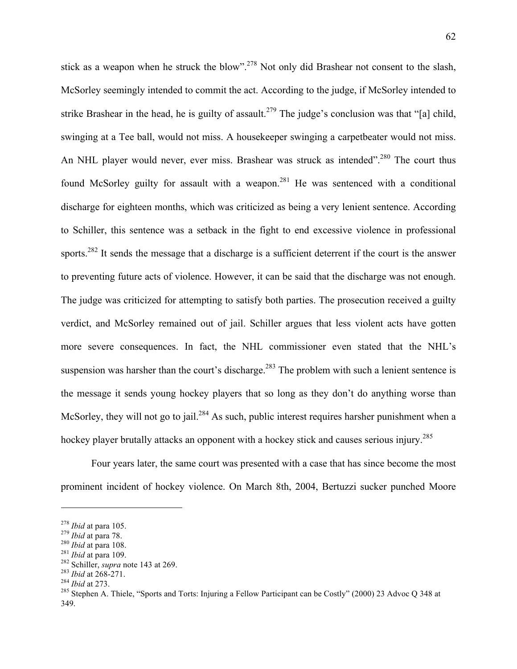stick as a weapon when he struck the blow".<sup>278</sup> Not only did Brashear not consent to the slash, McSorley seemingly intended to commit the act. According to the judge, if McSorley intended to strike Brashear in the head, he is guilty of assault.<sup>279</sup> The judge's conclusion was that "[a] child, swinging at a Tee ball, would not miss. A housekeeper swinging a carpetbeater would not miss. An NHL player would never, ever miss. Brashear was struck as intended".<sup>280</sup> The court thus found McSorley guilty for assault with a weapon.<sup>281</sup> He was sentenced with a conditional discharge for eighteen months, which was criticized as being a very lenient sentence. According to Schiller, this sentence was a setback in the fight to end excessive violence in professional sports.<sup>282</sup> It sends the message that a discharge is a sufficient deterrent if the court is the answer to preventing future acts of violence. However, it can be said that the discharge was not enough. The judge was criticized for attempting to satisfy both parties. The prosecution received a guilty verdict, and McSorley remained out of jail. Schiller argues that less violent acts have gotten more severe consequences. In fact, the NHL commissioner even stated that the NHL's suspension was harsher than the court's discharge.<sup>283</sup> The problem with such a lenient sentence is the message it sends young hockey players that so long as they don't do anything worse than McSorley, they will not go to jail.<sup>284</sup> As such, public interest requires harsher punishment when a hockey player brutally attacks an opponent with a hockey stick and causes serious injury.<sup>285</sup>

Four years later, the same court was presented with a case that has since become the most prominent incident of hockey violence. On March 8th, 2004, Bertuzzi sucker punched Moore

<sup>&</sup>lt;sup>278</sup> Ibid at para 105.<br>
<sup>279</sup> Ibid at para 78.<br>
<sup>280</sup> Ibid at para 108.<br>
<sup>281</sup> Ibid at para 109.<br>
<sup>282</sup> Schiller, *supra* note 143 at 269.<br>
<sup>283</sup> Ibid at 268-271.<br>
<sup>284</sup> Ibid at 273.<br>
<sup>284</sup> Ibid at 273.<br>
<sup>285</sup> Stephen A. 349.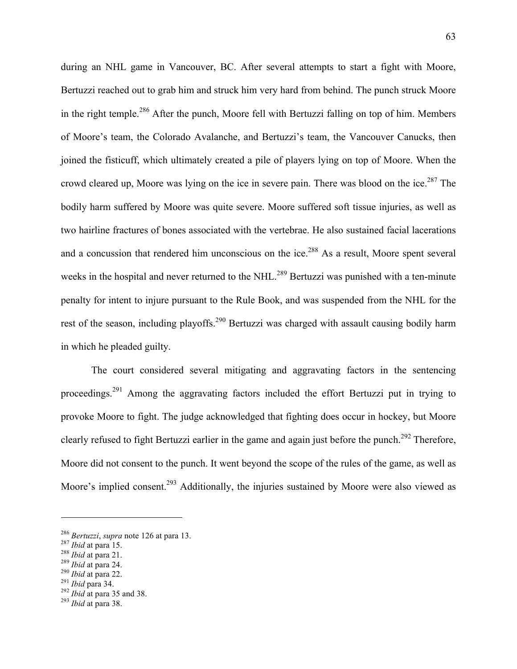during an NHL game in Vancouver, BC. After several attempts to start a fight with Moore, Bertuzzi reached out to grab him and struck him very hard from behind. The punch struck Moore in the right temple.286 After the punch, Moore fell with Bertuzzi falling on top of him. Members of Moore's team, the Colorado Avalanche, and Bertuzzi's team, the Vancouver Canucks, then joined the fisticuff, which ultimately created a pile of players lying on top of Moore. When the crowd cleared up, Moore was lying on the ice in severe pain. There was blood on the ice.<sup>287</sup> The bodily harm suffered by Moore was quite severe. Moore suffered soft tissue injuries, as well as two hairline fractures of bones associated with the vertebrae. He also sustained facial lacerations and a concussion that rendered him unconscious on the ice.<sup>288</sup> As a result, Moore spent several weeks in the hospital and never returned to the NHL.<sup>289</sup> Bertuzzi was punished with a ten-minute penalty for intent to injure pursuant to the Rule Book, and was suspended from the NHL for the rest of the season, including playoffs.<sup>290</sup> Bertuzzi was charged with assault causing bodily harm in which he pleaded guilty.

The court considered several mitigating and aggravating factors in the sentencing proceedings.<sup>291</sup> Among the aggravating factors included the effort Bertuzzi put in trying to provoke Moore to fight. The judge acknowledged that fighting does occur in hockey, but Moore clearly refused to fight Bertuzzi earlier in the game and again just before the punch.<sup>292</sup> Therefore, Moore did not consent to the punch. It went beyond the scope of the rules of the game, as well as Moore's implied consent.<sup>293</sup> Additionally, the injuries sustained by Moore were also viewed as

<sup>&</sup>lt;sup>286</sup> Bertuzzi, supra note 126 at para 13.<br>
<sup>287</sup> Ibid at para 15.<br>
<sup>288</sup> Ibid at para 21.<br>
<sup>289</sup> Ibid at para 24.<br>
<sup>290</sup> Ibid at para 22.<br>
<sup>291</sup> Ibid para 34.<br>
<sup>292</sup> Ibid at para 35 and 38.<br>
<sup>293</sup> Ibid at para 35 and 38.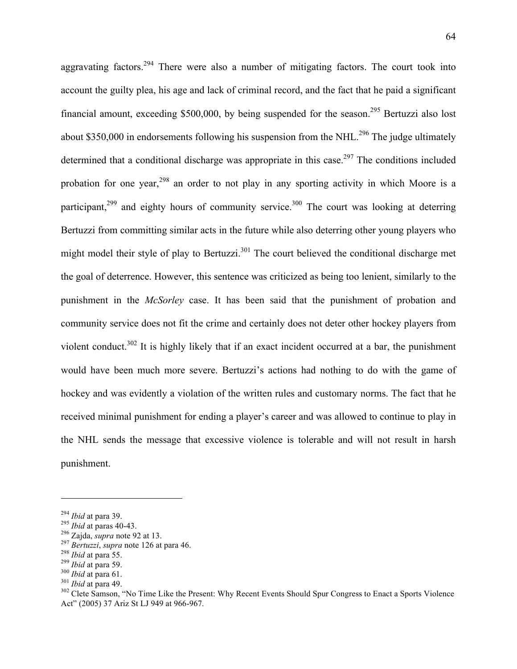aggravating factors.<sup>294</sup> There were also a number of mitigating factors. The court took into account the guilty plea, his age and lack of criminal record, and the fact that he paid a significant financial amount, exceeding \$500,000, by being suspended for the season.<sup>295</sup> Bertuzzi also lost about \$350,000 in endorsements following his suspension from the NHL.<sup>296</sup> The judge ultimately determined that a conditional discharge was appropriate in this case.<sup>297</sup> The conditions included probation for one year,<sup>298</sup> an order to not play in any sporting activity in which Moore is a participant, $299$  and eighty hours of community service.<sup>300</sup> The court was looking at deterring Bertuzzi from committing similar acts in the future while also deterring other young players who might model their style of play to Bertuzzi.<sup>301</sup> The court believed the conditional discharge met the goal of deterrence. However, this sentence was criticized as being too lenient, similarly to the punishment in the *McSorley* case. It has been said that the punishment of probation and community service does not fit the crime and certainly does not deter other hockey players from violent conduct.<sup>302</sup> It is highly likely that if an exact incident occurred at a bar, the punishment would have been much more severe. Bertuzzi's actions had nothing to do with the game of hockey and was evidently a violation of the written rules and customary norms. The fact that he received minimal punishment for ending a player's career and was allowed to continue to play in the NHL sends the message that excessive violence is tolerable and will not result in harsh punishment.

<sup>&</sup>lt;sup>294</sup> *Ibid* at para 39.<br><sup>295</sup> *Ibid* at paras 40-43.<br><sup>296</sup> Zajda, *supra* note 92 at 13.<br><sup>297</sup> *Bertuzzi*, *supra* note 126 at para 46.<br><sup>298</sup> *Ibid* at para 55.<br><sup>299</sup> *Ibid* at para 59.<br><sup>300</sup> *Ibid* at para 49.<br><sup>301</sup> *Ibi* Act" (2005) 37 Ariz St LJ 949 at 966-967.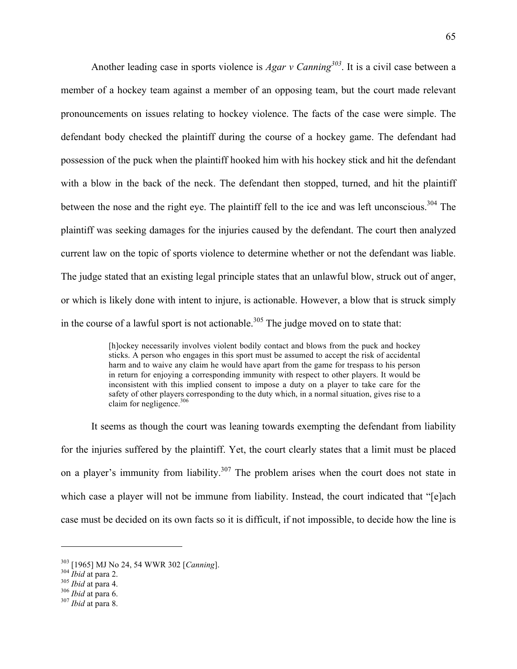Another leading case in sports violence is *Agar v Canning<sup>303</sup>*. It is a civil case between a member of a hockey team against a member of an opposing team, but the court made relevant pronouncements on issues relating to hockey violence. The facts of the case were simple. The defendant body checked the plaintiff during the course of a hockey game. The defendant had possession of the puck when the plaintiff hooked him with his hockey stick and hit the defendant with a blow in the back of the neck. The defendant then stopped, turned, and hit the plaintiff between the nose and the right eye. The plaintiff fell to the ice and was left unconscious.<sup>304</sup> The plaintiff was seeking damages for the injuries caused by the defendant. The court then analyzed current law on the topic of sports violence to determine whether or not the defendant was liable. The judge stated that an existing legal principle states that an unlawful blow, struck out of anger, or which is likely done with intent to injure, is actionable. However, a blow that is struck simply in the course of a lawful sport is not actionable.<sup>305</sup> The judge moved on to state that:

> [h]ockey necessarily involves violent bodily contact and blows from the puck and hockey sticks. A person who engages in this sport must be assumed to accept the risk of accidental harm and to waive any claim he would have apart from the game for trespass to his person in return for enjoying a corresponding immunity with respect to other players. It would be inconsistent with this implied consent to impose a duty on a player to take care for the safety of other players corresponding to the duty which, in a normal situation, gives rise to a claim for negligence.<sup>306</sup>

It seems as though the court was leaning towards exempting the defendant from liability for the injuries suffered by the plaintiff. Yet, the court clearly states that a limit must be placed on a player's immunity from liability.<sup>307</sup> The problem arises when the court does not state in which case a player will not be immune from liability. Instead, the court indicated that "[e]ach case must be decided on its own facts so it is difficult, if not impossible, to decide how the line is

<sup>303 [1965]</sup> MJ No 24, 54 WWR 302 [*Canning*]. <sup>304</sup> *Ibid* at para 2. <sup>305</sup> *Ibid* at para 4. <sup>306</sup> *Ibid* at para 6. <sup>307</sup> *Ibid* at para 8.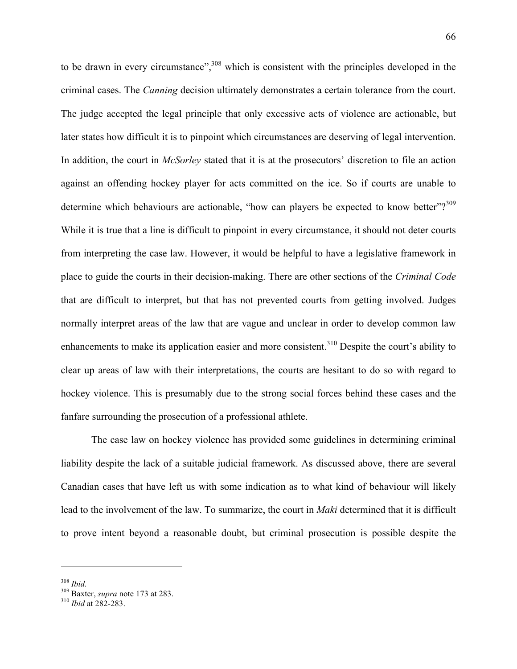to be drawn in every circumstance",<sup>308</sup> which is consistent with the principles developed in the criminal cases. The *Canning* decision ultimately demonstrates a certain tolerance from the court. The judge accepted the legal principle that only excessive acts of violence are actionable, but later states how difficult it is to pinpoint which circumstances are deserving of legal intervention. In addition, the court in *McSorley* stated that it is at the prosecutors' discretion to file an action against an offending hockey player for acts committed on the ice. So if courts are unable to determine which behaviours are actionable, "how can players be expected to know better"?<sup>309</sup> While it is true that a line is difficult to pinpoint in every circumstance, it should not deter courts from interpreting the case law. However, it would be helpful to have a legislative framework in place to guide the courts in their decision-making. There are other sections of the *Criminal Code* that are difficult to interpret, but that has not prevented courts from getting involved. Judges normally interpret areas of the law that are vague and unclear in order to develop common law enhancements to make its application easier and more consistent.<sup>310</sup> Despite the court's ability to clear up areas of law with their interpretations, the courts are hesitant to do so with regard to hockey violence. This is presumably due to the strong social forces behind these cases and the fanfare surrounding the prosecution of a professional athlete.

The case law on hockey violence has provided some guidelines in determining criminal liability despite the lack of a suitable judicial framework. As discussed above, there are several Canadian cases that have left us with some indication as to what kind of behaviour will likely lead to the involvement of the law. To summarize, the court in *Maki* determined that it is difficult to prove intent beyond a reasonable doubt, but criminal prosecution is possible despite the

<sup>308</sup> *Ibid.* 309 Baxter, *supra* note 173 at 283. 310 *Ibid* at 282-283.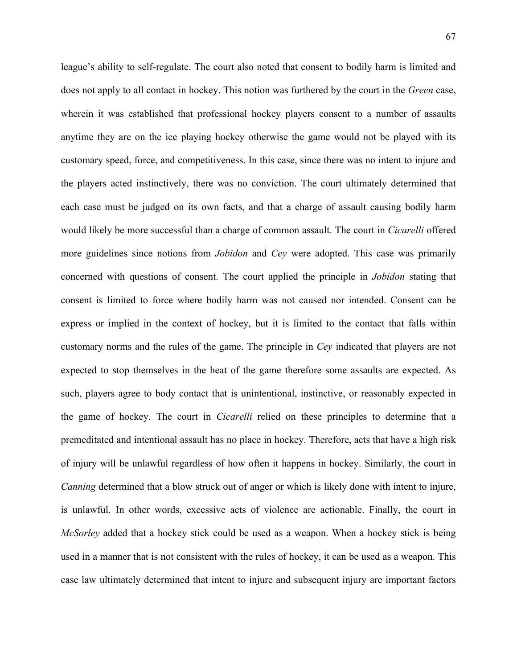league's ability to self-regulate. The court also noted that consent to bodily harm is limited and does not apply to all contact in hockey. This notion was furthered by the court in the *Green* case, wherein it was established that professional hockey players consent to a number of assaults anytime they are on the ice playing hockey otherwise the game would not be played with its customary speed, force, and competitiveness. In this case, since there was no intent to injure and the players acted instinctively, there was no conviction. The court ultimately determined that each case must be judged on its own facts, and that a charge of assault causing bodily harm would likely be more successful than a charge of common assault. The court in *Cicarelli* offered more guidelines since notions from *Jobidon* and *Cey* were adopted. This case was primarily concerned with questions of consent. The court applied the principle in *Jobidon* stating that consent is limited to force where bodily harm was not caused nor intended. Consent can be express or implied in the context of hockey, but it is limited to the contact that falls within customary norms and the rules of the game. The principle in *Cey* indicated that players are not expected to stop themselves in the heat of the game therefore some assaults are expected. As such, players agree to body contact that is unintentional, instinctive, or reasonably expected in the game of hockey. The court in *Cicarelli* relied on these principles to determine that a premeditated and intentional assault has no place in hockey. Therefore, acts that have a high risk of injury will be unlawful regardless of how often it happens in hockey. Similarly, the court in *Canning* determined that a blow struck out of anger or which is likely done with intent to injure, is unlawful. In other words, excessive acts of violence are actionable. Finally, the court in *McSorley* added that a hockey stick could be used as a weapon. When a hockey stick is being used in a manner that is not consistent with the rules of hockey, it can be used as a weapon. This case law ultimately determined that intent to injure and subsequent injury are important factors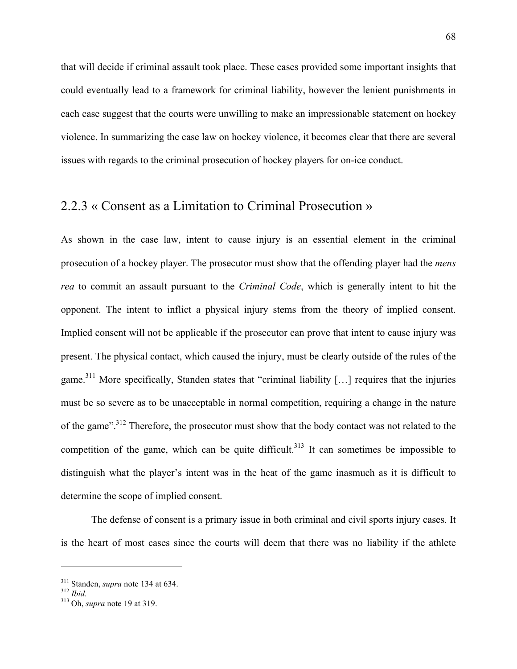that will decide if criminal assault took place. These cases provided some important insights that could eventually lead to a framework for criminal liability, however the lenient punishments in each case suggest that the courts were unwilling to make an impressionable statement on hockey violence. In summarizing the case law on hockey violence, it becomes clear that there are several issues with regards to the criminal prosecution of hockey players for on-ice conduct.

# 2.2.3 « Consent as a Limitation to Criminal Prosecution »

As shown in the case law, intent to cause injury is an essential element in the criminal prosecution of a hockey player. The prosecutor must show that the offending player had the *mens rea* to commit an assault pursuant to the *Criminal Code*, which is generally intent to hit the opponent. The intent to inflict a physical injury stems from the theory of implied consent. Implied consent will not be applicable if the prosecutor can prove that intent to cause injury was present. The physical contact, which caused the injury, must be clearly outside of the rules of the game.<sup>311</sup> More specifically, Standen states that "criminal liability [...] requires that the injuries must be so severe as to be unacceptable in normal competition, requiring a change in the nature of the game".<sup>312</sup> Therefore, the prosecutor must show that the body contact was not related to the competition of the game, which can be quite difficult.<sup>313</sup> It can sometimes be impossible to distinguish what the player's intent was in the heat of the game inasmuch as it is difficult to determine the scope of implied consent.

The defense of consent is a primary issue in both criminal and civil sports injury cases. It is the heart of most cases since the courts will deem that there was no liability if the athlete

<sup>311</sup> Standen, *supra* note 134 at 634. <sup>312</sup> *Ibid.* 313 Oh, *supra* note 19 at 319.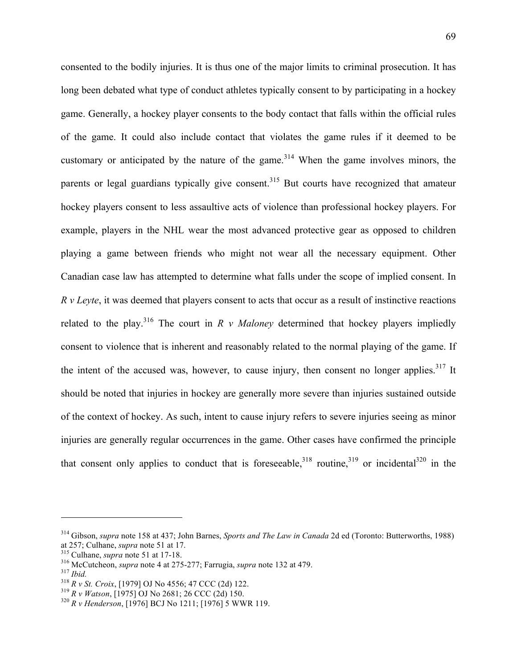consented to the bodily injuries. It is thus one of the major limits to criminal prosecution. It has long been debated what type of conduct athletes typically consent to by participating in a hockey game. Generally, a hockey player consents to the body contact that falls within the official rules of the game. It could also include contact that violates the game rules if it deemed to be customary or anticipated by the nature of the game.<sup>314</sup> When the game involves minors, the parents or legal guardians typically give consent.<sup>315</sup> But courts have recognized that amateur hockey players consent to less assaultive acts of violence than professional hockey players. For example, players in the NHL wear the most advanced protective gear as opposed to children playing a game between friends who might not wear all the necessary equipment. Other Canadian case law has attempted to determine what falls under the scope of implied consent. In *R v Leyte*, it was deemed that players consent to acts that occur as a result of instinctive reactions related to the play.<sup>316</sup> The court in *R v Maloney* determined that hockey players impliedly consent to violence that is inherent and reasonably related to the normal playing of the game. If the intent of the accused was, however, to cause injury, then consent no longer applies. $317$  It should be noted that injuries in hockey are generally more severe than injuries sustained outside of the context of hockey. As such, intent to cause injury refers to severe injuries seeing as minor injuries are generally regular occurrences in the game. Other cases have confirmed the principle that consent only applies to conduct that is foreseeable,  $318$  routine,  $319$  or incidental  $320$  in the

<sup>314</sup> Gibson, *supra* note 158 at 437; John Barnes, *Sports and The Law in Canada* 2d ed (Toronto: Butterworths, 1988)

<sup>&</sup>lt;sup>315</sup> Culhane, *supra* note 51 at 17-18.<br><sup>316</sup> McCutcheon, *supra* note 4 at 275-277; Farrugia, *supra* note 132 at 479.<br><sup>317</sup> Ibid.<br><sup>318</sup> R v St. Croix, [1979] OJ No 4556; 47 CCC (2d) 122.<br><sup>319</sup> R v Watson, [1975] OJ No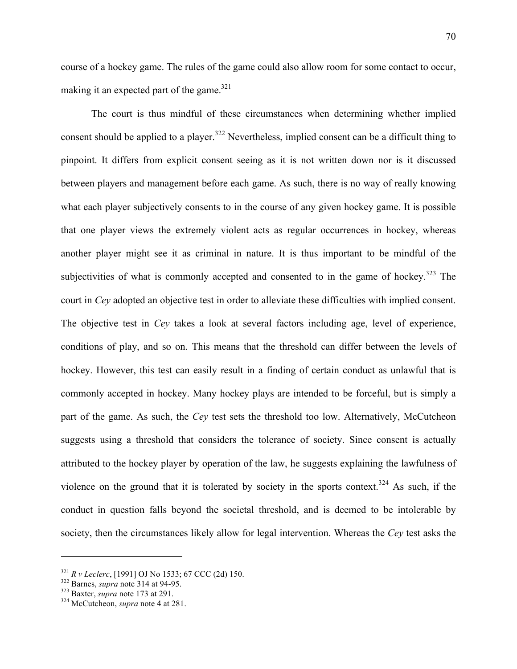course of a hockey game. The rules of the game could also allow room for some contact to occur, making it an expected part of the game.<sup>321</sup>

The court is thus mindful of these circumstances when determining whether implied consent should be applied to a player.<sup>322</sup> Nevertheless, implied consent can be a difficult thing to pinpoint. It differs from explicit consent seeing as it is not written down nor is it discussed between players and management before each game. As such, there is no way of really knowing what each player subjectively consents to in the course of any given hockey game. It is possible that one player views the extremely violent acts as regular occurrences in hockey, whereas another player might see it as criminal in nature. It is thus important to be mindful of the subjectivities of what is commonly accepted and consented to in the game of hockey.<sup>323</sup> The court in *Cey* adopted an objective test in order to alleviate these difficulties with implied consent. The objective test in *Cey* takes a look at several factors including age, level of experience, conditions of play, and so on. This means that the threshold can differ between the levels of hockey. However, this test can easily result in a finding of certain conduct as unlawful that is commonly accepted in hockey. Many hockey plays are intended to be forceful, but is simply a part of the game. As such, the *Cey* test sets the threshold too low. Alternatively, McCutcheon suggests using a threshold that considers the tolerance of society. Since consent is actually attributed to the hockey player by operation of the law, he suggests explaining the lawfulness of violence on the ground that it is tolerated by society in the sports context.<sup>324</sup> As such, if the conduct in question falls beyond the societal threshold, and is deemed to be intolerable by society, then the circumstances likely allow for legal intervention. Whereas the *Cey* test asks the

<sup>321</sup> *R v Leclerc*, [1991] OJ No 1533; 67 CCC (2d) 150. 322 Barnes, *supra* note 314 at 94-95. 323 Baxter, *supra* note 173 at 291. 324 McCutcheon, *supra* note 4 at 281.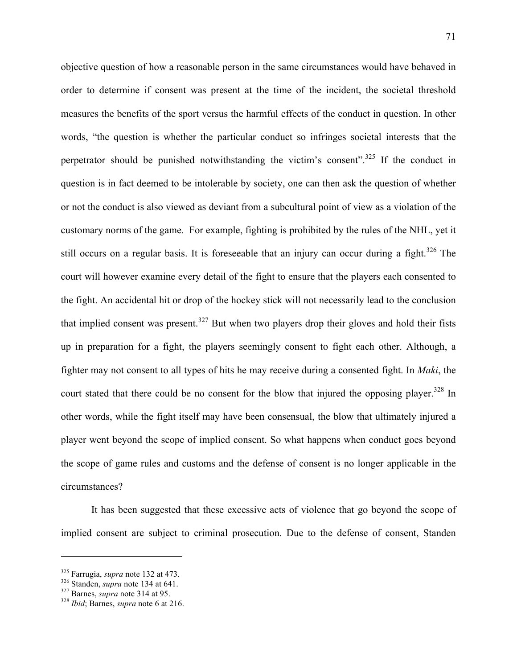objective question of how a reasonable person in the same circumstances would have behaved in order to determine if consent was present at the time of the incident, the societal threshold measures the benefits of the sport versus the harmful effects of the conduct in question. In other words, "the question is whether the particular conduct so infringes societal interests that the perpetrator should be punished notwithstanding the victim's consent".<sup>325</sup> If the conduct in question is in fact deemed to be intolerable by society, one can then ask the question of whether or not the conduct is also viewed as deviant from a subcultural point of view as a violation of the customary norms of the game. For example, fighting is prohibited by the rules of the NHL, yet it still occurs on a regular basis. It is foreseeable that an injury can occur during a fight.<sup>326</sup> The court will however examine every detail of the fight to ensure that the players each consented to the fight. An accidental hit or drop of the hockey stick will not necessarily lead to the conclusion that implied consent was present.<sup>327</sup> But when two players drop their gloves and hold their fists up in preparation for a fight, the players seemingly consent to fight each other. Although, a fighter may not consent to all types of hits he may receive during a consented fight. In *Maki*, the court stated that there could be no consent for the blow that injured the opposing player.<sup>328</sup> In other words, while the fight itself may have been consensual, the blow that ultimately injured a player went beyond the scope of implied consent. So what happens when conduct goes beyond the scope of game rules and customs and the defense of consent is no longer applicable in the circumstances?

It has been suggested that these excessive acts of violence that go beyond the scope of implied consent are subject to criminal prosecution. Due to the defense of consent, Standen

<sup>325</sup> Farrugia, *supra* note 132 at 473. 326 Standen, *supra* note 134 at 641. 327 Barnes, *supra* note 314 at 95. <sup>328</sup> *Ibid*; Barnes, *supra* note 6 at 216.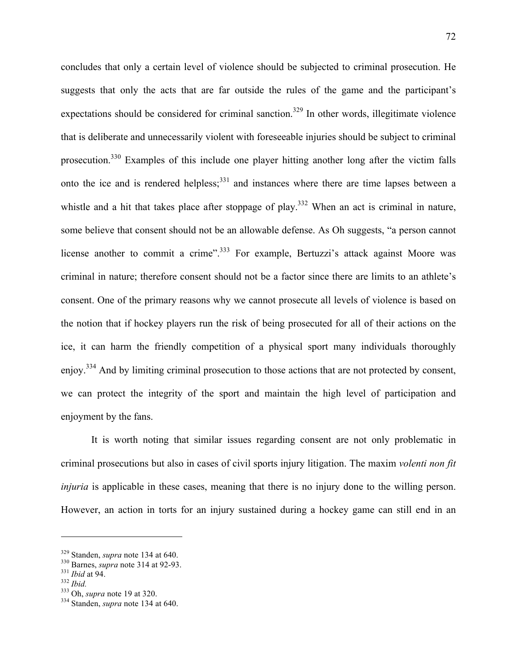concludes that only a certain level of violence should be subjected to criminal prosecution. He suggests that only the acts that are far outside the rules of the game and the participant's expectations should be considered for criminal sanction.<sup>329</sup> In other words, illegitimate violence that is deliberate and unnecessarily violent with foreseeable injuries should be subject to criminal prosecution.330 Examples of this include one player hitting another long after the victim falls onto the ice and is rendered helpless;<sup>331</sup> and instances where there are time lapses between a whistle and a hit that takes place after stoppage of play.<sup>332</sup> When an act is criminal in nature, some believe that consent should not be an allowable defense. As Oh suggests, "a person cannot license another to commit a crime".<sup>333</sup> For example, Bertuzzi's attack against Moore was criminal in nature; therefore consent should not be a factor since there are limits to an athlete's consent. One of the primary reasons why we cannot prosecute all levels of violence is based on the notion that if hockey players run the risk of being prosecuted for all of their actions on the ice, it can harm the friendly competition of a physical sport many individuals thoroughly enjoy.334 And by limiting criminal prosecution to those actions that are not protected by consent, we can protect the integrity of the sport and maintain the high level of participation and enjoyment by the fans.

It is worth noting that similar issues regarding consent are not only problematic in criminal prosecutions but also in cases of civil sports injury litigation. The maxim *volenti non fit injuria* is applicable in these cases, meaning that there is no injury done to the willing person. However, an action in torts for an injury sustained during a hockey game can still end in an

<sup>329</sup> Standen, *supra* note 134 at 640. 330 Barnes, *supra* note 314 at 92-93. <sup>331</sup> *Ibid* at 94. <sup>332</sup> *Ibid.* 333 Oh, *supra* note 19 at 320. 334 Standen, *supra* note 134 at 640.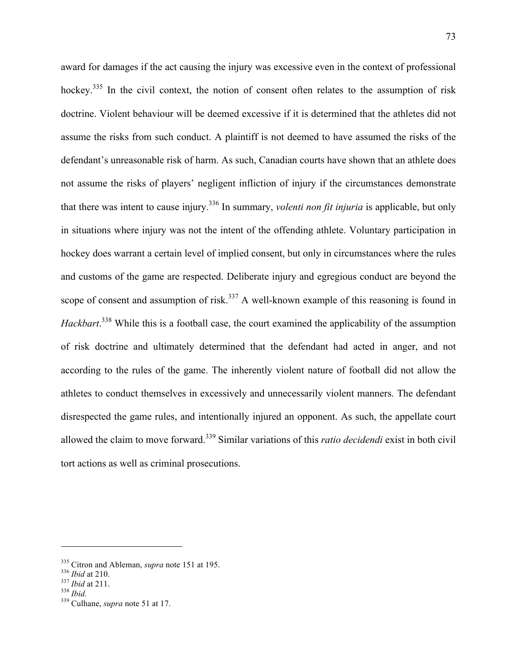award for damages if the act causing the injury was excessive even in the context of professional hockey.<sup>335</sup> In the civil context, the notion of consent often relates to the assumption of risk doctrine. Violent behaviour will be deemed excessive if it is determined that the athletes did not assume the risks from such conduct. A plaintiff is not deemed to have assumed the risks of the defendant's unreasonable risk of harm. As such, Canadian courts have shown that an athlete does not assume the risks of players' negligent infliction of injury if the circumstances demonstrate that there was intent to cause injury.336 In summary, *volenti non fit injuria* is applicable, but only in situations where injury was not the intent of the offending athlete. Voluntary participation in hockey does warrant a certain level of implied consent, but only in circumstances where the rules and customs of the game are respected. Deliberate injury and egregious conduct are beyond the scope of consent and assumption of risk.<sup>337</sup> A well-known example of this reasoning is found in Hackbart.<sup>338</sup> While this is a football case, the court examined the applicability of the assumption of risk doctrine and ultimately determined that the defendant had acted in anger, and not according to the rules of the game. The inherently violent nature of football did not allow the athletes to conduct themselves in excessively and unnecessarily violent manners. The defendant disrespected the game rules, and intentionally injured an opponent. As such, the appellate court allowed the claim to move forward.339 Similar variations of this *ratio decidendi* exist in both civil tort actions as well as criminal prosecutions.

<sup>335</sup> Citron and Ableman, *supra* note 151 at 195. <sup>336</sup> *Ibid* at 210. <sup>337</sup> *Ibid* at 211. <sup>338</sup> *Ibid.* 339 Culhane, *supra* note 51 at 17.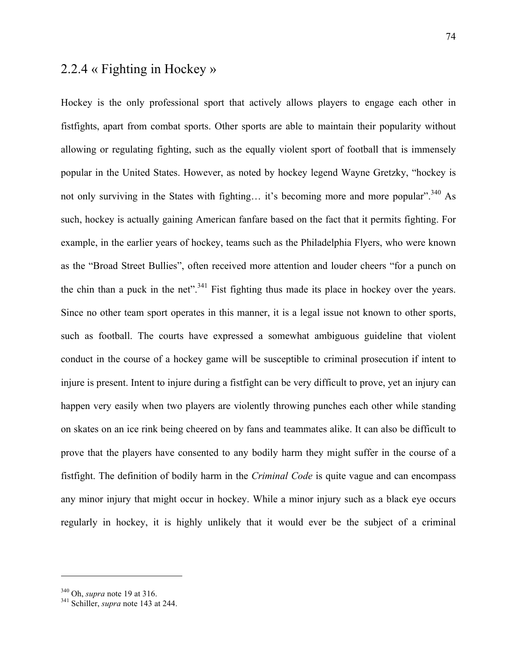# 2.2.4 « Fighting in Hockey »

Hockey is the only professional sport that actively allows players to engage each other in fistfights, apart from combat sports. Other sports are able to maintain their popularity without allowing or regulating fighting, such as the equally violent sport of football that is immensely popular in the United States. However, as noted by hockey legend Wayne Gretzky, "hockey is not only surviving in the States with fighting... it's becoming more and more popular".<sup>340</sup> As such, hockey is actually gaining American fanfare based on the fact that it permits fighting. For example, in the earlier years of hockey, teams such as the Philadelphia Flyers, who were known as the "Broad Street Bullies", often received more attention and louder cheers "for a punch on the chin than a puck in the net".<sup>341</sup> Fist fighting thus made its place in hockey over the years. Since no other team sport operates in this manner, it is a legal issue not known to other sports, such as football. The courts have expressed a somewhat ambiguous guideline that violent conduct in the course of a hockey game will be susceptible to criminal prosecution if intent to injure is present. Intent to injure during a fistfight can be very difficult to prove, yet an injury can happen very easily when two players are violently throwing punches each other while standing on skates on an ice rink being cheered on by fans and teammates alike. It can also be difficult to prove that the players have consented to any bodily harm they might suffer in the course of a fistfight. The definition of bodily harm in the *Criminal Code* is quite vague and can encompass any minor injury that might occur in hockey. While a minor injury such as a black eye occurs regularly in hockey, it is highly unlikely that it would ever be the subject of a criminal

<sup>340</sup> Oh, *supra* note 19 at 316. 341 Schiller, *supra* note 143 at 244.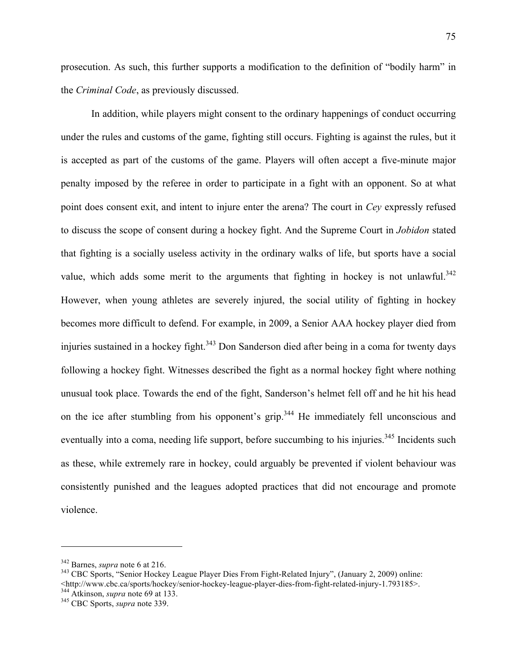prosecution. As such, this further supports a modification to the definition of "bodily harm" in the *Criminal Code*, as previously discussed.

In addition, while players might consent to the ordinary happenings of conduct occurring under the rules and customs of the game, fighting still occurs. Fighting is against the rules, but it is accepted as part of the customs of the game. Players will often accept a five-minute major penalty imposed by the referee in order to participate in a fight with an opponent. So at what point does consent exit, and intent to injure enter the arena? The court in *Cey* expressly refused to discuss the scope of consent during a hockey fight. And the Supreme Court in *Jobidon* stated that fighting is a socially useless activity in the ordinary walks of life, but sports have a social value, which adds some merit to the arguments that fighting in hockey is not unlawful.<sup>342</sup> However, when young athletes are severely injured, the social utility of fighting in hockey becomes more difficult to defend. For example, in 2009, a Senior AAA hockey player died from injuries sustained in a hockey fight.<sup>343</sup> Don Sanderson died after being in a coma for twenty days following a hockey fight. Witnesses described the fight as a normal hockey fight where nothing unusual took place. Towards the end of the fight, Sanderson's helmet fell off and he hit his head on the ice after stumbling from his opponent's grip.<sup>344</sup> He immediately fell unconscious and eventually into a coma, needing life support, before succumbing to his injuries.<sup>345</sup> Incidents such as these, while extremely rare in hockey, could arguably be prevented if violent behaviour was consistently punished and the leagues adopted practices that did not encourage and promote violence.

<sup>&</sup>lt;sup>342</sup> Barnes, *supra* note 6 at 216.<br><sup>343</sup> CBC Sports, "Senior Hockey League Player Dies From Fight-Related Injury", (January 2, 2009) online: <http://www.cbc.ca/sports/hockey/senior-hockey-league-player-dies-from-fight-related-injury-1.793185>. 344 Atkinson, *supra* note 69 at 133. 345 CBC Sports, *supra* note 339.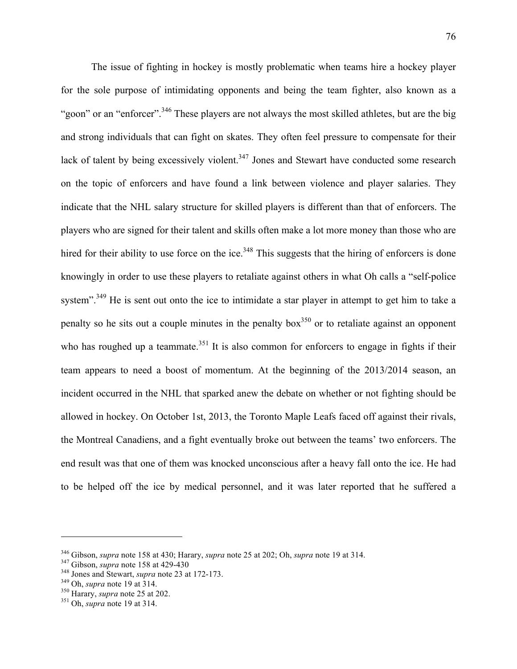The issue of fighting in hockey is mostly problematic when teams hire a hockey player for the sole purpose of intimidating opponents and being the team fighter, also known as a "goon" or an "enforcer".<sup>346</sup> These players are not always the most skilled athletes, but are the big and strong individuals that can fight on skates. They often feel pressure to compensate for their lack of talent by being excessively violent.<sup>347</sup> Jones and Stewart have conducted some research on the topic of enforcers and have found a link between violence and player salaries. They indicate that the NHL salary structure for skilled players is different than that of enforcers. The players who are signed for their talent and skills often make a lot more money than those who are hired for their ability to use force on the ice.<sup>348</sup> This suggests that the hiring of enforcers is done knowingly in order to use these players to retaliate against others in what Oh calls a "self-police system".<sup>349</sup> He is sent out onto the ice to intimidate a star player in attempt to get him to take a penalty so he sits out a couple minutes in the penalty box<sup>350</sup> or to retaliate against an opponent who has roughed up a teammate.<sup>351</sup> It is also common for enforcers to engage in fights if their team appears to need a boost of momentum. At the beginning of the 2013/2014 season, an incident occurred in the NHL that sparked anew the debate on whether or not fighting should be allowed in hockey. On October 1st, 2013, the Toronto Maple Leafs faced off against their rivals, the Montreal Canadiens, and a fight eventually broke out between the teams' two enforcers. The end result was that one of them was knocked unconscious after a heavy fall onto the ice. He had to be helped off the ice by medical personnel, and it was later reported that he suffered a

<sup>&</sup>lt;sup>346</sup> Gibson, *supra* note 158 at 430; Harary, *supra* note 25 at 202; Oh, *supra* note 19 at 314.<br><sup>347</sup> Gibson, *supra* note 158 at 429-430<br><sup>348</sup> Jones and Stewart, *supra* note 23 at 172-173.<br><sup>349</sup> Oh, *supra* note 19 a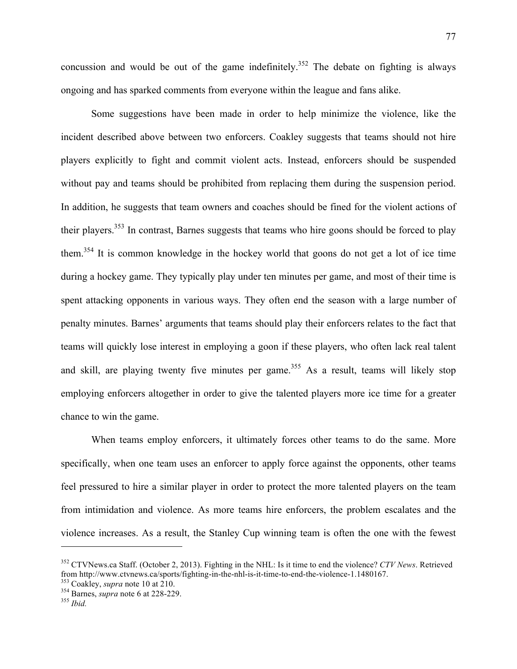concussion and would be out of the game indefinitely.<sup>352</sup> The debate on fighting is always ongoing and has sparked comments from everyone within the league and fans alike.

Some suggestions have been made in order to help minimize the violence, like the incident described above between two enforcers. Coakley suggests that teams should not hire players explicitly to fight and commit violent acts. Instead, enforcers should be suspended without pay and teams should be prohibited from replacing them during the suspension period. In addition, he suggests that team owners and coaches should be fined for the violent actions of their players.<sup>353</sup> In contrast, Barnes suggests that teams who hire goons should be forced to play them.354 It is common knowledge in the hockey world that goons do not get a lot of ice time during a hockey game. They typically play under ten minutes per game, and most of their time is spent attacking opponents in various ways. They often end the season with a large number of penalty minutes. Barnes' arguments that teams should play their enforcers relates to the fact that teams will quickly lose interest in employing a goon if these players, who often lack real talent and skill, are playing twenty five minutes per game.<sup>355</sup> As a result, teams will likely stop employing enforcers altogether in order to give the talented players more ice time for a greater chance to win the game.

When teams employ enforcers, it ultimately forces other teams to do the same. More specifically, when one team uses an enforcer to apply force against the opponents, other teams feel pressured to hire a similar player in order to protect the more talented players on the team from intimidation and violence. As more teams hire enforcers, the problem escalates and the violence increases. As a result, the Stanley Cup winning team is often the one with the fewest

<sup>352</sup> CTVNews.ca Staff. (October 2, 2013). Fighting in the NHL: Is it time to end the violence? *CTV News*. Retrieved from http://www.ctvnews.ca/sports/fighting-in-the-nhl-is-it-time-to-end-the-violence-1.1480167. 353 Coakley, *supra* note 10 at 210. 354 Barnes, *supra* note 6 at 228-229. <sup>355</sup> *Ibid.*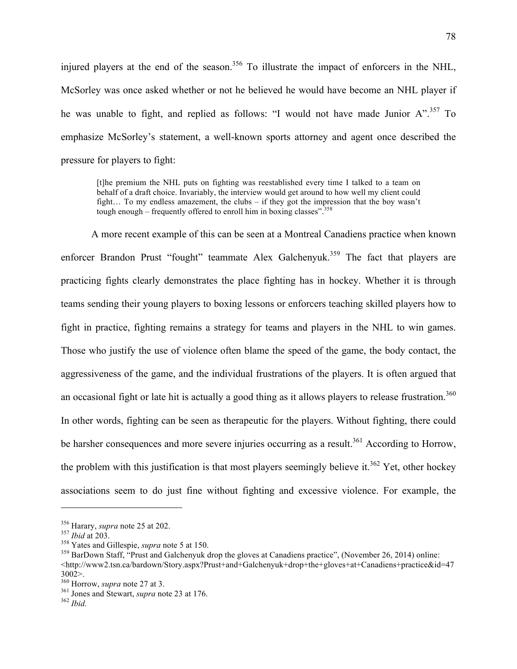injured players at the end of the season.<sup>356</sup> To illustrate the impact of enforcers in the NHL, McSorley was once asked whether or not he believed he would have become an NHL player if he was unable to fight, and replied as follows: "I would not have made Junior  $A$ ".<sup>357</sup> To emphasize McSorley's statement, a well-known sports attorney and agent once described the pressure for players to fight:

[t]he premium the NHL puts on fighting was reestablished every time I talked to a team on behalf of a draft choice. Invariably, the interview would get around to how well my client could fight… To my endless amazement, the clubs – if they got the impression that the boy wasn't tough enough – frequently offered to enroll him in boxing classes". $358$ 

A more recent example of this can be seen at a Montreal Canadiens practice when known enforcer Brandon Prust "fought" teammate Alex Galchenyuk.<sup>359</sup> The fact that players are practicing fights clearly demonstrates the place fighting has in hockey. Whether it is through teams sending their young players to boxing lessons or enforcers teaching skilled players how to fight in practice, fighting remains a strategy for teams and players in the NHL to win games. Those who justify the use of violence often blame the speed of the game, the body contact, the aggressiveness of the game, and the individual frustrations of the players. It is often argued that an occasional fight or late hit is actually a good thing as it allows players to release frustration.<sup>360</sup> In other words, fighting can be seen as therapeutic for the players. Without fighting, there could be harsher consequences and more severe injuries occurring as a result.<sup>361</sup> According to Horrow, the problem with this justification is that most players seemingly believe it.<sup>362</sup> Yet, other hockey associations seem to do just fine without fighting and excessive violence. For example, the

<sup>&</sup>lt;sup>356</sup> Harary, *supra* note 25 at 202.<br><sup>357</sup> *Ibid* at 203.<br><sup>358</sup> Yates and Gillespie, *supra* note 5 at 150.<br><sup>359</sup> BarDown Staff. "Prust and Galchenyuk drop the gloves at Canadiens practice". (November 26, 2014) online: <http://www2.tsn.ca/bardown/Story.aspx?Prust+and+Galchenyuk+drop+the+gloves+at+Canadiens+practice&id=47  $3002$ <br>360 Horrow, *supra* note 27 at 3.

<sup>&</sup>lt;sup>361</sup> Jones and Stewart, *supra* note 23 at 176. <sup>362</sup> *Ibid*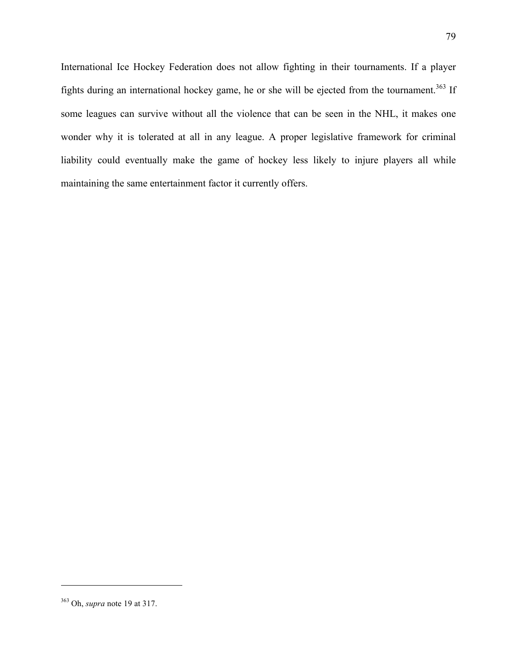International Ice Hockey Federation does not allow fighting in their tournaments. If a player fights during an international hockey game, he or she will be ejected from the tournament.<sup>363</sup> If some leagues can survive without all the violence that can be seen in the NHL, it makes one wonder why it is tolerated at all in any league. A proper legislative framework for criminal liability could eventually make the game of hockey less likely to injure players all while maintaining the same entertainment factor it currently offers.

<sup>363</sup> Oh, *supra* note 19 at 317.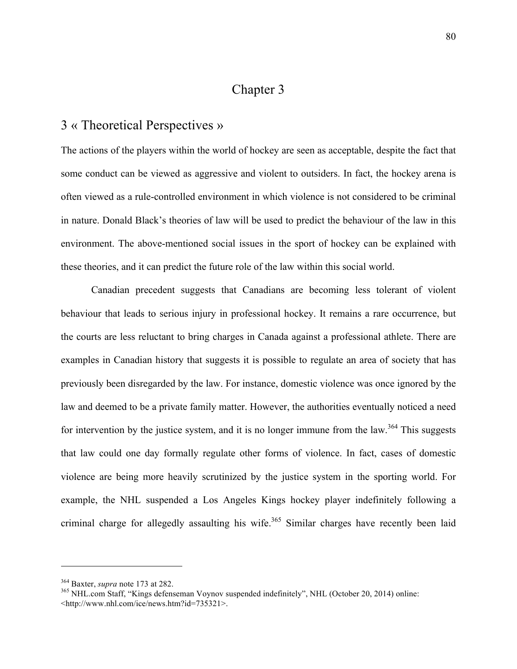# Chapter 3

#### 3 « Theoretical Perspectives »

The actions of the players within the world of hockey are seen as acceptable, despite the fact that some conduct can be viewed as aggressive and violent to outsiders. In fact, the hockey arena is often viewed as a rule-controlled environment in which violence is not considered to be criminal in nature. Donald Black's theories of law will be used to predict the behaviour of the law in this environment. The above-mentioned social issues in the sport of hockey can be explained with these theories, and it can predict the future role of the law within this social world.

Canadian precedent suggests that Canadians are becoming less tolerant of violent behaviour that leads to serious injury in professional hockey. It remains a rare occurrence, but the courts are less reluctant to bring charges in Canada against a professional athlete. There are examples in Canadian history that suggests it is possible to regulate an area of society that has previously been disregarded by the law. For instance, domestic violence was once ignored by the law and deemed to be a private family matter. However, the authorities eventually noticed a need for intervention by the justice system, and it is no longer immune from the law.<sup>364</sup> This suggests that law could one day formally regulate other forms of violence. In fact, cases of domestic violence are being more heavily scrutinized by the justice system in the sporting world. For example, the NHL suspended a Los Angeles Kings hockey player indefinitely following a criminal charge for allegedly assaulting his wife.<sup>365</sup> Similar charges have recently been laid

<sup>&</sup>lt;sup>364</sup> Baxter, *supra* note 173 at 282.<br><sup>365</sup> NHL.com Staff, "Kings defenseman Voynov suspended indefinitely", NHL (October 20, 2014) online: <http://www.nhl.com/ice/news.htm?id=735321>.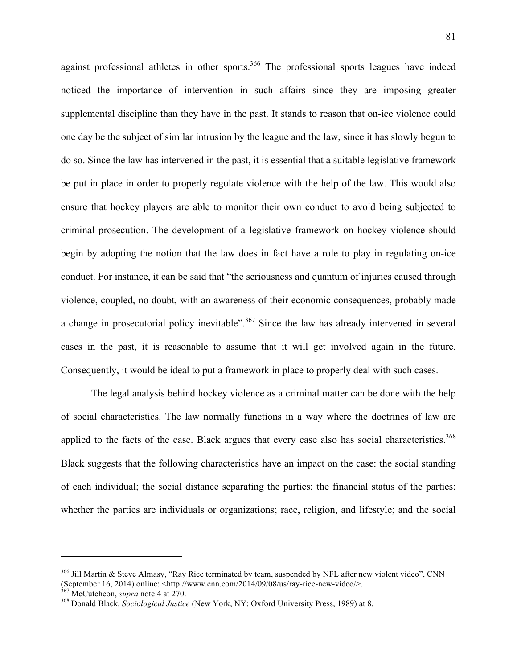against professional athletes in other sports.<sup>366</sup> The professional sports leagues have indeed noticed the importance of intervention in such affairs since they are imposing greater supplemental discipline than they have in the past. It stands to reason that on-ice violence could one day be the subject of similar intrusion by the league and the law, since it has slowly begun to do so. Since the law has intervened in the past, it is essential that a suitable legislative framework be put in place in order to properly regulate violence with the help of the law. This would also ensure that hockey players are able to monitor their own conduct to avoid being subjected to criminal prosecution. The development of a legislative framework on hockey violence should begin by adopting the notion that the law does in fact have a role to play in regulating on-ice conduct. For instance, it can be said that "the seriousness and quantum of injuries caused through violence, coupled, no doubt, with an awareness of their economic consequences, probably made a change in prosecutorial policy inevitable".<sup>367</sup> Since the law has already intervened in several cases in the past, it is reasonable to assume that it will get involved again in the future. Consequently, it would be ideal to put a framework in place to properly deal with such cases.

The legal analysis behind hockey violence as a criminal matter can be done with the help of social characteristics. The law normally functions in a way where the doctrines of law are applied to the facts of the case. Black argues that every case also has social characteristics.<sup>368</sup> Black suggests that the following characteristics have an impact on the case: the social standing of each individual; the social distance separating the parties; the financial status of the parties; whether the parties are individuals or organizations; race, religion, and lifestyle; and the social

 $366$  Jill Martin & Steve Almasy, "Ray Rice terminated by team, suspended by NFL after new violent video", CNN (September 16, 2014) online: <http://www.cnn.com/2014/09/08/us/ray-rice-new-video/>.<br><sup>367</sup> McCutcheon, *supra* note 4 at 270.<br><sup>368</sup> Donald Black, *Sociological Justice* (New York, NY: Oxford University Press, 1989) at 8.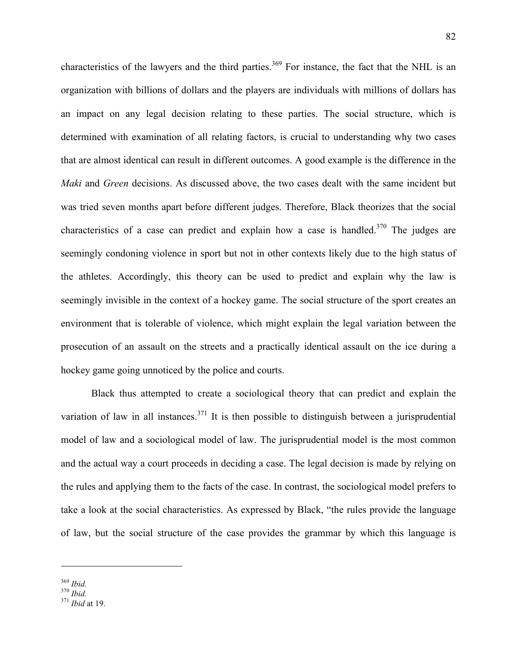characteristics of the lawyers and the third parties.<sup>369</sup> For instance, the fact that the NHL is an organization with billions of dollars and the players are individuals with millions of dollars has an impact on any legal decision relating to these parties. The social structure, which is determined with examination of all relating factors, is crucial to understanding why two cases that are almost identical can result in different outcomes. A good example is the difference in the *Maki* and *Green* decisions. As discussed above, the two cases dealt with the same incident but was tried seven months apart before different judges. Therefore, Black theorizes that the social characteristics of a case can predict and explain how a case is handled.<sup>370</sup> The judges are seemingly condoning violence in sport but not in other contexts likely due to the high status of the athletes. Accordingly, this theory can be used to predict and explain why the law is seemingly invisible in the context of a hockey game. The social structure of the sport creates an environment that is tolerable of violence, which might explain the legal variation between the prosecution of an assault on the streets and a practically identical assault on the ice during a hockey game going unnoticed by the police and courts.

Black thus attempted to create a sociological theory that can predict and explain the variation of law in all instances.<sup>371</sup> It is then possible to distinguish between a jurisprudential model of law and a sociological model of law. The jurisprudential model is the most common and the actual way a court proceeds in deciding a case. The legal decision is made by relying on the rules and applying them to the facts of the case. In contrast, the sociological model prefers to take a look at the social characteristics. As expressed by Black, "the rules provide the language of law, but the social structure of the case provides the grammar by which this language is

<sup>369</sup> *Ibid.* <sup>370</sup> *Ibid.* <sup>371</sup> *Ibid* at 19.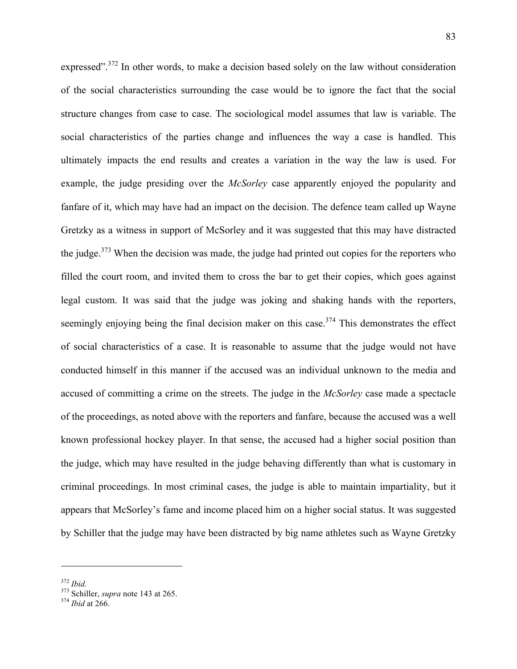expressed".<sup>372</sup> In other words, to make a decision based solely on the law without consideration of the social characteristics surrounding the case would be to ignore the fact that the social structure changes from case to case. The sociological model assumes that law is variable. The social characteristics of the parties change and influences the way a case is handled. This ultimately impacts the end results and creates a variation in the way the law is used. For example, the judge presiding over the *McSorley* case apparently enjoyed the popularity and fanfare of it, which may have had an impact on the decision. The defence team called up Wayne Gretzky as a witness in support of McSorley and it was suggested that this may have distracted the judge.<sup>373</sup> When the decision was made, the judge had printed out copies for the reporters who filled the court room, and invited them to cross the bar to get their copies, which goes against legal custom. It was said that the judge was joking and shaking hands with the reporters, seemingly enjoying being the final decision maker on this case.<sup>374</sup> This demonstrates the effect of social characteristics of a case. It is reasonable to assume that the judge would not have conducted himself in this manner if the accused was an individual unknown to the media and accused of committing a crime on the streets. The judge in the *McSorley* case made a spectacle of the proceedings, as noted above with the reporters and fanfare, because the accused was a well known professional hockey player. In that sense, the accused had a higher social position than the judge, which may have resulted in the judge behaving differently than what is customary in criminal proceedings. In most criminal cases, the judge is able to maintain impartiality, but it appears that McSorley's fame and income placed him on a higher social status. It was suggested by Schiller that the judge may have been distracted by big name athletes such as Wayne Gretzky

<sup>372</sup> *Ibid.* 373 Schiller, *supra* note 143 at 265. 374 *Ibid* at 266.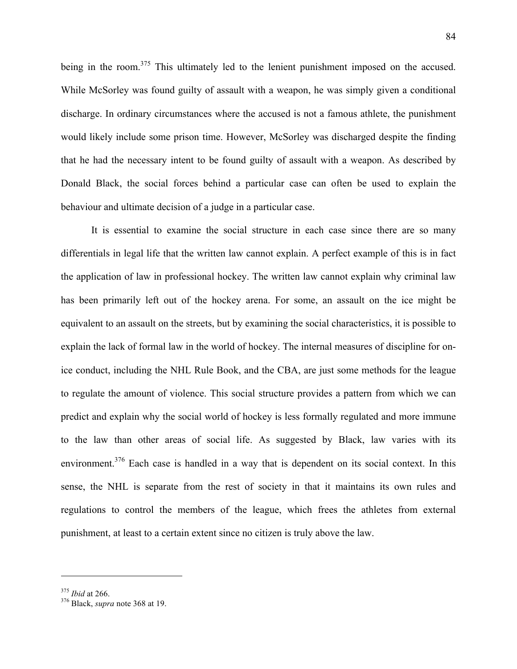being in the room.<sup>375</sup> This ultimately led to the lenient punishment imposed on the accused. While McSorley was found guilty of assault with a weapon, he was simply given a conditional discharge. In ordinary circumstances where the accused is not a famous athlete, the punishment would likely include some prison time. However, McSorley was discharged despite the finding that he had the necessary intent to be found guilty of assault with a weapon. As described by Donald Black, the social forces behind a particular case can often be used to explain the behaviour and ultimate decision of a judge in a particular case.

It is essential to examine the social structure in each case since there are so many differentials in legal life that the written law cannot explain. A perfect example of this is in fact the application of law in professional hockey. The written law cannot explain why criminal law has been primarily left out of the hockey arena. For some, an assault on the ice might be equivalent to an assault on the streets, but by examining the social characteristics, it is possible to explain the lack of formal law in the world of hockey. The internal measures of discipline for onice conduct, including the NHL Rule Book, and the CBA, are just some methods for the league to regulate the amount of violence. This social structure provides a pattern from which we can predict and explain why the social world of hockey is less formally regulated and more immune to the law than other areas of social life. As suggested by Black, law varies with its environment.<sup>376</sup> Each case is handled in a way that is dependent on its social context. In this sense, the NHL is separate from the rest of society in that it maintains its own rules and regulations to control the members of the league, which frees the athletes from external punishment, at least to a certain extent since no citizen is truly above the law.

<sup>375</sup> *Ibid* at 266. 376 Black, *supra* note 368 at 19.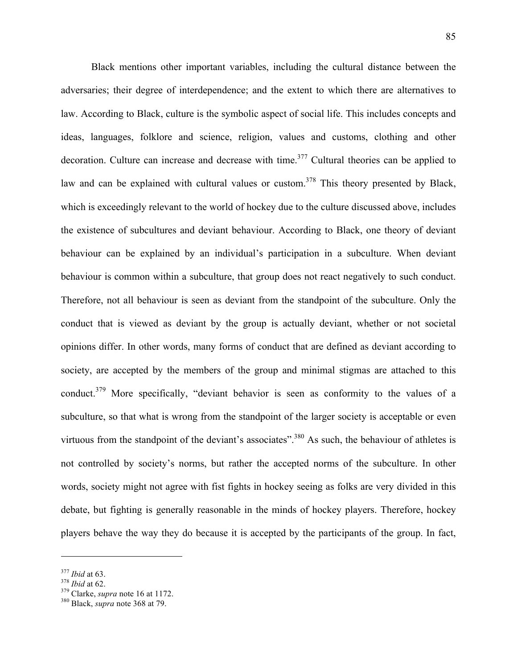Black mentions other important variables, including the cultural distance between the adversaries; their degree of interdependence; and the extent to which there are alternatives to law. According to Black, culture is the symbolic aspect of social life. This includes concepts and ideas, languages, folklore and science, religion, values and customs, clothing and other decoration. Culture can increase and decrease with time.<sup>377</sup> Cultural theories can be applied to law and can be explained with cultural values or custom.<sup>378</sup> This theory presented by Black, which is exceedingly relevant to the world of hockey due to the culture discussed above, includes the existence of subcultures and deviant behaviour. According to Black, one theory of deviant behaviour can be explained by an individual's participation in a subculture. When deviant behaviour is common within a subculture, that group does not react negatively to such conduct. Therefore, not all behaviour is seen as deviant from the standpoint of the subculture. Only the conduct that is viewed as deviant by the group is actually deviant, whether or not societal opinions differ. In other words, many forms of conduct that are defined as deviant according to society, are accepted by the members of the group and minimal stigmas are attached to this conduct.<sup>379</sup> More specifically, "deviant behavior is seen as conformity to the values of a subculture, so that what is wrong from the standpoint of the larger society is acceptable or even virtuous from the standpoint of the deviant's associates".<sup>380</sup> As such, the behaviour of athletes is not controlled by society's norms, but rather the accepted norms of the subculture. In other words, society might not agree with fist fights in hockey seeing as folks are very divided in this debate, but fighting is generally reasonable in the minds of hockey players. Therefore, hockey players behave the way they do because it is accepted by the participants of the group. In fact,

<sup>377</sup> *Ibid* at 63. <sup>378</sup> *Ibid* at 62. 379 Clarke, *supra* note 16 at 1172. 380 Black, *supra* note 368 at 79.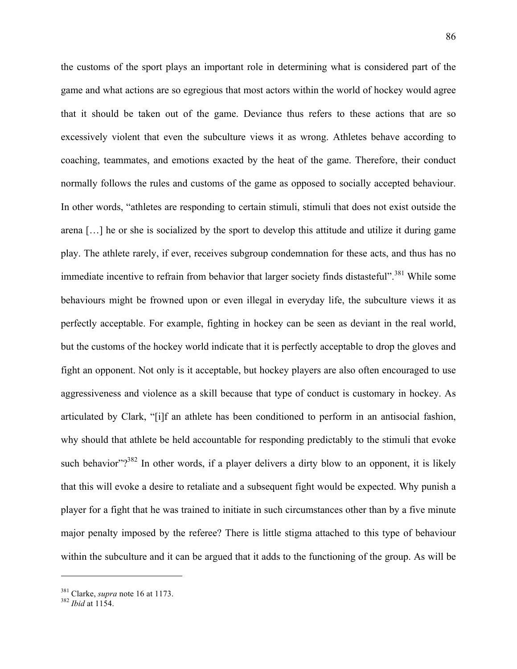the customs of the sport plays an important role in determining what is considered part of the game and what actions are so egregious that most actors within the world of hockey would agree that it should be taken out of the game. Deviance thus refers to these actions that are so excessively violent that even the subculture views it as wrong. Athletes behave according to coaching, teammates, and emotions exacted by the heat of the game. Therefore, their conduct normally follows the rules and customs of the game as opposed to socially accepted behaviour. In other words, "athletes are responding to certain stimuli, stimuli that does not exist outside the arena […] he or she is socialized by the sport to develop this attitude and utilize it during game play. The athlete rarely, if ever, receives subgroup condemnation for these acts, and thus has no immediate incentive to refrain from behavior that larger society finds distasteful".<sup>381</sup> While some behaviours might be frowned upon or even illegal in everyday life, the subculture views it as perfectly acceptable. For example, fighting in hockey can be seen as deviant in the real world, but the customs of the hockey world indicate that it is perfectly acceptable to drop the gloves and fight an opponent. Not only is it acceptable, but hockey players are also often encouraged to use aggressiveness and violence as a skill because that type of conduct is customary in hockey. As articulated by Clark, "[i]f an athlete has been conditioned to perform in an antisocial fashion, why should that athlete be held accountable for responding predictably to the stimuli that evoke such behavior"? $382$  In other words, if a player delivers a dirty blow to an opponent, it is likely that this will evoke a desire to retaliate and a subsequent fight would be expected. Why punish a player for a fight that he was trained to initiate in such circumstances other than by a five minute major penalty imposed by the referee? There is little stigma attached to this type of behaviour within the subculture and it can be argued that it adds to the functioning of the group. As will be

<sup>381</sup> Clarke, *supra* note 16 at 1173. <sup>382</sup> *Ibid* at 1154.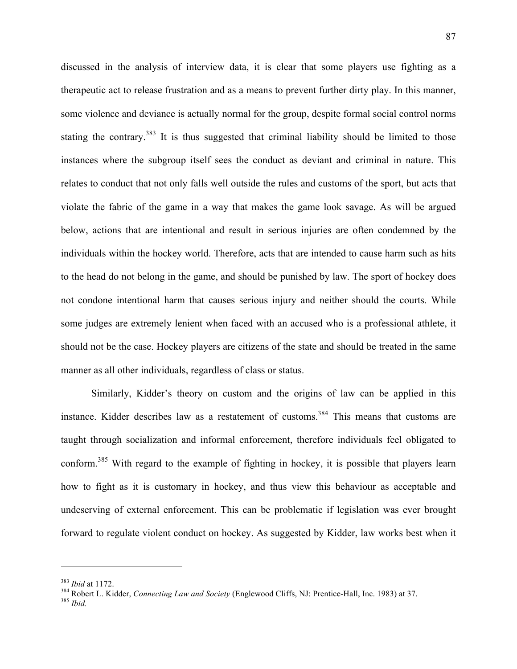discussed in the analysis of interview data, it is clear that some players use fighting as a therapeutic act to release frustration and as a means to prevent further dirty play. In this manner, some violence and deviance is actually normal for the group, despite formal social control norms stating the contrary.<sup>383</sup> It is thus suggested that criminal liability should be limited to those instances where the subgroup itself sees the conduct as deviant and criminal in nature. This relates to conduct that not only falls well outside the rules and customs of the sport, but acts that violate the fabric of the game in a way that makes the game look savage. As will be argued below, actions that are intentional and result in serious injuries are often condemned by the individuals within the hockey world. Therefore, acts that are intended to cause harm such as hits to the head do not belong in the game, and should be punished by law. The sport of hockey does not condone intentional harm that causes serious injury and neither should the courts. While some judges are extremely lenient when faced with an accused who is a professional athlete, it should not be the case. Hockey players are citizens of the state and should be treated in the same manner as all other individuals, regardless of class or status.

Similarly, Kidder's theory on custom and the origins of law can be applied in this instance. Kidder describes law as a restatement of customs.<sup>384</sup> This means that customs are taught through socialization and informal enforcement, therefore individuals feel obligated to conform.385 With regard to the example of fighting in hockey, it is possible that players learn how to fight as it is customary in hockey, and thus view this behaviour as acceptable and undeserving of external enforcement. This can be problematic if legislation was ever brought forward to regulate violent conduct on hockey. As suggested by Kidder, law works best when it

<sup>&</sup>lt;sup>383</sup> *Ibid* at 1172.<br><sup>384</sup> Robert L. Kidder, *Connecting Law and Society* (Englewood Cliffs, NJ: Prentice-Hall, Inc. 1983) at 37.<br><sup>385</sup> *Ibid*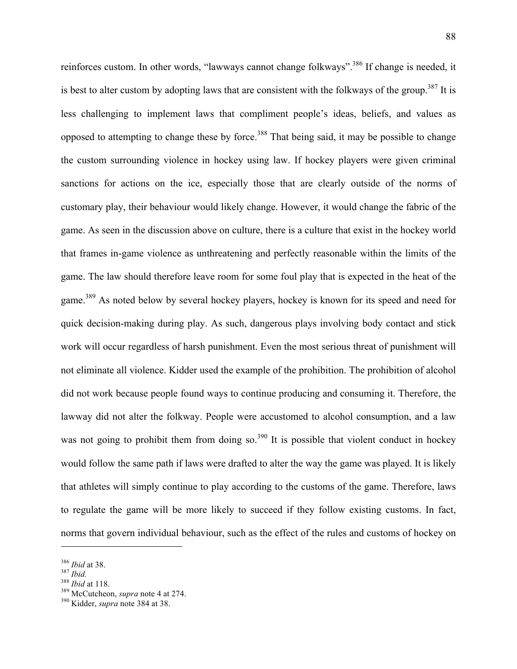reinforces custom. In other words, "lawways cannot change folkways".<sup>386</sup> If change is needed, it is best to alter custom by adopting laws that are consistent with the folkways of the group.<sup>387</sup> It is less challenging to implement laws that compliment people's ideas, beliefs, and values as opposed to attempting to change these by force.<sup>388</sup> That being said, it may be possible to change the custom surrounding violence in hockey using law. If hockey players were given criminal sanctions for actions on the ice, especially those that are clearly outside of the norms of customary play, their behaviour would likely change. However, it would change the fabric of the game. As seen in the discussion above on culture, there is a culture that exist in the hockey world that frames in-game violence as unthreatening and perfectly reasonable within the limits of the game. The law should therefore leave room for some foul play that is expected in the heat of the game.<sup>389</sup> As noted below by several hockey players, hockey is known for its speed and need for quick decision-making during play. As such, dangerous plays involving body contact and stick work will occur regardless of harsh punishment. Even the most serious threat of punishment will not eliminate all violence. Kidder used the example of the prohibition. The prohibition of alcohol did not work because people found ways to continue producing and consuming it. Therefore, the lawway did not alter the folkway. People were accustomed to alcohol consumption, and a law was not going to prohibit them from doing so.<sup>390</sup> It is possible that violent conduct in hockey would follow the same path if laws were drafted to alter the way the game was played. It is likely that athletes will simply continue to play according to the customs of the game. Therefore, laws to regulate the game will be more likely to succeed if they follow existing customs. In fact, norms that govern individual behaviour, such as the effect of the rules and customs of hockey on

<sup>386</sup> *Ibid* at 38. <sup>387</sup> *Ibid.* <sup>388</sup> *Ibid* at 118. 389 McCutcheon, *supra* note 4 at 274. 390 Kidder, *supra* note 384 at 38.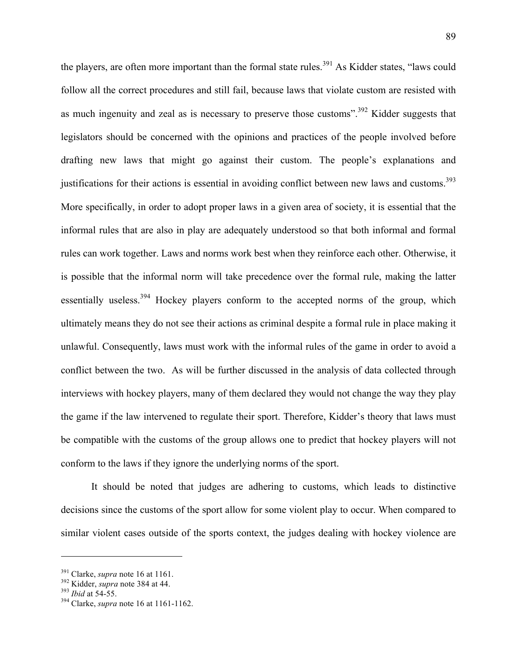the players, are often more important than the formal state rules.<sup>391</sup> As Kidder states, "laws could follow all the correct procedures and still fail, because laws that violate custom are resisted with as much ingenuity and zeal as is necessary to preserve those customs".<sup>392</sup> Kidder suggests that legislators should be concerned with the opinions and practices of the people involved before drafting new laws that might go against their custom. The people's explanations and justifications for their actions is essential in avoiding conflict between new laws and customs.<sup>393</sup> More specifically, in order to adopt proper laws in a given area of society, it is essential that the informal rules that are also in play are adequately understood so that both informal and formal rules can work together. Laws and norms work best when they reinforce each other. Otherwise, it is possible that the informal norm will take precedence over the formal rule, making the latter essentially useless.<sup>394</sup> Hockey players conform to the accepted norms of the group, which ultimately means they do not see their actions as criminal despite a formal rule in place making it unlawful. Consequently, laws must work with the informal rules of the game in order to avoid a conflict between the two. As will be further discussed in the analysis of data collected through interviews with hockey players, many of them declared they would not change the way they play the game if the law intervened to regulate their sport. Therefore, Kidder's theory that laws must be compatible with the customs of the group allows one to predict that hockey players will not conform to the laws if they ignore the underlying norms of the sport.

It should be noted that judges are adhering to customs, which leads to distinctive decisions since the customs of the sport allow for some violent play to occur. When compared to similar violent cases outside of the sports context, the judges dealing with hockey violence are

<sup>391</sup> Clarke, *supra* note 16 at 1161. 392 Kidder, *supra* note 384 at 44. 393 *Ibid* at 54-55. 394 Clarke, *supra* note 16 at 1161-1162.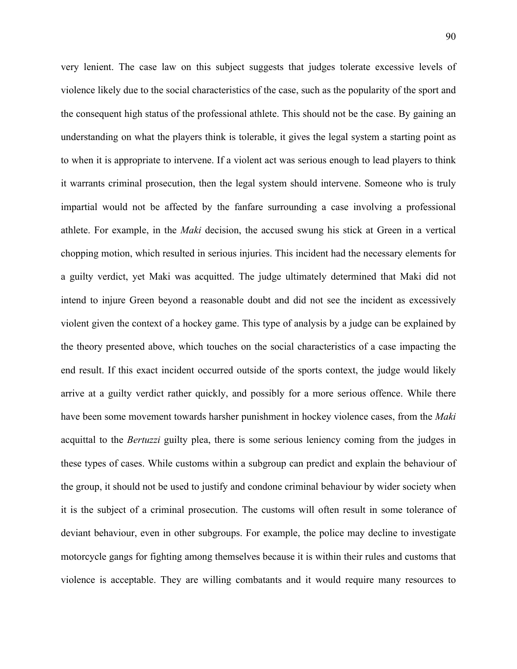very lenient. The case law on this subject suggests that judges tolerate excessive levels of violence likely due to the social characteristics of the case, such as the popularity of the sport and the consequent high status of the professional athlete. This should not be the case. By gaining an understanding on what the players think is tolerable, it gives the legal system a starting point as to when it is appropriate to intervene. If a violent act was serious enough to lead players to think it warrants criminal prosecution, then the legal system should intervene. Someone who is truly impartial would not be affected by the fanfare surrounding a case involving a professional athlete. For example, in the *Maki* decision, the accused swung his stick at Green in a vertical chopping motion, which resulted in serious injuries. This incident had the necessary elements for a guilty verdict, yet Maki was acquitted. The judge ultimately determined that Maki did not intend to injure Green beyond a reasonable doubt and did not see the incident as excessively violent given the context of a hockey game. This type of analysis by a judge can be explained by the theory presented above, which touches on the social characteristics of a case impacting the end result. If this exact incident occurred outside of the sports context, the judge would likely arrive at a guilty verdict rather quickly, and possibly for a more serious offence. While there have been some movement towards harsher punishment in hockey violence cases, from the *Maki* acquittal to the *Bertuzzi* guilty plea, there is some serious leniency coming from the judges in these types of cases. While customs within a subgroup can predict and explain the behaviour of the group, it should not be used to justify and condone criminal behaviour by wider society when it is the subject of a criminal prosecution. The customs will often result in some tolerance of deviant behaviour, even in other subgroups. For example, the police may decline to investigate motorcycle gangs for fighting among themselves because it is within their rules and customs that violence is acceptable. They are willing combatants and it would require many resources to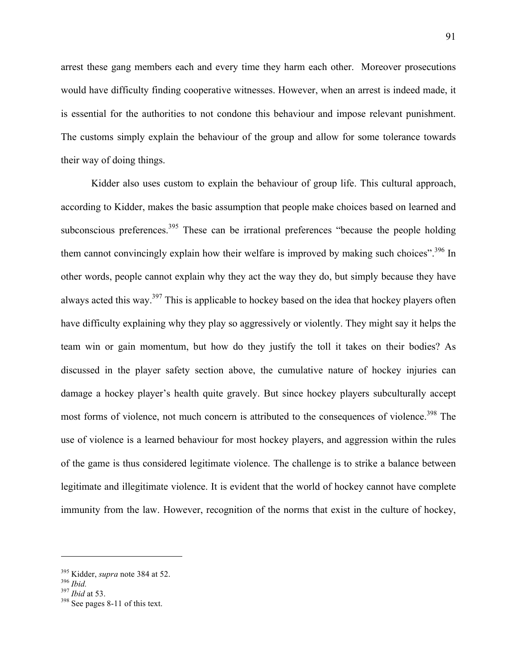arrest these gang members each and every time they harm each other. Moreover prosecutions would have difficulty finding cooperative witnesses. However, when an arrest is indeed made, it is essential for the authorities to not condone this behaviour and impose relevant punishment. The customs simply explain the behaviour of the group and allow for some tolerance towards their way of doing things.

Kidder also uses custom to explain the behaviour of group life. This cultural approach, according to Kidder, makes the basic assumption that people make choices based on learned and subconscious preferences.<sup>395</sup> These can be irrational preferences "because the people holding them cannot convincingly explain how their welfare is improved by making such choices".<sup>396</sup> In other words, people cannot explain why they act the way they do, but simply because they have always acted this way.<sup>397</sup> This is applicable to hockey based on the idea that hockey players often have difficulty explaining why they play so aggressively or violently. They might say it helps the team win or gain momentum, but how do they justify the toll it takes on their bodies? As discussed in the player safety section above, the cumulative nature of hockey injuries can damage a hockey player's health quite gravely. But since hockey players subculturally accept most forms of violence, not much concern is attributed to the consequences of violence.<sup>398</sup> The use of violence is a learned behaviour for most hockey players, and aggression within the rules of the game is thus considered legitimate violence. The challenge is to strike a balance between legitimate and illegitimate violence. It is evident that the world of hockey cannot have complete immunity from the law. However, recognition of the norms that exist in the culture of hockey,

<sup>395</sup> Kidder, *supra* note 384 at 52. 396 *Ibid.* <sup>397</sup> *Ibid* at 53. 398 See pages 8-11 of this text.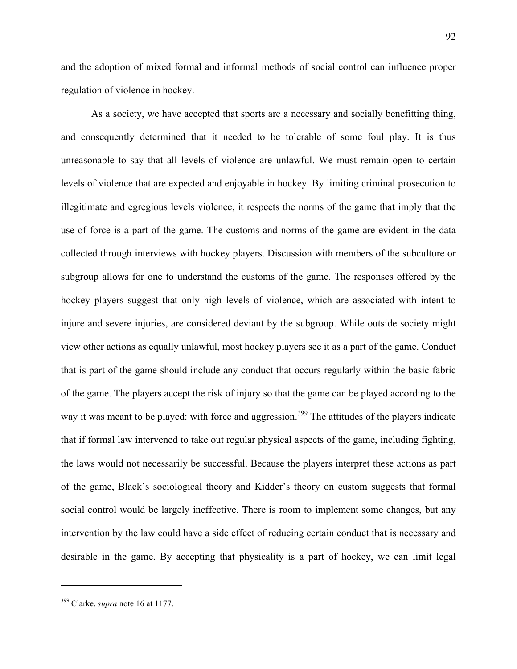and the adoption of mixed formal and informal methods of social control can influence proper regulation of violence in hockey.

As a society, we have accepted that sports are a necessary and socially benefitting thing, and consequently determined that it needed to be tolerable of some foul play. It is thus unreasonable to say that all levels of violence are unlawful. We must remain open to certain levels of violence that are expected and enjoyable in hockey. By limiting criminal prosecution to illegitimate and egregious levels violence, it respects the norms of the game that imply that the use of force is a part of the game. The customs and norms of the game are evident in the data collected through interviews with hockey players. Discussion with members of the subculture or subgroup allows for one to understand the customs of the game. The responses offered by the hockey players suggest that only high levels of violence, which are associated with intent to injure and severe injuries, are considered deviant by the subgroup. While outside society might view other actions as equally unlawful, most hockey players see it as a part of the game. Conduct that is part of the game should include any conduct that occurs regularly within the basic fabric of the game. The players accept the risk of injury so that the game can be played according to the way it was meant to be played: with force and aggression.<sup>399</sup> The attitudes of the players indicate that if formal law intervened to take out regular physical aspects of the game, including fighting, the laws would not necessarily be successful. Because the players interpret these actions as part of the game, Black's sociological theory and Kidder's theory on custom suggests that formal social control would be largely ineffective. There is room to implement some changes, but any intervention by the law could have a side effect of reducing certain conduct that is necessary and desirable in the game. By accepting that physicality is a part of hockey, we can limit legal

<sup>399</sup> Clarke, *supra* note 16 at 1177.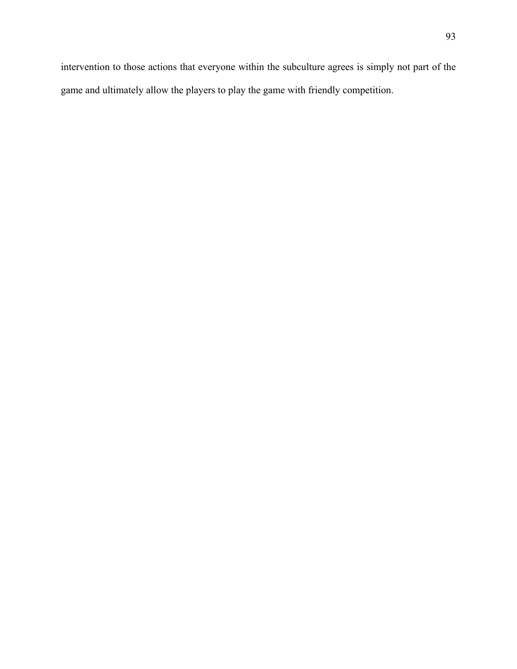intervention to those actions that everyone within the subculture agrees is simply not part of the game and ultimately allow the players to play the game with friendly competition.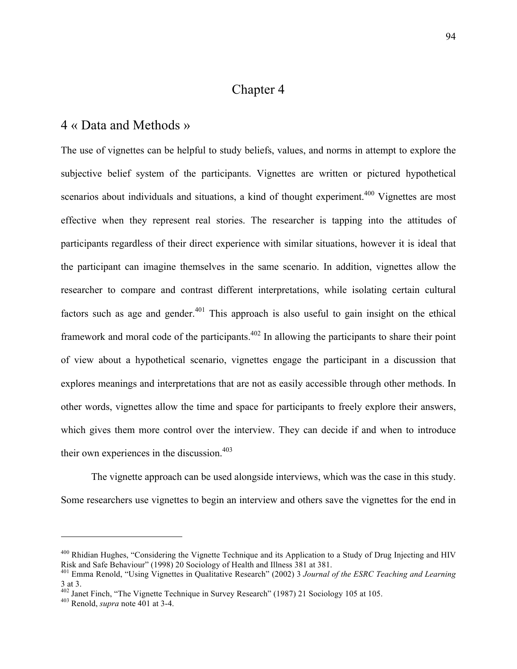# Chapter 4

#### 4 « Data and Methods »

The use of vignettes can be helpful to study beliefs, values, and norms in attempt to explore the subjective belief system of the participants. Vignettes are written or pictured hypothetical scenarios about individuals and situations, a kind of thought experiment.<sup>400</sup> Vignettes are most effective when they represent real stories. The researcher is tapping into the attitudes of participants regardless of their direct experience with similar situations, however it is ideal that the participant can imagine themselves in the same scenario. In addition, vignettes allow the researcher to compare and contrast different interpretations, while isolating certain cultural factors such as age and gender.<sup>401</sup> This approach is also useful to gain insight on the ethical framework and moral code of the participants.<sup>402</sup> In allowing the participants to share their point of view about a hypothetical scenario, vignettes engage the participant in a discussion that explores meanings and interpretations that are not as easily accessible through other methods. In other words, vignettes allow the time and space for participants to freely explore their answers, which gives them more control over the interview. They can decide if and when to introduce their own experiences in the discussion.  $403$ 

The vignette approach can be used alongside interviews, which was the case in this study. Some researchers use vignettes to begin an interview and others save the vignettes for the end in

<sup>&</sup>lt;sup>400</sup> Rhidian Hughes, "Considering the Vignette Technique and its Application to a Study of Drug Injecting and HIV Risk and Safe Behaviour" (1998) 20 Sociology of Health and Illness 381 at 381.

<sup>401</sup> Emma Renold, "Using Vignettes in Qualitative Research" (2002) 3 *Journal of the ESRC Teaching and Learning* 3 at 3.

<sup>402</sup> Janet Finch, "The Vignette Technique in Survey Research" (1987) 21 Sociology 105 at 105. 403 Renold, *supra* note 401 at 3-4.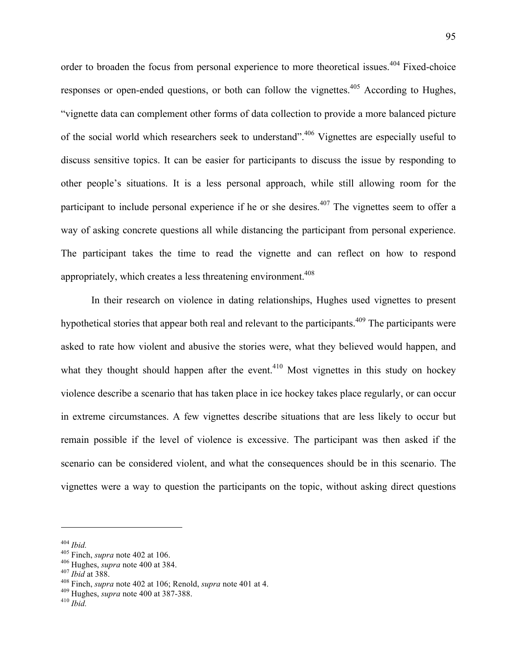order to broaden the focus from personal experience to more theoretical issues.<sup>404</sup> Fixed-choice responses or open-ended questions, or both can follow the vignettes.<sup>405</sup> According to Hughes, "vignette data can complement other forms of data collection to provide a more balanced picture of the social world which researchers seek to understand".406 Vignettes are especially useful to discuss sensitive topics. It can be easier for participants to discuss the issue by responding to other people's situations. It is a less personal approach, while still allowing room for the participant to include personal experience if he or she desires.<sup>407</sup> The vignettes seem to offer a way of asking concrete questions all while distancing the participant from personal experience. The participant takes the time to read the vignette and can reflect on how to respond appropriately, which creates a less threatening environment.<sup> $408$ </sup>

In their research on violence in dating relationships, Hughes used vignettes to present hypothetical stories that appear both real and relevant to the participants.<sup>409</sup> The participants were asked to rate how violent and abusive the stories were, what they believed would happen, and what they thought should happen after the event.<sup> $410$ </sup> Most vignettes in this study on hockey violence describe a scenario that has taken place in ice hockey takes place regularly, or can occur in extreme circumstances. A few vignettes describe situations that are less likely to occur but remain possible if the level of violence is excessive. The participant was then asked if the scenario can be considered violent, and what the consequences should be in this scenario. The vignettes were a way to question the participants on the topic, without asking direct questions

<sup>&</sup>lt;sup>404</sup> *Ibid.*<br><sup>405</sup> Finch, *supra* note 402 at 106.<br><sup>406</sup> Hughes, *supra* note 400 at 384.<br><sup>407</sup> *Ibid* at 388.<br><sup>408</sup> Finch, *supra* note 402 at 106; Renold, *supra* note 401 at 4.<br><sup>409</sup> Hughes, *supra* note 400 at 387-38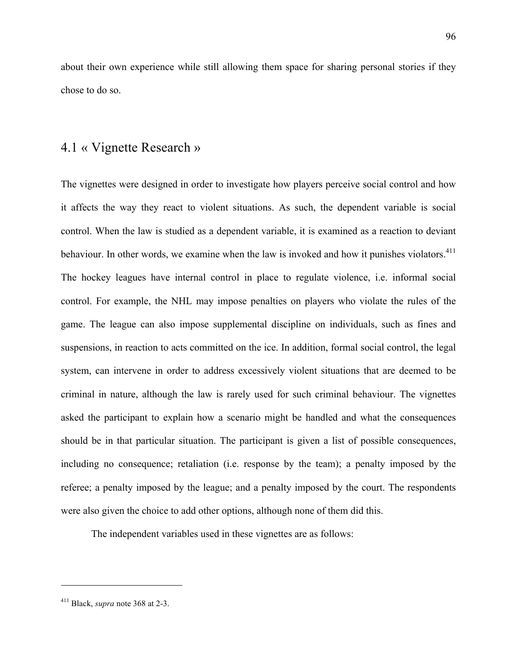about their own experience while still allowing them space for sharing personal stories if they chose to do so.

### 4.1 « Vignette Research »

The vignettes were designed in order to investigate how players perceive social control and how it affects the way they react to violent situations. As such, the dependent variable is social control. When the law is studied as a dependent variable, it is examined as a reaction to deviant behaviour. In other words, we examine when the law is invoked and how it punishes violators.<sup>411</sup> The hockey leagues have internal control in place to regulate violence, i.e. informal social control. For example, the NHL may impose penalties on players who violate the rules of the game. The league can also impose supplemental discipline on individuals, such as fines and suspensions, in reaction to acts committed on the ice. In addition, formal social control, the legal system, can intervene in order to address excessively violent situations that are deemed to be criminal in nature, although the law is rarely used for such criminal behaviour. The vignettes asked the participant to explain how a scenario might be handled and what the consequences should be in that particular situation. The participant is given a list of possible consequences, including no consequence; retaliation (i.e. response by the team); a penalty imposed by the referee; a penalty imposed by the league; and a penalty imposed by the court. The respondents were also given the choice to add other options, although none of them did this.

The independent variables used in these vignettes are as follows:

<sup>411</sup> Black, *supra* note 368 at 2-3.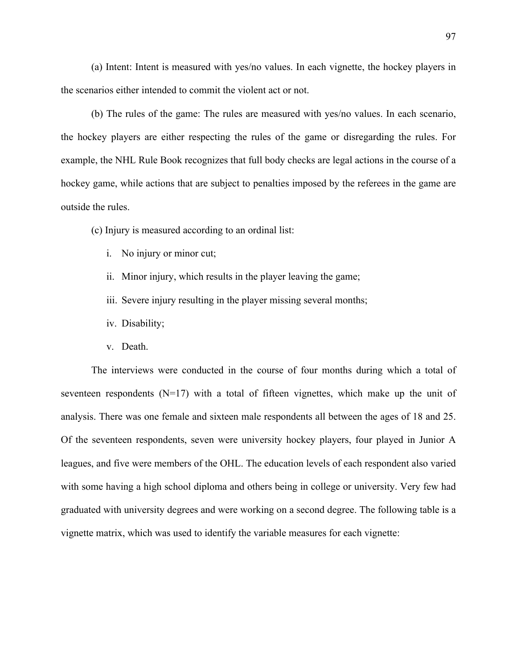(a) Intent: Intent is measured with yes/no values. In each vignette, the hockey players in the scenarios either intended to commit the violent act or not.

(b) The rules of the game: The rules are measured with yes/no values. In each scenario, the hockey players are either respecting the rules of the game or disregarding the rules. For example, the NHL Rule Book recognizes that full body checks are legal actions in the course of a hockey game, while actions that are subject to penalties imposed by the referees in the game are outside the rules.

(c) Injury is measured according to an ordinal list:

- i. No injury or minor cut;
- ii. Minor injury, which results in the player leaving the game;
- iii. Severe injury resulting in the player missing several months;
- iv. Disability;
- v. Death.

The interviews were conducted in the course of four months during which a total of seventeen respondents  $(N=17)$  with a total of fifteen vignettes, which make up the unit of analysis. There was one female and sixteen male respondents all between the ages of 18 and 25. Of the seventeen respondents, seven were university hockey players, four played in Junior A leagues, and five were members of the OHL. The education levels of each respondent also varied with some having a high school diploma and others being in college or university. Very few had graduated with university degrees and were working on a second degree. The following table is a vignette matrix, which was used to identify the variable measures for each vignette: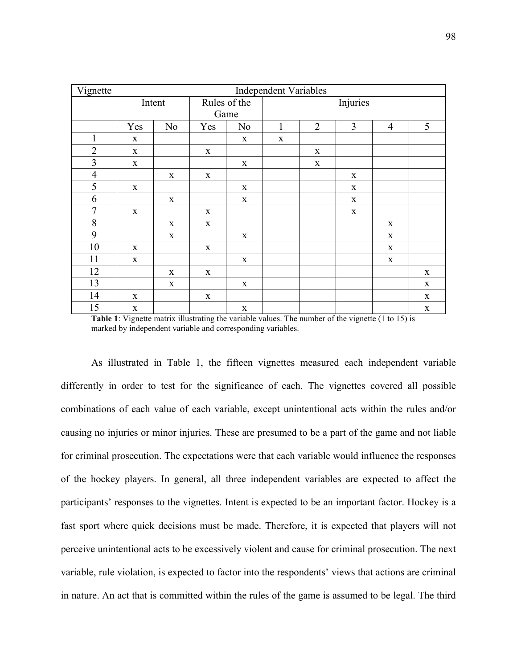| Vignette       | <b>Independent Variables</b> |                |              |                |             |                |             |                |             |
|----------------|------------------------------|----------------|--------------|----------------|-------------|----------------|-------------|----------------|-------------|
|                | Intent                       |                | Rules of the |                | Injuries    |                |             |                |             |
|                |                              |                | Game         |                |             |                |             |                |             |
|                | Yes                          | N <sub>0</sub> | Yes          | N <sub>0</sub> | 1           | $\overline{2}$ | 3           | $\overline{4}$ | 5           |
| $\mathbf{1}$   | $\mathbf X$                  |                |              | $\mathbf X$    | $\mathbf X$ |                |             |                |             |
| $\overline{2}$ | $\mathbf X$                  |                | $\mathbf X$  |                |             | $\mathbf X$    |             |                |             |
| $\overline{3}$ | $\mathbf X$                  |                |              | $\mathbf X$    |             | $\mathbf X$    |             |                |             |
| $\overline{4}$ |                              | $\mathbf X$    | $\mathbf X$  |                |             |                | $\mathbf X$ |                |             |
| 5              | $\mathbf X$                  |                |              | $\mathbf X$    |             |                | $\mathbf X$ |                |             |
| 6              |                              | $\mathbf X$    |              | $\mathbf X$    |             |                | $\mathbf X$ |                |             |
| $\sqrt{ }$     | $\mathbf X$                  |                | X            |                |             |                | $\mathbf X$ |                |             |
| 8              |                              | $\mathbf X$    | X            |                |             |                |             | $\mathbf X$    |             |
| 9              |                              | $\mathbf X$    |              | $\mathbf X$    |             |                |             | $\mathbf X$    |             |
| 10             | $\mathbf X$                  |                | $\mathbf X$  |                |             |                |             | $\mathbf X$    |             |
| 11             | $\mathbf X$                  |                |              | $\mathbf X$    |             |                |             | $\mathbf X$    |             |
| 12             |                              | X              | $\mathbf X$  |                |             |                |             |                | $\mathbf X$ |
| 13             |                              | $\mathbf X$    |              | $\mathbf X$    |             |                |             |                | $\mathbf X$ |
| 14             | $\mathbf X$                  |                | $\mathbf X$  |                |             |                |             |                | $\mathbf X$ |
| 15             | $\mathbf X$                  |                |              | $\mathbf X$    |             |                |             |                | $\mathbf X$ |

**Table 1**: Vignette matrix illustrating the variable values. The number of the vignette (1 to 15) is marked by independent variable and corresponding variables.

As illustrated in Table 1, the fifteen vignettes measured each independent variable differently in order to test for the significance of each. The vignettes covered all possible combinations of each value of each variable, except unintentional acts within the rules and/or causing no injuries or minor injuries. These are presumed to be a part of the game and not liable for criminal prosecution. The expectations were that each variable would influence the responses of the hockey players. In general, all three independent variables are expected to affect the participants' responses to the vignettes. Intent is expected to be an important factor. Hockey is a fast sport where quick decisions must be made. Therefore, it is expected that players will not perceive unintentional acts to be excessively violent and cause for criminal prosecution. The next variable, rule violation, is expected to factor into the respondents' views that actions are criminal in nature. An act that is committed within the rules of the game is assumed to be legal. The third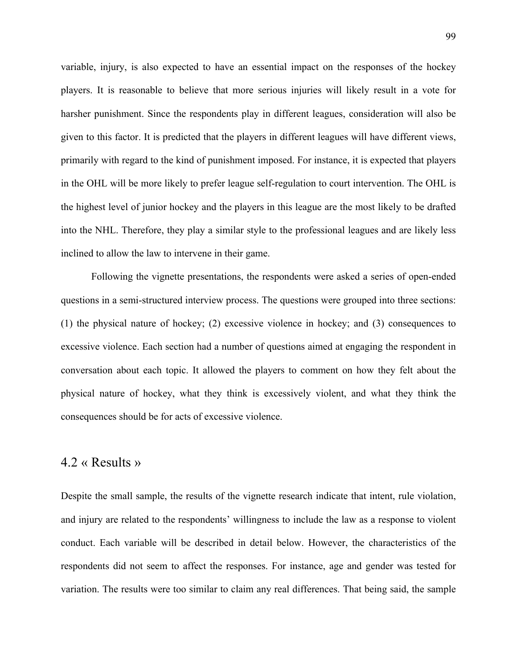variable, injury, is also expected to have an essential impact on the responses of the hockey players. It is reasonable to believe that more serious injuries will likely result in a vote for harsher punishment. Since the respondents play in different leagues, consideration will also be given to this factor. It is predicted that the players in different leagues will have different views, primarily with regard to the kind of punishment imposed. For instance, it is expected that players in the OHL will be more likely to prefer league self-regulation to court intervention. The OHL is the highest level of junior hockey and the players in this league are the most likely to be drafted into the NHL. Therefore, they play a similar style to the professional leagues and are likely less inclined to allow the law to intervene in their game.

Following the vignette presentations, the respondents were asked a series of open-ended questions in a semi-structured interview process. The questions were grouped into three sections: (1) the physical nature of hockey; (2) excessive violence in hockey; and (3) consequences to excessive violence. Each section had a number of questions aimed at engaging the respondent in conversation about each topic. It allowed the players to comment on how they felt about the physical nature of hockey, what they think is excessively violent, and what they think the consequences should be for acts of excessive violence.

### 4.2 « Results »

Despite the small sample, the results of the vignette research indicate that intent, rule violation, and injury are related to the respondents' willingness to include the law as a response to violent conduct. Each variable will be described in detail below. However, the characteristics of the respondents did not seem to affect the responses. For instance, age and gender was tested for variation. The results were too similar to claim any real differences. That being said, the sample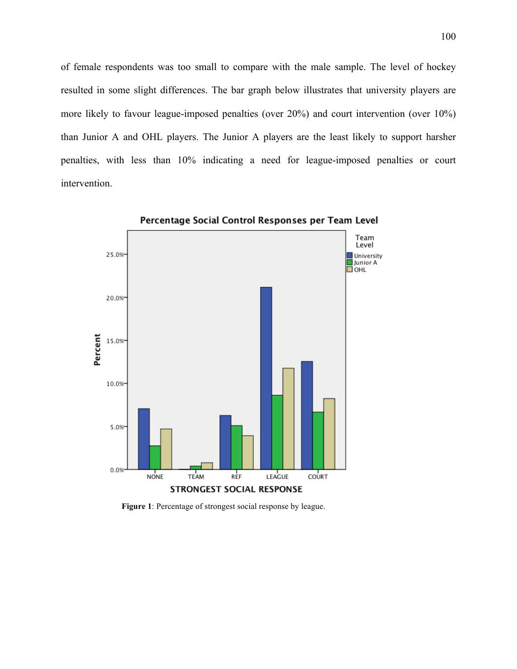of female respondents was too small to compare with the male sample. The level of hockey resulted in some slight differences. The bar graph below illustrates that university players are more likely to favour league-imposed penalties (over 20%) and court intervention (over 10%) than Junior A and OHL players. The Junior A players are the least likely to support harsher penalties, with less than 10% indicating a need for league-imposed penalties or court intervention.



Percentage Social Control Responses per Team Level

**Figure 1**: Percentage of strongest social response by league.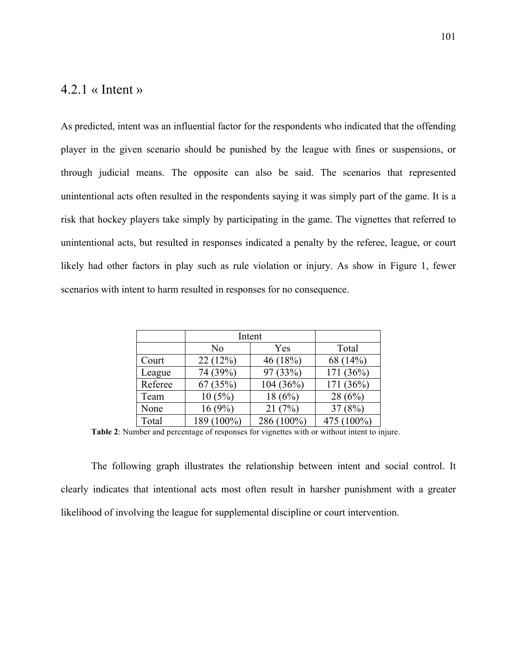## $4.2.1 \times Intent \rightarrow$

As predicted, intent was an influential factor for the respondents who indicated that the offending player in the given scenario should be punished by the league with fines or suspensions, or through judicial means. The opposite can also be said. The scenarios that represented unintentional acts often resulted in the respondents saying it was simply part of the game. It is a risk that hockey players take simply by participating in the game. The vignettes that referred to unintentional acts, but resulted in responses indicated a penalty by the referee, league, or court likely had other factors in play such as rule violation or injury. As show in Figure 1, fewer scenarios with intent to harm resulted in responses for no consequence.

|         | Intent     |            |             |
|---------|------------|------------|-------------|
|         | No         | Yes        | Total       |
| Court   | 22(12%)    | 46 (18%)   | 68 (14%)    |
| League  | 74 (39%)   | 97 (33%)   | 171 (36%)   |
| Referee | 67(35%)    | 104 (36%)  | 171 $(36%)$ |
| Team    | 10(5%)     | 18(6%)     | 28(6%)      |
| None    | 16(9%)     | 21(7%)     | 37(8%)      |
| Total   | 189 (100%) | 286 (100%) | 475 (100%)  |

**Table 2**: Number and percentage of responses for vignettes with or without intent to injure.

The following graph illustrates the relationship between intent and social control. It clearly indicates that intentional acts most often result in harsher punishment with a greater likelihood of involving the league for supplemental discipline or court intervention.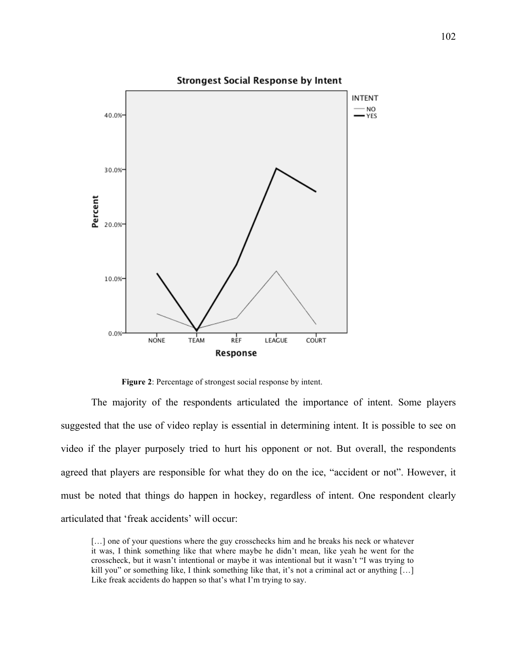

**Figure 2**: Percentage of strongest social response by intent.

The majority of the respondents articulated the importance of intent. Some players suggested that the use of video replay is essential in determining intent. It is possible to see on video if the player purposely tried to hurt his opponent or not. But overall, the respondents agreed that players are responsible for what they do on the ice, "accident or not". However, it must be noted that things do happen in hockey, regardless of intent. One respondent clearly articulated that 'freak accidents' will occur:

<sup>[...]</sup> one of your questions where the guy crosschecks him and he breaks his neck or whatever it was, I think something like that where maybe he didn't mean, like yeah he went for the crosscheck, but it wasn't intentional or maybe it was intentional but it wasn't "I was trying to kill you" or something like, I think something like that, it's not a criminal act or anything  $[\dots]$ Like freak accidents do happen so that's what I'm trying to say.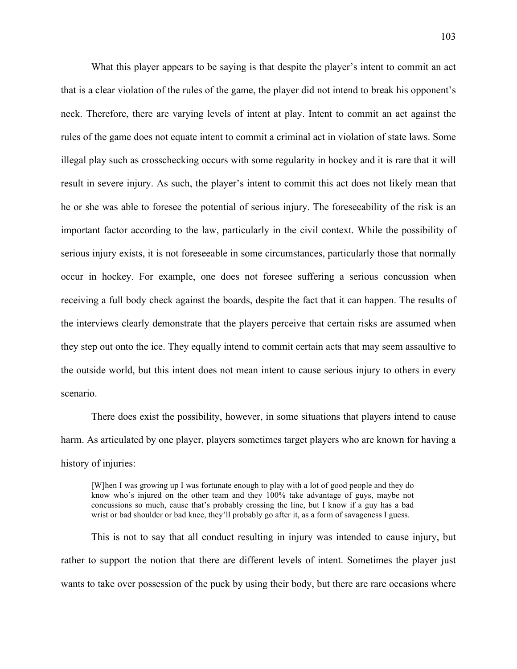What this player appears to be saying is that despite the player's intent to commit an act that is a clear violation of the rules of the game, the player did not intend to break his opponent's neck. Therefore, there are varying levels of intent at play. Intent to commit an act against the rules of the game does not equate intent to commit a criminal act in violation of state laws. Some illegal play such as crosschecking occurs with some regularity in hockey and it is rare that it will result in severe injury. As such, the player's intent to commit this act does not likely mean that he or she was able to foresee the potential of serious injury. The foreseeability of the risk is an important factor according to the law, particularly in the civil context. While the possibility of serious injury exists, it is not foreseeable in some circumstances, particularly those that normally occur in hockey. For example, one does not foresee suffering a serious concussion when receiving a full body check against the boards, despite the fact that it can happen. The results of the interviews clearly demonstrate that the players perceive that certain risks are assumed when they step out onto the ice. They equally intend to commit certain acts that may seem assaultive to the outside world, but this intent does not mean intent to cause serious injury to others in every scenario.

There does exist the possibility, however, in some situations that players intend to cause harm. As articulated by one player, players sometimes target players who are known for having a history of injuries:

[W]hen I was growing up I was fortunate enough to play with a lot of good people and they do know who's injured on the other team and they 100% take advantage of guys, maybe not concussions so much, cause that's probably crossing the line, but I know if a guy has a bad wrist or bad shoulder or bad knee, they'll probably go after it, as a form of savageness I guess.

This is not to say that all conduct resulting in injury was intended to cause injury, but rather to support the notion that there are different levels of intent. Sometimes the player just wants to take over possession of the puck by using their body, but there are rare occasions where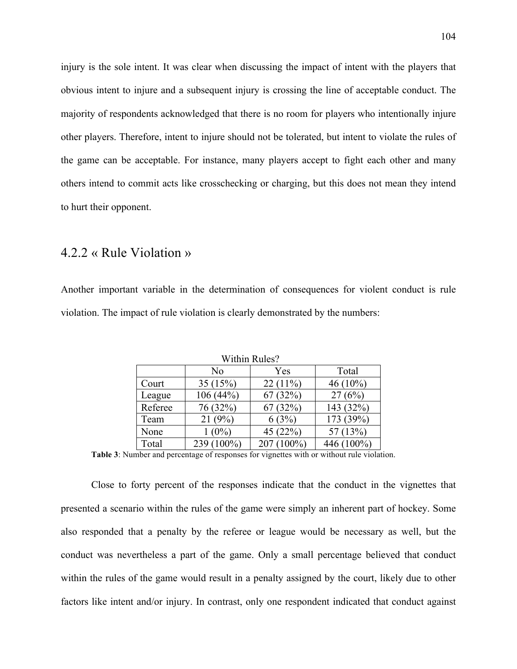injury is the sole intent. It was clear when discussing the impact of intent with the players that obvious intent to injure and a subsequent injury is crossing the line of acceptable conduct. The majority of respondents acknowledged that there is no room for players who intentionally injure other players. Therefore, intent to injure should not be tolerated, but intent to violate the rules of the game can be acceptable. For instance, many players accept to fight each other and many others intend to commit acts like crosschecking or charging, but this does not mean they intend to hurt their opponent.

#### 4.2.2 « Rule Violation »

Another important variable in the determination of consequences for violent conduct is rule violation. The impact of rule violation is clearly demonstrated by the numbers:

|         | No             | Yes        | Total       |
|---------|----------------|------------|-------------|
| Court   | 35(15%)        | $22(11\%)$ | 46 $(10\%)$ |
| League  | 106 (44%)      | 67(32%)    | 27(6%)      |
| Referee | 76 (32%)       | 67(32%)    | 143 (32%)   |
| Team    | 21(9%)         | 6(3%)      | 173 (39%)   |
| None    | $(0\%)$        | 45 (22%)   | 57 (13%)    |
| Total   | $100\%$<br>239 | $100\%$    | $100\%$     |

Within Rules?

**Table 3**: Number and percentage of responses for vignettes with or without rule violation.

Close to forty percent of the responses indicate that the conduct in the vignettes that presented a scenario within the rules of the game were simply an inherent part of hockey. Some also responded that a penalty by the referee or league would be necessary as well, but the conduct was nevertheless a part of the game. Only a small percentage believed that conduct within the rules of the game would result in a penalty assigned by the court, likely due to other factors like intent and/or injury. In contrast, only one respondent indicated that conduct against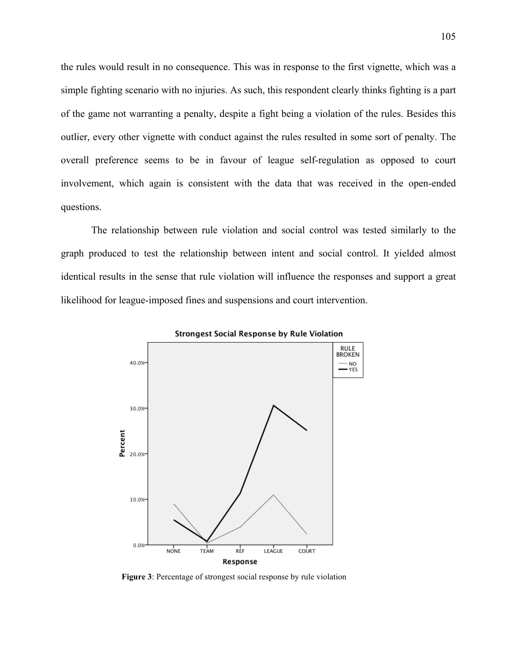the rules would result in no consequence. This was in response to the first vignette, which was a simple fighting scenario with no injuries. As such, this respondent clearly thinks fighting is a part of the game not warranting a penalty, despite a fight being a violation of the rules. Besides this outlier, every other vignette with conduct against the rules resulted in some sort of penalty. The overall preference seems to be in favour of league self-regulation as opposed to court involvement, which again is consistent with the data that was received in the open-ended questions.

The relationship between rule violation and social control was tested similarly to the graph produced to test the relationship between intent and social control. It yielded almost identical results in the sense that rule violation will influence the responses and support a great likelihood for league-imposed fines and suspensions and court intervention.



**Strongest Social Response by Rule Violation** 

**Figure 3**: Percentage of strongest social response by rule violation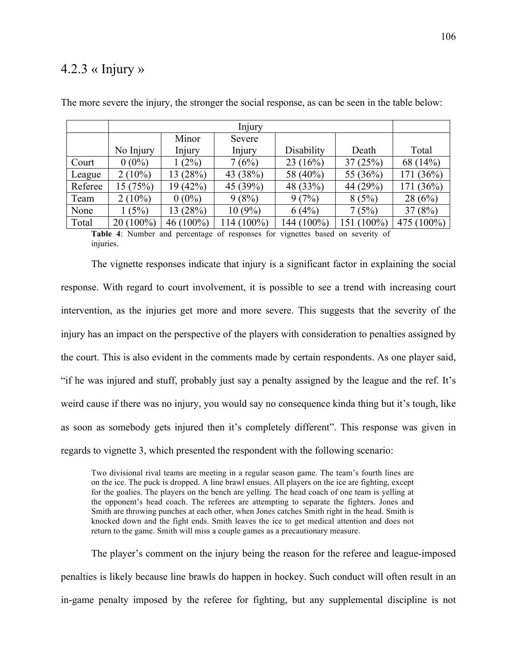## $4.2.3 \times$  Injury »

|         | Injury      |              |            |            |            |            |
|---------|-------------|--------------|------------|------------|------------|------------|
|         |             | Minor        | Severe     |            |            |            |
|         | No Injury   | Injury       | Injury     | Disability | Death      | Total      |
| Court   | $0(0\%)$    | (2%)         | 7(6%)      | 23(16%)    | 37(25%)    | 68 (14%)   |
| League  | $2(10\%)$   | 13(28%)      | 43 (38%)   | 58 (40%)   | 55 (36%)   | 171 (36%)  |
| Referee | 15 (75%)    | 19(42%)      | 45 (39%)   | 48 (33%)   | 44 (29%)   | 171 (36%)  |
| Team    | $2(10\%)$   | $0(0\%)$     | 9(8%)      | 9(7%)      | 8(5%)      | 28(6%)     |
| None    | 1(5%)       | 13(28%)      | $10(9\%)$  | 6(4%)      | 7(5%)      | 37(8%)     |
| Total   | $20(100\%)$ | 46 $(100\%)$ | 114 (100%) | 144 (100%) | 151 (100%) | 475 (100%) |

The more severe the injury, the stronger the social response, as can be seen in the table below:

**Table 4**: Number and percentage of responses for vignettes based on severity of injuries.

The vignette responses indicate that injury is a significant factor in explaining the social response. With regard to court involvement, it is possible to see a trend with increasing court intervention, as the injuries get more and more severe. This suggests that the severity of the injury has an impact on the perspective of the players with consideration to penalties assigned by the court. This is also evident in the comments made by certain respondents. As one player said, "if he was injured and stuff, probably just say a penalty assigned by the league and the ref. It's weird cause if there was no injury, you would say no consequence kinda thing but it's tough, like as soon as somebody gets injured then it's completely different". This response was given in regards to vignette 3, which presented the respondent with the following scenario:

Two divisional rival teams are meeting in a regular season game. The team's fourth lines are on the ice. The puck is dropped. A line brawl ensues. All players on the ice are fighting, except for the goalies. The players on the bench are yelling. The head coach of one team is yelling at the opponent's head coach. The referees are attempting to separate the fighters. Jones and Smith are throwing punches at each other, when Jones catches Smith right in the head. Smith is knocked down and the fight ends. Smith leaves the ice to get medical attention and does not return to the game. Smith will miss a couple games as a precautionary measure.

The player's comment on the injury being the reason for the referee and league-imposed penalties is likely because line brawls do happen in hockey. Such conduct will often result in an in-game penalty imposed by the referee for fighting, but any supplemental discipline is not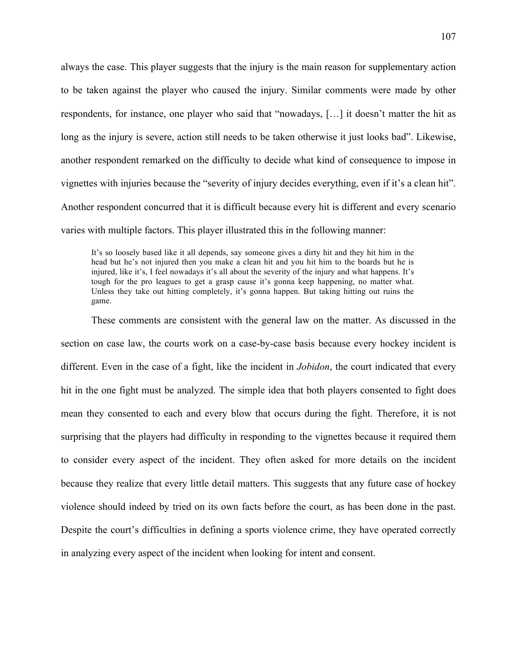always the case. This player suggests that the injury is the main reason for supplementary action to be taken against the player who caused the injury. Similar comments were made by other respondents, for instance, one player who said that "nowadays, […] it doesn't matter the hit as long as the injury is severe, action still needs to be taken otherwise it just looks bad". Likewise, another respondent remarked on the difficulty to decide what kind of consequence to impose in vignettes with injuries because the "severity of injury decides everything, even if it's a clean hit". Another respondent concurred that it is difficult because every hit is different and every scenario varies with multiple factors. This player illustrated this in the following manner:

It's so loosely based like it all depends, say someone gives a dirty hit and they hit him in the head but he's not injured then you make a clean hit and you hit him to the boards but he is injured, like it's, I feel nowadays it's all about the severity of the injury and what happens. It's tough for the pro leagues to get a grasp cause it's gonna keep happening, no matter what. Unless they take out hitting completely, it's gonna happen. But taking hitting out ruins the game.

These comments are consistent with the general law on the matter. As discussed in the section on case law, the courts work on a case-by-case basis because every hockey incident is different. Even in the case of a fight, like the incident in *Jobidon*, the court indicated that every hit in the one fight must be analyzed. The simple idea that both players consented to fight does mean they consented to each and every blow that occurs during the fight. Therefore, it is not surprising that the players had difficulty in responding to the vignettes because it required them to consider every aspect of the incident. They often asked for more details on the incident because they realize that every little detail matters. This suggests that any future case of hockey violence should indeed by tried on its own facts before the court, as has been done in the past. Despite the court's difficulties in defining a sports violence crime, they have operated correctly in analyzing every aspect of the incident when looking for intent and consent.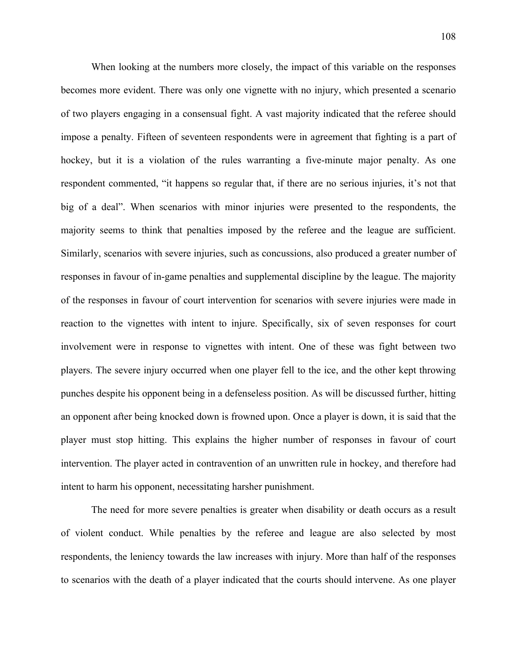When looking at the numbers more closely, the impact of this variable on the responses becomes more evident. There was only one vignette with no injury, which presented a scenario of two players engaging in a consensual fight. A vast majority indicated that the referee should impose a penalty. Fifteen of seventeen respondents were in agreement that fighting is a part of hockey, but it is a violation of the rules warranting a five-minute major penalty. As one respondent commented, "it happens so regular that, if there are no serious injuries, it's not that big of a deal". When scenarios with minor injuries were presented to the respondents, the majority seems to think that penalties imposed by the referee and the league are sufficient. Similarly, scenarios with severe injuries, such as concussions, also produced a greater number of responses in favour of in-game penalties and supplemental discipline by the league. The majority of the responses in favour of court intervention for scenarios with severe injuries were made in reaction to the vignettes with intent to injure. Specifically, six of seven responses for court involvement were in response to vignettes with intent. One of these was fight between two players. The severe injury occurred when one player fell to the ice, and the other kept throwing punches despite his opponent being in a defenseless position. As will be discussed further, hitting an opponent after being knocked down is frowned upon. Once a player is down, it is said that the player must stop hitting. This explains the higher number of responses in favour of court intervention. The player acted in contravention of an unwritten rule in hockey, and therefore had intent to harm his opponent, necessitating harsher punishment.

The need for more severe penalties is greater when disability or death occurs as a result of violent conduct. While penalties by the referee and league are also selected by most respondents, the leniency towards the law increases with injury. More than half of the responses to scenarios with the death of a player indicated that the courts should intervene. As one player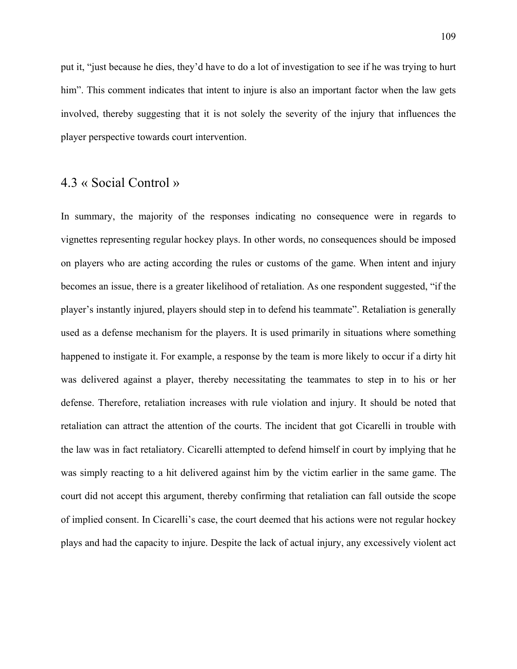put it, "just because he dies, they'd have to do a lot of investigation to see if he was trying to hurt him". This comment indicates that intent to injure is also an important factor when the law gets involved, thereby suggesting that it is not solely the severity of the injury that influences the player perspective towards court intervention.

## 4.3 « Social Control »

In summary, the majority of the responses indicating no consequence were in regards to vignettes representing regular hockey plays. In other words, no consequences should be imposed on players who are acting according the rules or customs of the game. When intent and injury becomes an issue, there is a greater likelihood of retaliation. As one respondent suggested, "if the player's instantly injured, players should step in to defend his teammate". Retaliation is generally used as a defense mechanism for the players. It is used primarily in situations where something happened to instigate it. For example, a response by the team is more likely to occur if a dirty hit was delivered against a player, thereby necessitating the teammates to step in to his or her defense. Therefore, retaliation increases with rule violation and injury. It should be noted that retaliation can attract the attention of the courts. The incident that got Cicarelli in trouble with the law was in fact retaliatory. Cicarelli attempted to defend himself in court by implying that he was simply reacting to a hit delivered against him by the victim earlier in the same game. The court did not accept this argument, thereby confirming that retaliation can fall outside the scope of implied consent. In Cicarelli's case, the court deemed that his actions were not regular hockey plays and had the capacity to injure. Despite the lack of actual injury, any excessively violent act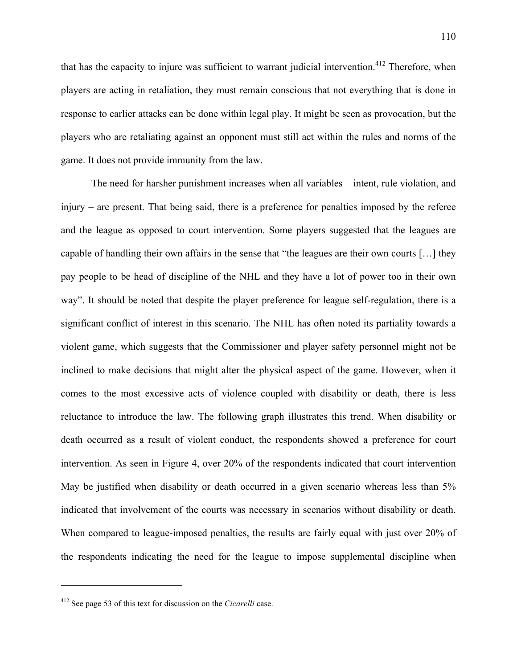that has the capacity to injure was sufficient to warrant judicial intervention.<sup>412</sup> Therefore, when players are acting in retaliation, they must remain conscious that not everything that is done in response to earlier attacks can be done within legal play. It might be seen as provocation, but the players who are retaliating against an opponent must still act within the rules and norms of the game. It does not provide immunity from the law.

The need for harsher punishment increases when all variables – intent, rule violation, and injury – are present. That being said, there is a preference for penalties imposed by the referee and the league as opposed to court intervention. Some players suggested that the leagues are capable of handling their own affairs in the sense that "the leagues are their own courts […] they pay people to be head of discipline of the NHL and they have a lot of power too in their own way". It should be noted that despite the player preference for league self-regulation, there is a significant conflict of interest in this scenario. The NHL has often noted its partiality towards a violent game, which suggests that the Commissioner and player safety personnel might not be inclined to make decisions that might alter the physical aspect of the game. However, when it comes to the most excessive acts of violence coupled with disability or death, there is less reluctance to introduce the law. The following graph illustrates this trend. When disability or death occurred as a result of violent conduct, the respondents showed a preference for court intervention. As seen in Figure 4, over 20% of the respondents indicated that court intervention May be justified when disability or death occurred in a given scenario whereas less than 5% indicated that involvement of the courts was necessary in scenarios without disability or death. When compared to league-imposed penalties, the results are fairly equal with just over 20% of the respondents indicating the need for the league to impose supplemental discipline when

<sup>412</sup> See page 53 of this text for discussion on the *Cicarelli* case.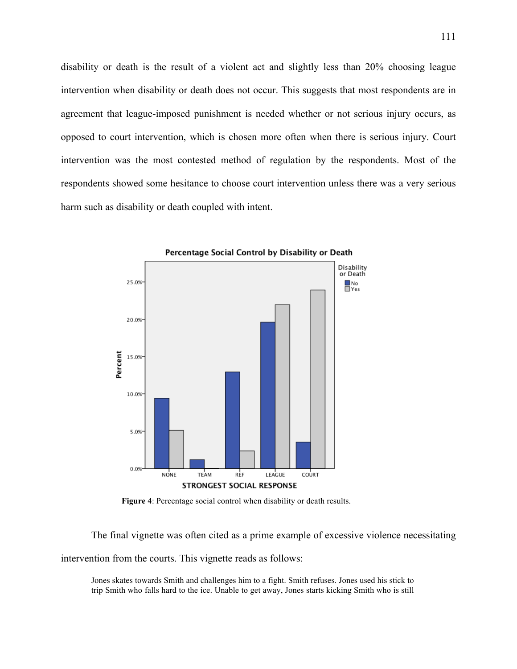disability or death is the result of a violent act and slightly less than 20% choosing league intervention when disability or death does not occur. This suggests that most respondents are in agreement that league-imposed punishment is needed whether or not serious injury occurs, as opposed to court intervention, which is chosen more often when there is serious injury. Court intervention was the most contested method of regulation by the respondents. Most of the respondents showed some hesitance to choose court intervention unless there was a very serious harm such as disability or death coupled with intent.



Percentage Social Control by Disability or Death

**Figure 4**: Percentage social control when disability or death results.

The final vignette was often cited as a prime example of excessive violence necessitating

intervention from the courts. This vignette reads as follows:

Jones skates towards Smith and challenges him to a fight. Smith refuses. Jones used his stick to trip Smith who falls hard to the ice. Unable to get away, Jones starts kicking Smith who is still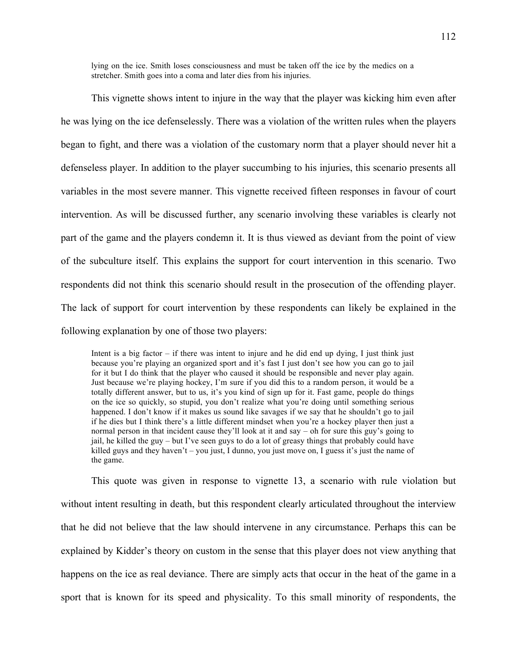lying on the ice. Smith loses consciousness and must be taken off the ice by the medics on a stretcher. Smith goes into a coma and later dies from his injuries.

This vignette shows intent to injure in the way that the player was kicking him even after he was lying on the ice defenselessly. There was a violation of the written rules when the players began to fight, and there was a violation of the customary norm that a player should never hit a defenseless player. In addition to the player succumbing to his injuries, this scenario presents all variables in the most severe manner. This vignette received fifteen responses in favour of court intervention. As will be discussed further, any scenario involving these variables is clearly not part of the game and the players condemn it. It is thus viewed as deviant from the point of view of the subculture itself. This explains the support for court intervention in this scenario. Two respondents did not think this scenario should result in the prosecution of the offending player. The lack of support for court intervention by these respondents can likely be explained in the following explanation by one of those two players:

Intent is a big factor – if there was intent to injure and he did end up dying, I just think just because you're playing an organized sport and it's fast I just don't see how you can go to jail for it but I do think that the player who caused it should be responsible and never play again. Just because we're playing hockey, I'm sure if you did this to a random person, it would be a totally different answer, but to us, it's you kind of sign up for it. Fast game, people do things on the ice so quickly, so stupid, you don't realize what you're doing until something serious happened. I don't know if it makes us sound like savages if we say that he shouldn't go to jail if he dies but I think there's a little different mindset when you're a hockey player then just a normal person in that incident cause they'll look at it and say – oh for sure this guy's going to jail, he killed the guy – but I've seen guys to do a lot of greasy things that probably could have killed guys and they haven't – you just, I dunno, you just move on, I guess it's just the name of the game.

This quote was given in response to vignette 13, a scenario with rule violation but without intent resulting in death, but this respondent clearly articulated throughout the interview that he did not believe that the law should intervene in any circumstance. Perhaps this can be explained by Kidder's theory on custom in the sense that this player does not view anything that happens on the ice as real deviance. There are simply acts that occur in the heat of the game in a sport that is known for its speed and physicality. To this small minority of respondents, the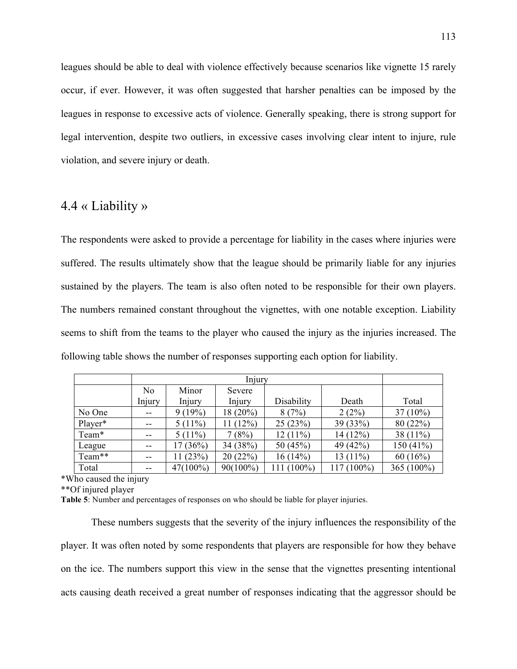leagues should be able to deal with violence effectively because scenarios like vignette 15 rarely occur, if ever. However, it was often suggested that harsher penalties can be imposed by the leagues in response to excessive acts of violence. Generally speaking, there is strong support for legal intervention, despite two outliers, in excessive cases involving clear intent to injure, rule violation, and severe injury or death.

#### 4.4 « Liability »

The respondents were asked to provide a percentage for liability in the cases where injuries were suffered. The results ultimately show that the league should be primarily liable for any injuries sustained by the players. The team is also often noted to be responsible for their own players. The numbers remained constant throughout the vignettes, with one notable exception. Liability seems to shift from the teams to the player who caused the injury as the injuries increased. The following table shows the number of responses supporting each option for liability.

|         | Injury         |             |            |            |            |               |
|---------|----------------|-------------|------------|------------|------------|---------------|
|         | N <sub>0</sub> | Minor       | Severe     |            |            |               |
|         | Injury         | Injury      | Injury     | Disability | Death      | Total         |
| No One  | --             | 9(19%)      | $18(20\%)$ | 8(7%)      | 2(2%)      | $37(10\%)$    |
| Player* |                | $5(11\%)$   | 11(12%)    | 25(23%)    | 39(33%)    | 80(22%)       |
| Team*   | --             | $5(11\%)$   | 7(8%)      | $12(11\%)$ | 14(12%)    | 38 $(11\%)$   |
| League  | --             | 17(36%)     | 34 (38%)   | 50 $(45%)$ | 49 (42%)   | 150(41%)      |
| Team**  | $- -$          | 11(23%)     | 20(22%)    | 16(14%)    | $13(11\%)$ | 60(16%)       |
| Total   |                | $47(100\%)$ | 90(100%)   | 111 (100%) | 117 (100%) | 365 $(100\%)$ |

\*Who caused the injury

\*\*Of injured player

**Table 5**: Number and percentages of responses on who should be liable for player injuries.

These numbers suggests that the severity of the injury influences the responsibility of the player. It was often noted by some respondents that players are responsible for how they behave on the ice. The numbers support this view in the sense that the vignettes presenting intentional acts causing death received a great number of responses indicating that the aggressor should be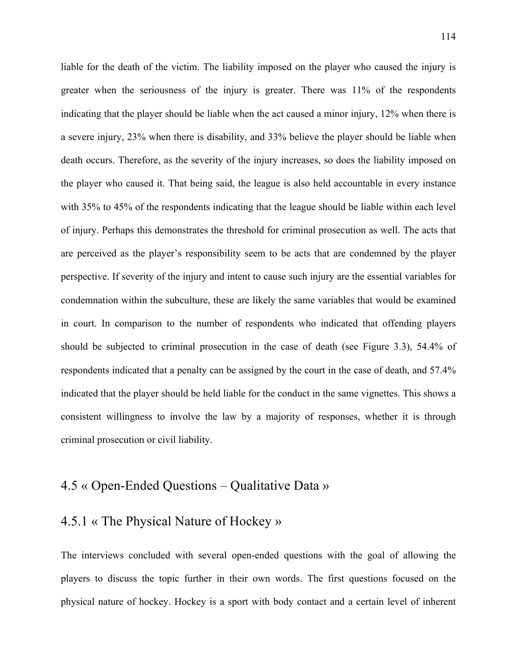liable for the death of the victim. The liability imposed on the player who caused the injury is greater when the seriousness of the injury is greater. There was 11% of the respondents indicating that the player should be liable when the act caused a minor injury, 12% when there is a severe injury, 23% when there is disability, and 33% believe the player should be liable when death occurs. Therefore, as the severity of the injury increases, so does the liability imposed on the player who caused it. That being said, the league is also held accountable in every instance with 35% to 45% of the respondents indicating that the league should be liable within each level of injury. Perhaps this demonstrates the threshold for criminal prosecution as well. The acts that are perceived as the player's responsibility seem to be acts that are condemned by the player perspective. If severity of the injury and intent to cause such injury are the essential variables for condemnation within the subculture, these are likely the same variables that would be examined in court. In comparison to the number of respondents who indicated that offending players should be subjected to criminal prosecution in the case of death (see Figure 3.3), 54.4% of respondents indicated that a penalty can be assigned by the court in the case of death, and 57.4% indicated that the player should be held liable for the conduct in the same vignettes. This shows a consistent willingness to involve the law by a majority of responses, whether it is through criminal prosecution or civil liability.

# 4.5 « Open-Ended Questions – Qualitative Data »

## 4.5.1 « The Physical Nature of Hockey »

The interviews concluded with several open-ended questions with the goal of allowing the players to discuss the topic further in their own words. The first questions focused on the physical nature of hockey. Hockey is a sport with body contact and a certain level of inherent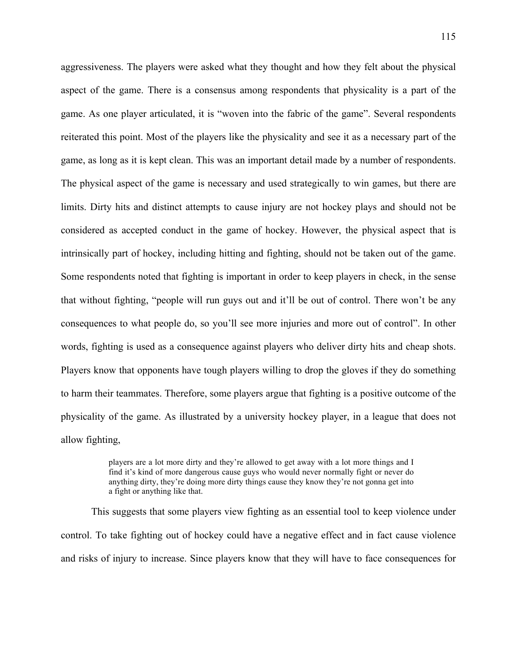aggressiveness. The players were asked what they thought and how they felt about the physical aspect of the game. There is a consensus among respondents that physicality is a part of the game. As one player articulated, it is "woven into the fabric of the game". Several respondents reiterated this point. Most of the players like the physicality and see it as a necessary part of the game, as long as it is kept clean. This was an important detail made by a number of respondents. The physical aspect of the game is necessary and used strategically to win games, but there are limits. Dirty hits and distinct attempts to cause injury are not hockey plays and should not be considered as accepted conduct in the game of hockey. However, the physical aspect that is intrinsically part of hockey, including hitting and fighting, should not be taken out of the game. Some respondents noted that fighting is important in order to keep players in check, in the sense that without fighting, "people will run guys out and it'll be out of control. There won't be any consequences to what people do, so you'll see more injuries and more out of control". In other words, fighting is used as a consequence against players who deliver dirty hits and cheap shots. Players know that opponents have tough players willing to drop the gloves if they do something to harm their teammates. Therefore, some players argue that fighting is a positive outcome of the physicality of the game. As illustrated by a university hockey player, in a league that does not allow fighting,

> players are a lot more dirty and they're allowed to get away with a lot more things and I find it's kind of more dangerous cause guys who would never normally fight or never do anything dirty, they're doing more dirty things cause they know they're not gonna get into a fight or anything like that.

This suggests that some players view fighting as an essential tool to keep violence under control. To take fighting out of hockey could have a negative effect and in fact cause violence and risks of injury to increase. Since players know that they will have to face consequences for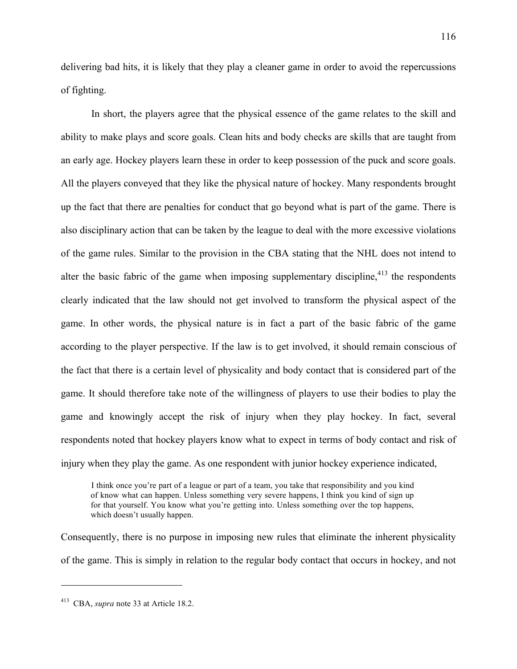delivering bad hits, it is likely that they play a cleaner game in order to avoid the repercussions of fighting.

In short, the players agree that the physical essence of the game relates to the skill and ability to make plays and score goals. Clean hits and body checks are skills that are taught from an early age. Hockey players learn these in order to keep possession of the puck and score goals. All the players conveyed that they like the physical nature of hockey. Many respondents brought up the fact that there are penalties for conduct that go beyond what is part of the game. There is also disciplinary action that can be taken by the league to deal with the more excessive violations of the game rules. Similar to the provision in the CBA stating that the NHL does not intend to alter the basic fabric of the game when imposing supplementary discipline,  $413$  the respondents clearly indicated that the law should not get involved to transform the physical aspect of the game. In other words, the physical nature is in fact a part of the basic fabric of the game according to the player perspective. If the law is to get involved, it should remain conscious of the fact that there is a certain level of physicality and body contact that is considered part of the game. It should therefore take note of the willingness of players to use their bodies to play the game and knowingly accept the risk of injury when they play hockey. In fact, several respondents noted that hockey players know what to expect in terms of body contact and risk of injury when they play the game. As one respondent with junior hockey experience indicated,

I think once you're part of a league or part of a team, you take that responsibility and you kind of know what can happen. Unless something very severe happens, I think you kind of sign up for that yourself. You know what you're getting into. Unless something over the top happens, which doesn't usually happen.

Consequently, there is no purpose in imposing new rules that eliminate the inherent physicality of the game. This is simply in relation to the regular body contact that occurs in hockey, and not

<sup>413</sup> CBA, *supra* note 33 at Article 18.2.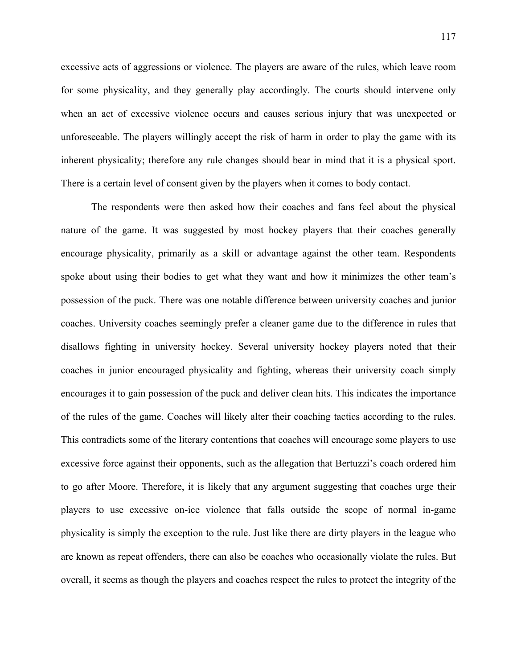excessive acts of aggressions or violence. The players are aware of the rules, which leave room for some physicality, and they generally play accordingly. The courts should intervene only when an act of excessive violence occurs and causes serious injury that was unexpected or unforeseeable. The players willingly accept the risk of harm in order to play the game with its inherent physicality; therefore any rule changes should bear in mind that it is a physical sport. There is a certain level of consent given by the players when it comes to body contact.

The respondents were then asked how their coaches and fans feel about the physical nature of the game. It was suggested by most hockey players that their coaches generally encourage physicality, primarily as a skill or advantage against the other team. Respondents spoke about using their bodies to get what they want and how it minimizes the other team's possession of the puck. There was one notable difference between university coaches and junior coaches. University coaches seemingly prefer a cleaner game due to the difference in rules that disallows fighting in university hockey. Several university hockey players noted that their coaches in junior encouraged physicality and fighting, whereas their university coach simply encourages it to gain possession of the puck and deliver clean hits. This indicates the importance of the rules of the game. Coaches will likely alter their coaching tactics according to the rules. This contradicts some of the literary contentions that coaches will encourage some players to use excessive force against their opponents, such as the allegation that Bertuzzi's coach ordered him to go after Moore. Therefore, it is likely that any argument suggesting that coaches urge their players to use excessive on-ice violence that falls outside the scope of normal in-game physicality is simply the exception to the rule. Just like there are dirty players in the league who are known as repeat offenders, there can also be coaches who occasionally violate the rules. But overall, it seems as though the players and coaches respect the rules to protect the integrity of the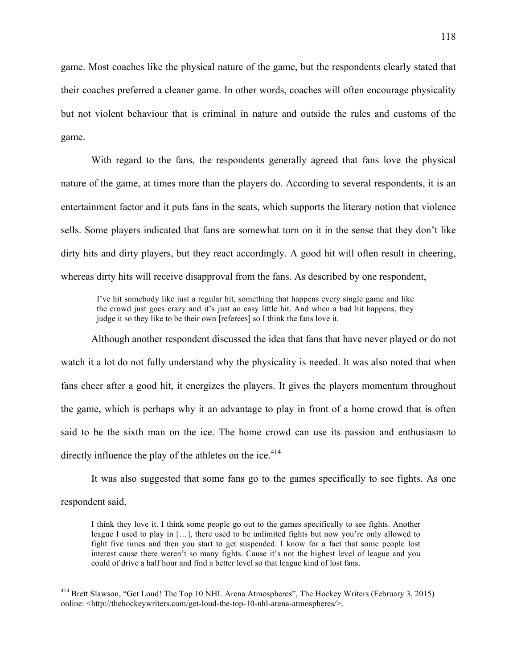game. Most coaches like the physical nature of the game, but the respondents clearly stated that their coaches preferred a cleaner game. In other words, coaches will often encourage physicality but not violent behaviour that is criminal in nature and outside the rules and customs of the game.

With regard to the fans, the respondents generally agreed that fans love the physical nature of the game, at times more than the players do. According to several respondents, it is an entertainment factor and it puts fans in the seats, which supports the literary notion that violence sells. Some players indicated that fans are somewhat torn on it in the sense that they don't like dirty hits and dirty players, but they react accordingly. A good hit will often result in cheering, whereas dirty hits will receive disapproval from the fans. As described by one respondent,

I've hit somebody like just a regular hit, something that happens every single game and like the crowd just goes crazy and it's just an easy little hit. And when a bad hit happens, they judge it so they like to be their own [referees] so I think the fans love it.

Although another respondent discussed the idea that fans that have never played or do not watch it a lot do not fully understand why the physicality is needed. It was also noted that when fans cheer after a good hit, it energizes the players. It gives the players momentum throughout the game, which is perhaps why it an advantage to play in front of a home crowd that is often said to be the sixth man on the ice. The home crowd can use its passion and enthusiasm to directly influence the play of the athletes on the ice.<sup>414</sup>

It was also suggested that some fans go to the games specifically to see fights. As one respondent said,

I think they love it. I think some people go out to the games specifically to see fights. Another league I used to play in […], there used to be unlimited fights but now you're only allowed to fight five times and then you start to get suspended. I know for a fact that some people lost interest cause there weren't so many fights. Cause it's not the highest level of league and you could of drive a half hour and find a better level so that league kind of lost fans.

<sup>414</sup> Brett Slawson, "Get Loud! The Top 10 NHL Arena Atmospheres", The Hockey Writers (February 3, 2015) online: <http://thehockeywriters.com/get-loud-the-top-10-nhl-arena-atmospheres/>.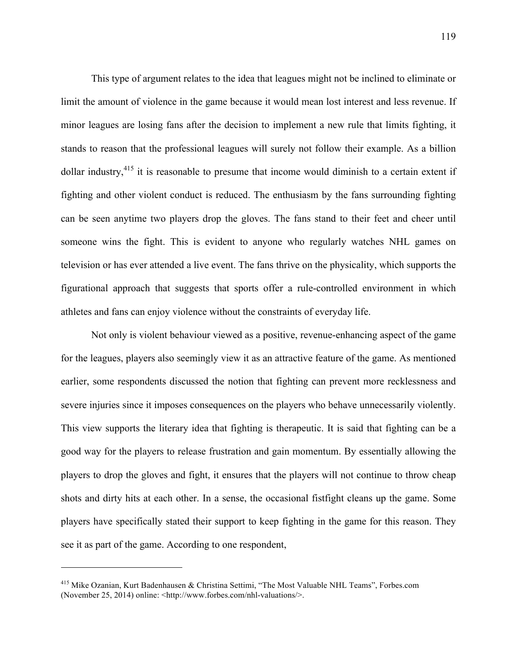This type of argument relates to the idea that leagues might not be inclined to eliminate or limit the amount of violence in the game because it would mean lost interest and less revenue. If minor leagues are losing fans after the decision to implement a new rule that limits fighting, it stands to reason that the professional leagues will surely not follow their example. As a billion dollar industry,415 it is reasonable to presume that income would diminish to a certain extent if fighting and other violent conduct is reduced. The enthusiasm by the fans surrounding fighting can be seen anytime two players drop the gloves. The fans stand to their feet and cheer until someone wins the fight. This is evident to anyone who regularly watches NHL games on television or has ever attended a live event. The fans thrive on the physicality, which supports the figurational approach that suggests that sports offer a rule-controlled environment in which athletes and fans can enjoy violence without the constraints of everyday life.

Not only is violent behaviour viewed as a positive, revenue-enhancing aspect of the game for the leagues, players also seemingly view it as an attractive feature of the game. As mentioned earlier, some respondents discussed the notion that fighting can prevent more recklessness and severe injuries since it imposes consequences on the players who behave unnecessarily violently. This view supports the literary idea that fighting is therapeutic. It is said that fighting can be a good way for the players to release frustration and gain momentum. By essentially allowing the players to drop the gloves and fight, it ensures that the players will not continue to throw cheap shots and dirty hits at each other. In a sense, the occasional fistfight cleans up the game. Some players have specifically stated their support to keep fighting in the game for this reason. They see it as part of the game. According to one respondent,

<sup>415</sup> Mike Ozanian, Kurt Badenhausen & Christina Settimi, "The Most Valuable NHL Teams", Forbes.com (November 25, 2014) online: <http://www.forbes.com/nhl-valuations/>.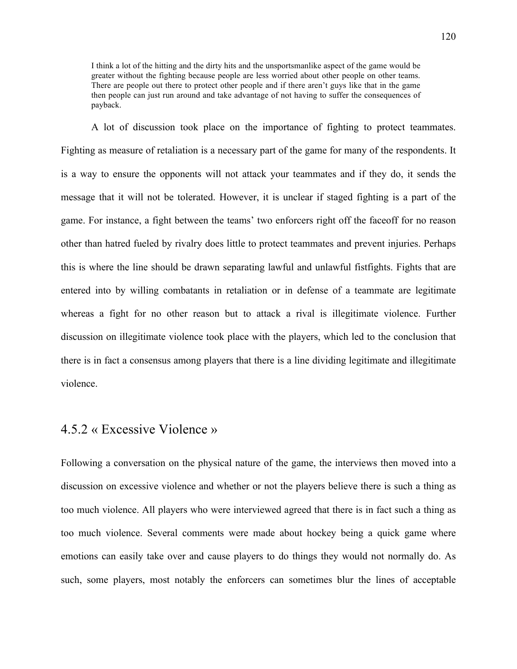I think a lot of the hitting and the dirty hits and the unsportsmanlike aspect of the game would be greater without the fighting because people are less worried about other people on other teams. There are people out there to protect other people and if there aren't guys like that in the game then people can just run around and take advantage of not having to suffer the consequences of payback.

A lot of discussion took place on the importance of fighting to protect teammates. Fighting as measure of retaliation is a necessary part of the game for many of the respondents. It is a way to ensure the opponents will not attack your teammates and if they do, it sends the message that it will not be tolerated. However, it is unclear if staged fighting is a part of the game. For instance, a fight between the teams' two enforcers right off the faceoff for no reason other than hatred fueled by rivalry does little to protect teammates and prevent injuries. Perhaps this is where the line should be drawn separating lawful and unlawful fistfights. Fights that are entered into by willing combatants in retaliation or in defense of a teammate are legitimate whereas a fight for no other reason but to attack a rival is illegitimate violence. Further discussion on illegitimate violence took place with the players, which led to the conclusion that there is in fact a consensus among players that there is a line dividing legitimate and illegitimate violence.

#### 4.5.2 « Excessive Violence »

Following a conversation on the physical nature of the game, the interviews then moved into a discussion on excessive violence and whether or not the players believe there is such a thing as too much violence. All players who were interviewed agreed that there is in fact such a thing as too much violence. Several comments were made about hockey being a quick game where emotions can easily take over and cause players to do things they would not normally do. As such, some players, most notably the enforcers can sometimes blur the lines of acceptable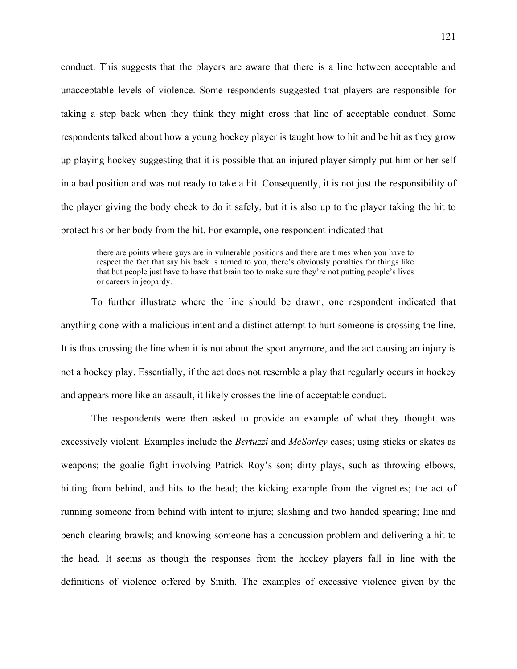conduct. This suggests that the players are aware that there is a line between acceptable and unacceptable levels of violence. Some respondents suggested that players are responsible for taking a step back when they think they might cross that line of acceptable conduct. Some respondents talked about how a young hockey player is taught how to hit and be hit as they grow up playing hockey suggesting that it is possible that an injured player simply put him or her self in a bad position and was not ready to take a hit. Consequently, it is not just the responsibility of the player giving the body check to do it safely, but it is also up to the player taking the hit to protect his or her body from the hit. For example, one respondent indicated that

there are points where guys are in vulnerable positions and there are times when you have to respect the fact that say his back is turned to you, there's obviously penalties for things like that but people just have to have that brain too to make sure they're not putting people's lives or careers in jeopardy.

To further illustrate where the line should be drawn, one respondent indicated that anything done with a malicious intent and a distinct attempt to hurt someone is crossing the line. It is thus crossing the line when it is not about the sport anymore, and the act causing an injury is not a hockey play. Essentially, if the act does not resemble a play that regularly occurs in hockey and appears more like an assault, it likely crosses the line of acceptable conduct.

The respondents were then asked to provide an example of what they thought was excessively violent. Examples include the *Bertuzzi* and *McSorley* cases; using sticks or skates as weapons; the goalie fight involving Patrick Roy's son; dirty plays, such as throwing elbows, hitting from behind, and hits to the head; the kicking example from the vignettes; the act of running someone from behind with intent to injure; slashing and two handed spearing; line and bench clearing brawls; and knowing someone has a concussion problem and delivering a hit to the head. It seems as though the responses from the hockey players fall in line with the definitions of violence offered by Smith. The examples of excessive violence given by the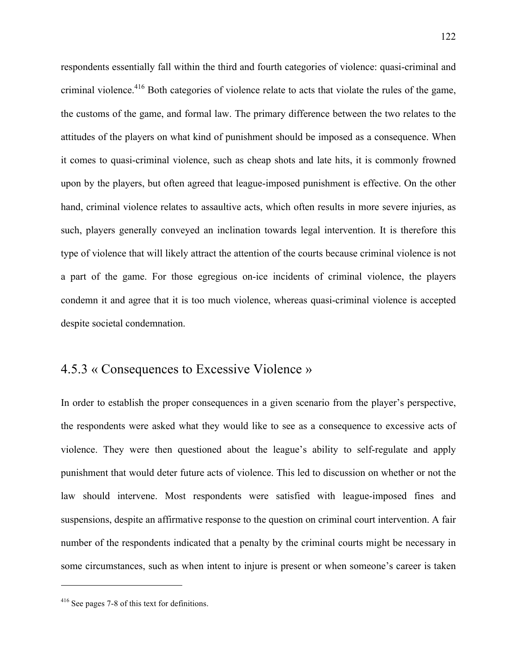respondents essentially fall within the third and fourth categories of violence: quasi-criminal and criminal violence.416 Both categories of violence relate to acts that violate the rules of the game, the customs of the game, and formal law. The primary difference between the two relates to the attitudes of the players on what kind of punishment should be imposed as a consequence. When it comes to quasi-criminal violence, such as cheap shots and late hits, it is commonly frowned upon by the players, but often agreed that league-imposed punishment is effective. On the other hand, criminal violence relates to assaultive acts, which often results in more severe injuries, as such, players generally conveyed an inclination towards legal intervention. It is therefore this type of violence that will likely attract the attention of the courts because criminal violence is not a part of the game. For those egregious on-ice incidents of criminal violence, the players condemn it and agree that it is too much violence, whereas quasi-criminal violence is accepted despite societal condemnation.

## 4.5.3 « Consequences to Excessive Violence »

In order to establish the proper consequences in a given scenario from the player's perspective, the respondents were asked what they would like to see as a consequence to excessive acts of violence. They were then questioned about the league's ability to self-regulate and apply punishment that would deter future acts of violence. This led to discussion on whether or not the law should intervene. Most respondents were satisfied with league-imposed fines and suspensions, despite an affirmative response to the question on criminal court intervention. A fair number of the respondents indicated that a penalty by the criminal courts might be necessary in some circumstances, such as when intent to injure is present or when someone's career is taken

<sup>416</sup> See pages 7-8 of this text for definitions.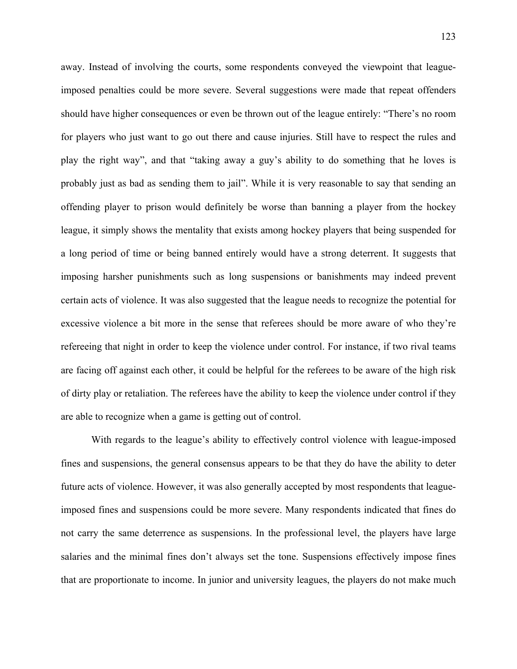away. Instead of involving the courts, some respondents conveyed the viewpoint that leagueimposed penalties could be more severe. Several suggestions were made that repeat offenders should have higher consequences or even be thrown out of the league entirely: "There's no room for players who just want to go out there and cause injuries. Still have to respect the rules and play the right way", and that "taking away a guy's ability to do something that he loves is probably just as bad as sending them to jail". While it is very reasonable to say that sending an offending player to prison would definitely be worse than banning a player from the hockey league, it simply shows the mentality that exists among hockey players that being suspended for a long period of time or being banned entirely would have a strong deterrent. It suggests that imposing harsher punishments such as long suspensions or banishments may indeed prevent certain acts of violence. It was also suggested that the league needs to recognize the potential for excessive violence a bit more in the sense that referees should be more aware of who they're refereeing that night in order to keep the violence under control. For instance, if two rival teams are facing off against each other, it could be helpful for the referees to be aware of the high risk of dirty play or retaliation. The referees have the ability to keep the violence under control if they are able to recognize when a game is getting out of control.

With regards to the league's ability to effectively control violence with league-imposed fines and suspensions, the general consensus appears to be that they do have the ability to deter future acts of violence. However, it was also generally accepted by most respondents that leagueimposed fines and suspensions could be more severe. Many respondents indicated that fines do not carry the same deterrence as suspensions. In the professional level, the players have large salaries and the minimal fines don't always set the tone. Suspensions effectively impose fines that are proportionate to income. In junior and university leagues, the players do not make much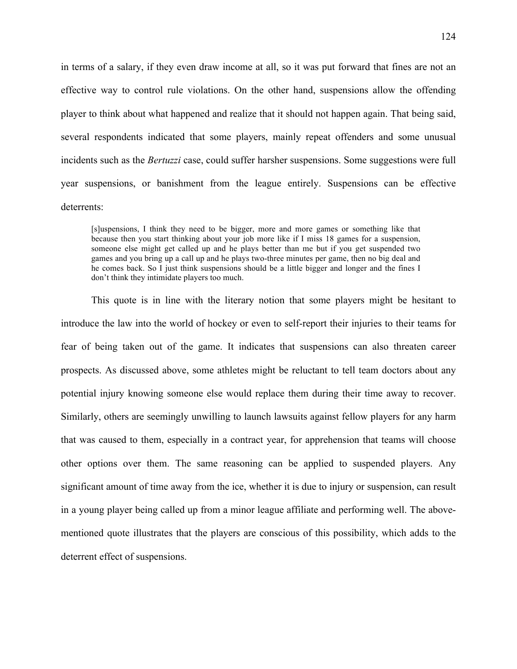in terms of a salary, if they even draw income at all, so it was put forward that fines are not an effective way to control rule violations. On the other hand, suspensions allow the offending player to think about what happened and realize that it should not happen again. That being said, several respondents indicated that some players, mainly repeat offenders and some unusual incidents such as the *Bertuzzi* case, could suffer harsher suspensions. Some suggestions were full year suspensions, or banishment from the league entirely. Suspensions can be effective deterrents:

[s]uspensions, I think they need to be bigger, more and more games or something like that because then you start thinking about your job more like if I miss 18 games for a suspension, someone else might get called up and he plays better than me but if you get suspended two games and you bring up a call up and he plays two-three minutes per game, then no big deal and he comes back. So I just think suspensions should be a little bigger and longer and the fines I don't think they intimidate players too much.

This quote is in line with the literary notion that some players might be hesitant to introduce the law into the world of hockey or even to self-report their injuries to their teams for fear of being taken out of the game. It indicates that suspensions can also threaten career prospects. As discussed above, some athletes might be reluctant to tell team doctors about any potential injury knowing someone else would replace them during their time away to recover. Similarly, others are seemingly unwilling to launch lawsuits against fellow players for any harm that was caused to them, especially in a contract year, for apprehension that teams will choose other options over them. The same reasoning can be applied to suspended players. Any significant amount of time away from the ice, whether it is due to injury or suspension, can result in a young player being called up from a minor league affiliate and performing well. The abovementioned quote illustrates that the players are conscious of this possibility, which adds to the deterrent effect of suspensions.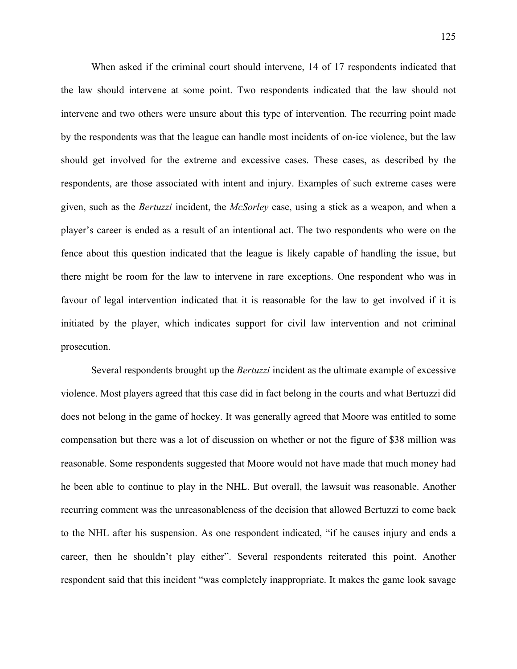When asked if the criminal court should intervene, 14 of 17 respondents indicated that the law should intervene at some point. Two respondents indicated that the law should not intervene and two others were unsure about this type of intervention. The recurring point made by the respondents was that the league can handle most incidents of on-ice violence, but the law should get involved for the extreme and excessive cases. These cases, as described by the respondents, are those associated with intent and injury. Examples of such extreme cases were given, such as the *Bertuzzi* incident, the *McSorley* case, using a stick as a weapon, and when a player's career is ended as a result of an intentional act. The two respondents who were on the fence about this question indicated that the league is likely capable of handling the issue, but there might be room for the law to intervene in rare exceptions. One respondent who was in favour of legal intervention indicated that it is reasonable for the law to get involved if it is initiated by the player, which indicates support for civil law intervention and not criminal prosecution.

Several respondents brought up the *Bertuzzi* incident as the ultimate example of excessive violence. Most players agreed that this case did in fact belong in the courts and what Bertuzzi did does not belong in the game of hockey. It was generally agreed that Moore was entitled to some compensation but there was a lot of discussion on whether or not the figure of \$38 million was reasonable. Some respondents suggested that Moore would not have made that much money had he been able to continue to play in the NHL. But overall, the lawsuit was reasonable. Another recurring comment was the unreasonableness of the decision that allowed Bertuzzi to come back to the NHL after his suspension. As one respondent indicated, "if he causes injury and ends a career, then he shouldn't play either". Several respondents reiterated this point. Another respondent said that this incident "was completely inappropriate. It makes the game look savage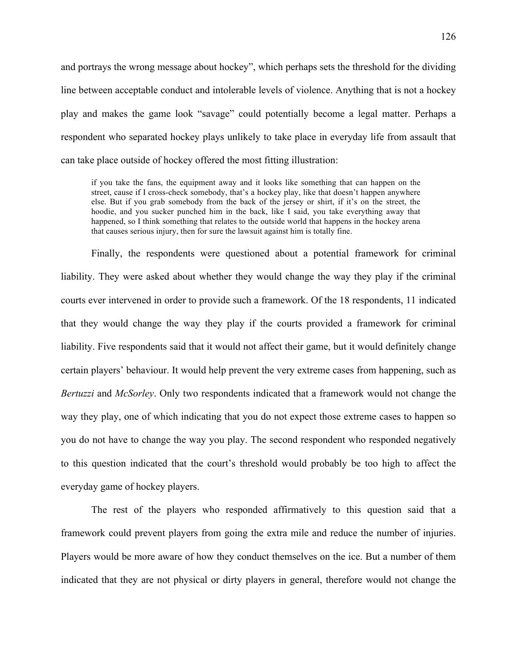and portrays the wrong message about hockey", which perhaps sets the threshold for the dividing line between acceptable conduct and intolerable levels of violence. Anything that is not a hockey play and makes the game look "savage" could potentially become a legal matter. Perhaps a respondent who separated hockey plays unlikely to take place in everyday life from assault that can take place outside of hockey offered the most fitting illustration:

if you take the fans, the equipment away and it looks like something that can happen on the street, cause if I cross-check somebody, that's a hockey play, like that doesn't happen anywhere else. But if you grab somebody from the back of the jersey or shirt, if it's on the street, the hoodie, and you sucker punched him in the back, like I said, you take everything away that happened, so I think something that relates to the outside world that happens in the hockey arena that causes serious injury, then for sure the lawsuit against him is totally fine.

Finally, the respondents were questioned about a potential framework for criminal liability. They were asked about whether they would change the way they play if the criminal courts ever intervened in order to provide such a framework. Of the 18 respondents, 11 indicated that they would change the way they play if the courts provided a framework for criminal liability. Five respondents said that it would not affect their game, but it would definitely change certain players' behaviour. It would help prevent the very extreme cases from happening, such as *Bertuzzi* and *McSorley*. Only two respondents indicated that a framework would not change the way they play, one of which indicating that you do not expect those extreme cases to happen so you do not have to change the way you play. The second respondent who responded negatively to this question indicated that the court's threshold would probably be too high to affect the everyday game of hockey players.

The rest of the players who responded affirmatively to this question said that a framework could prevent players from going the extra mile and reduce the number of injuries. Players would be more aware of how they conduct themselves on the ice. But a number of them indicated that they are not physical or dirty players in general, therefore would not change the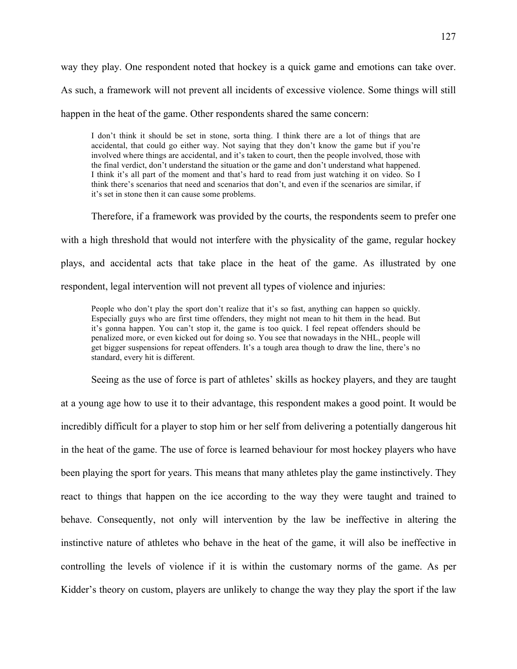way they play. One respondent noted that hockey is a quick game and emotions can take over. As such, a framework will not prevent all incidents of excessive violence. Some things will still happen in the heat of the game. Other respondents shared the same concern:

I don't think it should be set in stone, sorta thing. I think there are a lot of things that are accidental, that could go either way. Not saying that they don't know the game but if you're involved where things are accidental, and it's taken to court, then the people involved, those with the final verdict, don't understand the situation or the game and don't understand what happened. I think it's all part of the moment and that's hard to read from just watching it on video. So I think there's scenarios that need and scenarios that don't, and even if the scenarios are similar, if it's set in stone then it can cause some problems.

Therefore, if a framework was provided by the courts, the respondents seem to prefer one with a high threshold that would not interfere with the physicality of the game, regular hockey plays, and accidental acts that take place in the heat of the game. As illustrated by one respondent, legal intervention will not prevent all types of violence and injuries:

People who don't play the sport don't realize that it's so fast, anything can happen so quickly. Especially guys who are first time offenders, they might not mean to hit them in the head. But it's gonna happen. You can't stop it, the game is too quick. I feel repeat offenders should be penalized more, or even kicked out for doing so. You see that nowadays in the NHL, people will get bigger suspensions for repeat offenders. It's a tough area though to draw the line, there's no standard, every hit is different.

Seeing as the use of force is part of athletes' skills as hockey players, and they are taught at a young age how to use it to their advantage, this respondent makes a good point. It would be incredibly difficult for a player to stop him or her self from delivering a potentially dangerous hit in the heat of the game. The use of force is learned behaviour for most hockey players who have been playing the sport for years. This means that many athletes play the game instinctively. They react to things that happen on the ice according to the way they were taught and trained to behave. Consequently, not only will intervention by the law be ineffective in altering the instinctive nature of athletes who behave in the heat of the game, it will also be ineffective in controlling the levels of violence if it is within the customary norms of the game. As per Kidder's theory on custom, players are unlikely to change the way they play the sport if the law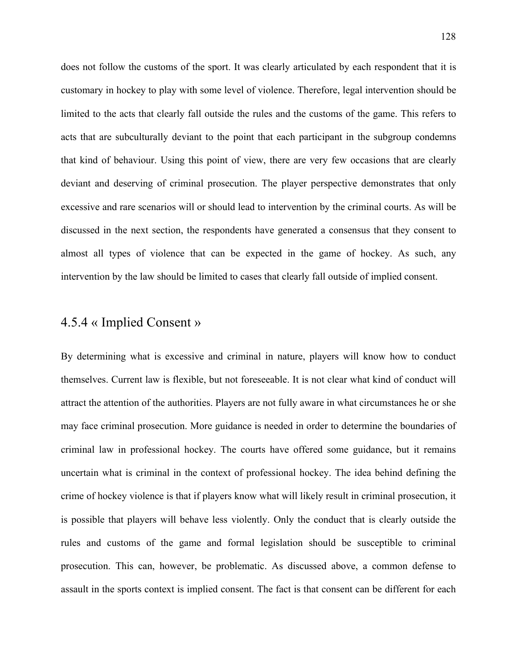does not follow the customs of the sport. It was clearly articulated by each respondent that it is customary in hockey to play with some level of violence. Therefore, legal intervention should be limited to the acts that clearly fall outside the rules and the customs of the game. This refers to acts that are subculturally deviant to the point that each participant in the subgroup condemns that kind of behaviour. Using this point of view, there are very few occasions that are clearly deviant and deserving of criminal prosecution. The player perspective demonstrates that only excessive and rare scenarios will or should lead to intervention by the criminal courts. As will be discussed in the next section, the respondents have generated a consensus that they consent to almost all types of violence that can be expected in the game of hockey. As such, any intervention by the law should be limited to cases that clearly fall outside of implied consent.

#### 4.5.4 « Implied Consent »

By determining what is excessive and criminal in nature, players will know how to conduct themselves. Current law is flexible, but not foreseeable. It is not clear what kind of conduct will attract the attention of the authorities. Players are not fully aware in what circumstances he or she may face criminal prosecution. More guidance is needed in order to determine the boundaries of criminal law in professional hockey. The courts have offered some guidance, but it remains uncertain what is criminal in the context of professional hockey. The idea behind defining the crime of hockey violence is that if players know what will likely result in criminal prosecution, it is possible that players will behave less violently. Only the conduct that is clearly outside the rules and customs of the game and formal legislation should be susceptible to criminal prosecution. This can, however, be problematic. As discussed above, a common defense to assault in the sports context is implied consent. The fact is that consent can be different for each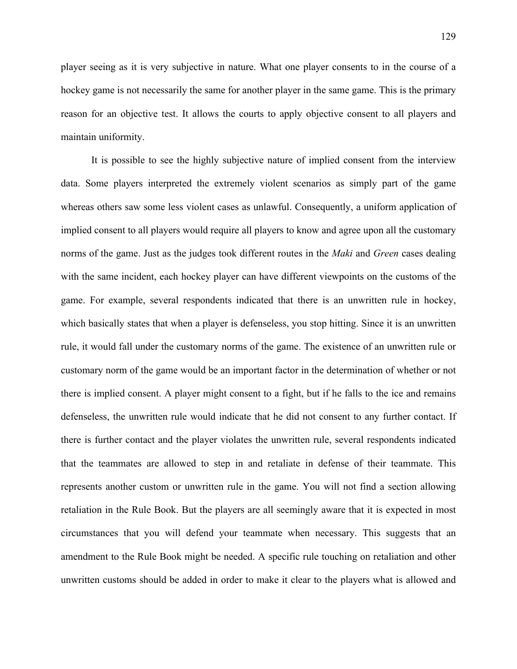player seeing as it is very subjective in nature. What one player consents to in the course of a hockey game is not necessarily the same for another player in the same game. This is the primary reason for an objective test. It allows the courts to apply objective consent to all players and maintain uniformity.

It is possible to see the highly subjective nature of implied consent from the interview data. Some players interpreted the extremely violent scenarios as simply part of the game whereas others saw some less violent cases as unlawful. Consequently, a uniform application of implied consent to all players would require all players to know and agree upon all the customary norms of the game. Just as the judges took different routes in the *Maki* and *Green* cases dealing with the same incident, each hockey player can have different viewpoints on the customs of the game. For example, several respondents indicated that there is an unwritten rule in hockey, which basically states that when a player is defenseless, you stop hitting. Since it is an unwritten rule, it would fall under the customary norms of the game. The existence of an unwritten rule or customary norm of the game would be an important factor in the determination of whether or not there is implied consent. A player might consent to a fight, but if he falls to the ice and remains defenseless, the unwritten rule would indicate that he did not consent to any further contact. If there is further contact and the player violates the unwritten rule, several respondents indicated that the teammates are allowed to step in and retaliate in defense of their teammate. This represents another custom or unwritten rule in the game. You will not find a section allowing retaliation in the Rule Book. But the players are all seemingly aware that it is expected in most circumstances that you will defend your teammate when necessary. This suggests that an amendment to the Rule Book might be needed. A specific rule touching on retaliation and other unwritten customs should be added in order to make it clear to the players what is allowed and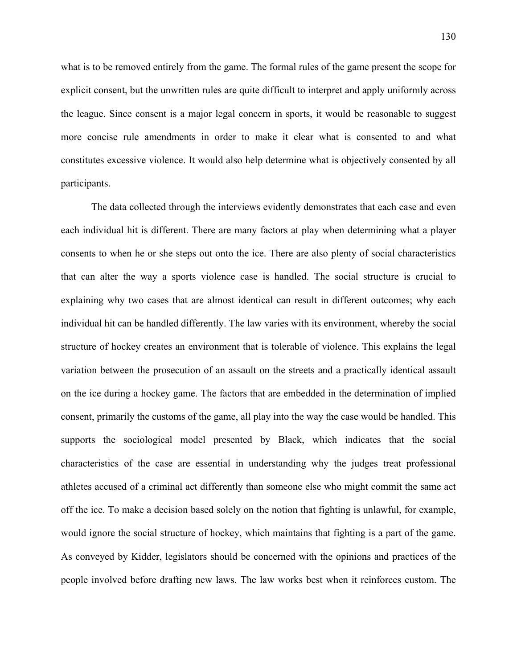what is to be removed entirely from the game. The formal rules of the game present the scope for explicit consent, but the unwritten rules are quite difficult to interpret and apply uniformly across the league. Since consent is a major legal concern in sports, it would be reasonable to suggest more concise rule amendments in order to make it clear what is consented to and what constitutes excessive violence. It would also help determine what is objectively consented by all participants.

The data collected through the interviews evidently demonstrates that each case and even each individual hit is different. There are many factors at play when determining what a player consents to when he or she steps out onto the ice. There are also plenty of social characteristics that can alter the way a sports violence case is handled. The social structure is crucial to explaining why two cases that are almost identical can result in different outcomes; why each individual hit can be handled differently. The law varies with its environment, whereby the social structure of hockey creates an environment that is tolerable of violence. This explains the legal variation between the prosecution of an assault on the streets and a practically identical assault on the ice during a hockey game. The factors that are embedded in the determination of implied consent, primarily the customs of the game, all play into the way the case would be handled. This supports the sociological model presented by Black, which indicates that the social characteristics of the case are essential in understanding why the judges treat professional athletes accused of a criminal act differently than someone else who might commit the same act off the ice. To make a decision based solely on the notion that fighting is unlawful, for example, would ignore the social structure of hockey, which maintains that fighting is a part of the game. As conveyed by Kidder, legislators should be concerned with the opinions and practices of the people involved before drafting new laws. The law works best when it reinforces custom. The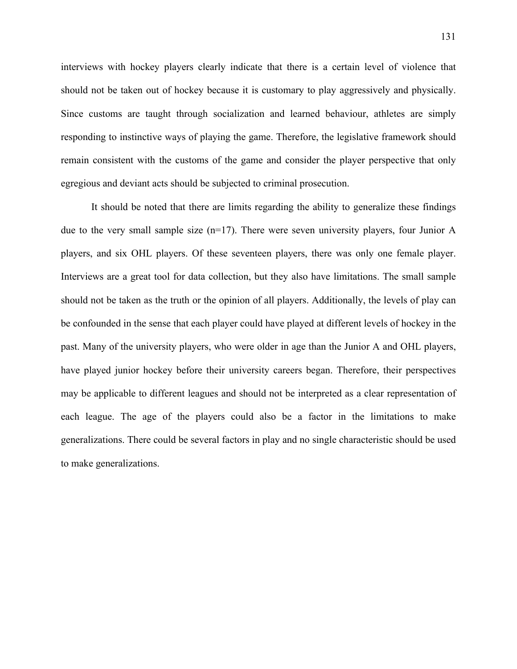interviews with hockey players clearly indicate that there is a certain level of violence that should not be taken out of hockey because it is customary to play aggressively and physically. Since customs are taught through socialization and learned behaviour, athletes are simply responding to instinctive ways of playing the game. Therefore, the legislative framework should remain consistent with the customs of the game and consider the player perspective that only egregious and deviant acts should be subjected to criminal prosecution.

It should be noted that there are limits regarding the ability to generalize these findings due to the very small sample size (n=17). There were seven university players, four Junior A players, and six OHL players. Of these seventeen players, there was only one female player. Interviews are a great tool for data collection, but they also have limitations. The small sample should not be taken as the truth or the opinion of all players. Additionally, the levels of play can be confounded in the sense that each player could have played at different levels of hockey in the past. Many of the university players, who were older in age than the Junior A and OHL players, have played junior hockey before their university careers began. Therefore, their perspectives may be applicable to different leagues and should not be interpreted as a clear representation of each league. The age of the players could also be a factor in the limitations to make generalizations. There could be several factors in play and no single characteristic should be used to make generalizations.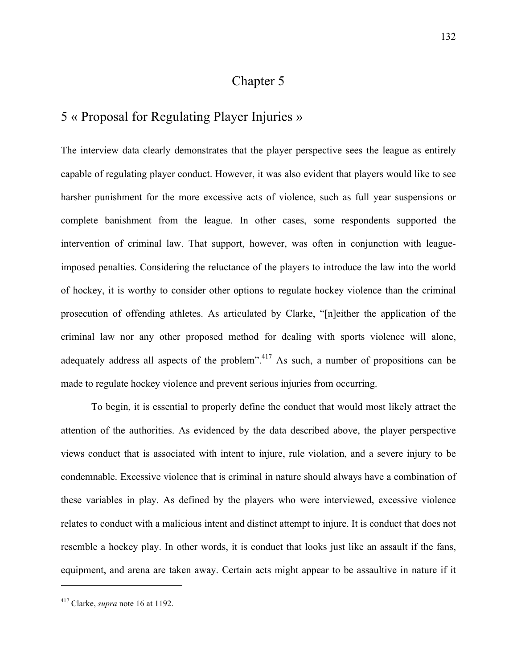# Chapter 5

#### 5 « Proposal for Regulating Player Injuries »

The interview data clearly demonstrates that the player perspective sees the league as entirely capable of regulating player conduct. However, it was also evident that players would like to see harsher punishment for the more excessive acts of violence, such as full year suspensions or complete banishment from the league. In other cases, some respondents supported the intervention of criminal law. That support, however, was often in conjunction with leagueimposed penalties. Considering the reluctance of the players to introduce the law into the world of hockey, it is worthy to consider other options to regulate hockey violence than the criminal prosecution of offending athletes. As articulated by Clarke, "[n]either the application of the criminal law nor any other proposed method for dealing with sports violence will alone, adequately address all aspects of the problem".<sup>417</sup> As such, a number of propositions can be made to regulate hockey violence and prevent serious injuries from occurring.

To begin, it is essential to properly define the conduct that would most likely attract the attention of the authorities. As evidenced by the data described above, the player perspective views conduct that is associated with intent to injure, rule violation, and a severe injury to be condemnable. Excessive violence that is criminal in nature should always have a combination of these variables in play. As defined by the players who were interviewed, excessive violence relates to conduct with a malicious intent and distinct attempt to injure. It is conduct that does not resemble a hockey play. In other words, it is conduct that looks just like an assault if the fans, equipment, and arena are taken away. Certain acts might appear to be assaultive in nature if it

<sup>417</sup> Clarke, *supra* note 16 at 1192.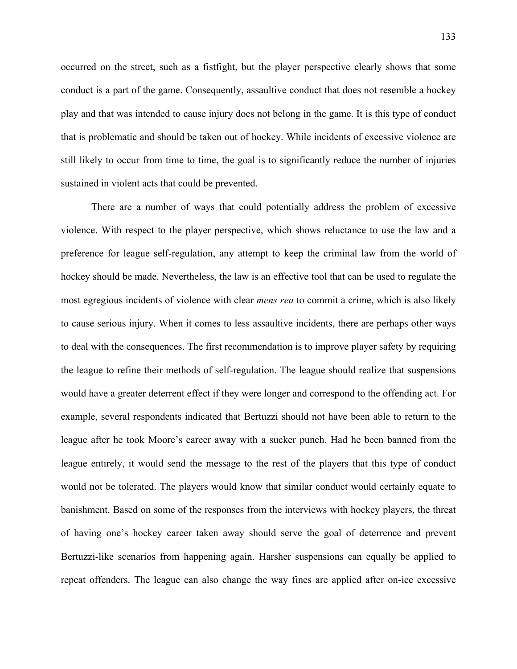occurred on the street, such as a fistfight, but the player perspective clearly shows that some conduct is a part of the game. Consequently, assaultive conduct that does not resemble a hockey play and that was intended to cause injury does not belong in the game. It is this type of conduct that is problematic and should be taken out of hockey. While incidents of excessive violence are still likely to occur from time to time, the goal is to significantly reduce the number of injuries sustained in violent acts that could be prevented.

There are a number of ways that could potentially address the problem of excessive violence. With respect to the player perspective, which shows reluctance to use the law and a preference for league self-regulation, any attempt to keep the criminal law from the world of hockey should be made. Nevertheless, the law is an effective tool that can be used to regulate the most egregious incidents of violence with clear *mens rea* to commit a crime, which is also likely to cause serious injury. When it comes to less assaultive incidents, there are perhaps other ways to deal with the consequences. The first recommendation is to improve player safety by requiring the league to refine their methods of self-regulation. The league should realize that suspensions would have a greater deterrent effect if they were longer and correspond to the offending act. For example, several respondents indicated that Bertuzzi should not have been able to return to the league after he took Moore's career away with a sucker punch. Had he been banned from the league entirely, it would send the message to the rest of the players that this type of conduct would not be tolerated. The players would know that similar conduct would certainly equate to banishment. Based on some of the responses from the interviews with hockey players, the threat of having one's hockey career taken away should serve the goal of deterrence and prevent Bertuzzi-like scenarios from happening again. Harsher suspensions can equally be applied to repeat offenders. The league can also change the way fines are applied after on-ice excessive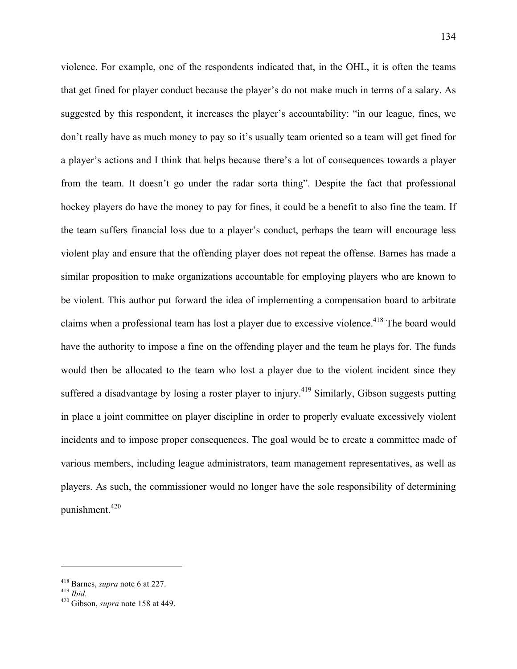violence. For example, one of the respondents indicated that, in the OHL, it is often the teams that get fined for player conduct because the player's do not make much in terms of a salary. As suggested by this respondent, it increases the player's accountability: "in our league, fines, we don't really have as much money to pay so it's usually team oriented so a team will get fined for a player's actions and I think that helps because there's a lot of consequences towards a player from the team. It doesn't go under the radar sorta thing". Despite the fact that professional hockey players do have the money to pay for fines, it could be a benefit to also fine the team. If the team suffers financial loss due to a player's conduct, perhaps the team will encourage less violent play and ensure that the offending player does not repeat the offense. Barnes has made a similar proposition to make organizations accountable for employing players who are known to be violent. This author put forward the idea of implementing a compensation board to arbitrate claims when a professional team has lost a player due to excessive violence.<sup>418</sup> The board would have the authority to impose a fine on the offending player and the team he plays for. The funds would then be allocated to the team who lost a player due to the violent incident since they suffered a disadvantage by losing a roster player to injury.<sup>419</sup> Similarly, Gibson suggests putting in place a joint committee on player discipline in order to properly evaluate excessively violent incidents and to impose proper consequences. The goal would be to create a committee made of various members, including league administrators, team management representatives, as well as players. As such, the commissioner would no longer have the sole responsibility of determining punishment.<sup>420</sup>

<sup>418</sup> Barnes, *supra* note 6 at 227. 419 *Ibid.* 420 Gibson, *supra* note 158 at 449.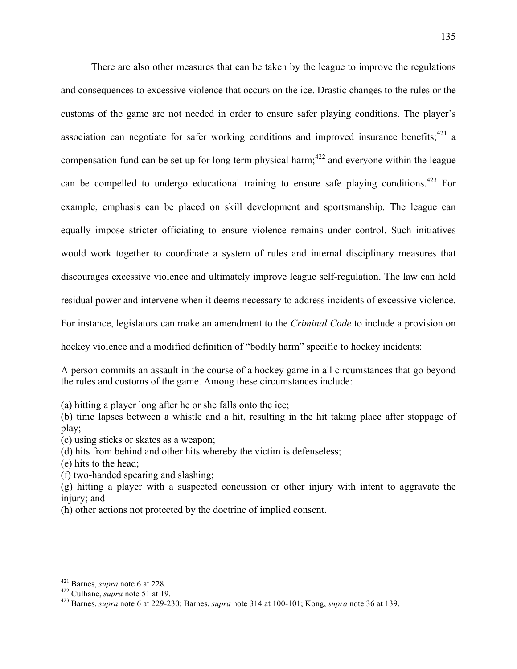There are also other measures that can be taken by the league to improve the regulations and consequences to excessive violence that occurs on the ice. Drastic changes to the rules or the customs of the game are not needed in order to ensure safer playing conditions. The player's association can negotiate for safer working conditions and improved insurance benefits;  $421$  a compensation fund can be set up for long term physical harm;<sup>422</sup> and everyone within the league can be compelled to undergo educational training to ensure safe playing conditions.<sup>423</sup> For example, emphasis can be placed on skill development and sportsmanship. The league can equally impose stricter officiating to ensure violence remains under control. Such initiatives would work together to coordinate a system of rules and internal disciplinary measures that discourages excessive violence and ultimately improve league self-regulation. The law can hold residual power and intervene when it deems necessary to address incidents of excessive violence. For instance, legislators can make an amendment to the *Criminal Code* to include a provision on

hockey violence and a modified definition of "bodily harm" specific to hockey incidents:

A person commits an assault in the course of a hockey game in all circumstances that go beyond the rules and customs of the game. Among these circumstances include:

(a) hitting a player long after he or she falls onto the ice;

(b) time lapses between a whistle and a hit, resulting in the hit taking place after stoppage of play;

(c) using sticks or skates as a weapon;

(d) hits from behind and other hits whereby the victim is defenseless;

(e) hits to the head;

(f) two-handed spearing and slashing;

(g) hitting a player with a suspected concussion or other injury with intent to aggravate the injury; and

(h) other actions not protected by the doctrine of implied consent.

<sup>421</sup> Barnes, *supra* note 6 at 228. 422 Culhane, *supra* note 51 at 19. 423 Barnes, *supra* note 6 at 229-230; Barnes, *supra* note 314 at 100-101; Kong, *supra* note 36 at 139.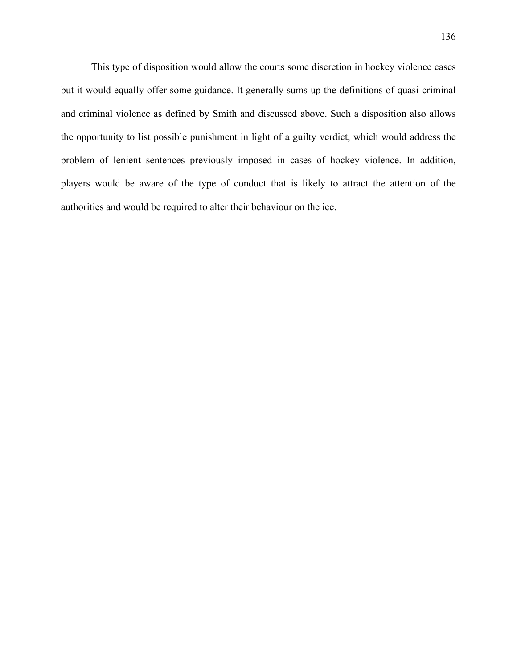This type of disposition would allow the courts some discretion in hockey violence cases but it would equally offer some guidance. It generally sums up the definitions of quasi-criminal and criminal violence as defined by Smith and discussed above. Such a disposition also allows the opportunity to list possible punishment in light of a guilty verdict, which would address the problem of lenient sentences previously imposed in cases of hockey violence. In addition, players would be aware of the type of conduct that is likely to attract the attention of the authorities and would be required to alter their behaviour on the ice.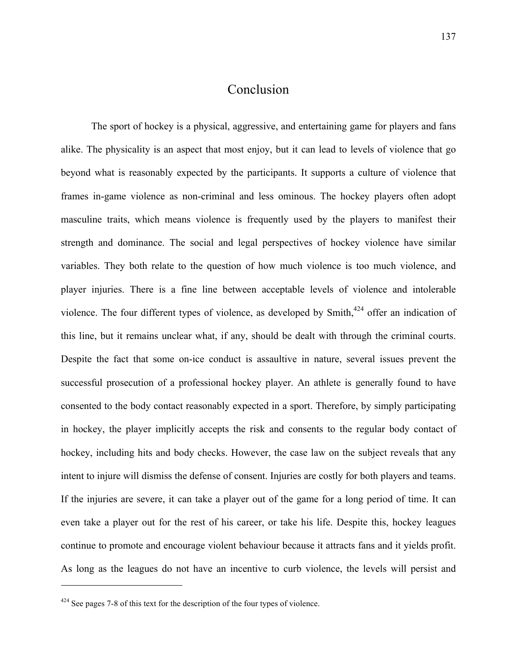## Conclusion

The sport of hockey is a physical, aggressive, and entertaining game for players and fans alike. The physicality is an aspect that most enjoy, but it can lead to levels of violence that go beyond what is reasonably expected by the participants. It supports a culture of violence that frames in-game violence as non-criminal and less ominous. The hockey players often adopt masculine traits, which means violence is frequently used by the players to manifest their strength and dominance. The social and legal perspectives of hockey violence have similar variables. They both relate to the question of how much violence is too much violence, and player injuries. There is a fine line between acceptable levels of violence and intolerable violence. The four different types of violence, as developed by Smith,<sup>424</sup> offer an indication of this line, but it remains unclear what, if any, should be dealt with through the criminal courts. Despite the fact that some on-ice conduct is assaultive in nature, several issues prevent the successful prosecution of a professional hockey player. An athlete is generally found to have consented to the body contact reasonably expected in a sport. Therefore, by simply participating in hockey, the player implicitly accepts the risk and consents to the regular body contact of hockey, including hits and body checks. However, the case law on the subject reveals that any intent to injure will dismiss the defense of consent. Injuries are costly for both players and teams. If the injuries are severe, it can take a player out of the game for a long period of time. It can even take a player out for the rest of his career, or take his life. Despite this, hockey leagues continue to promote and encourage violent behaviour because it attracts fans and it yields profit. As long as the leagues do not have an incentive to curb violence, the levels will persist and

 

 $424$  See pages 7-8 of this text for the description of the four types of violence.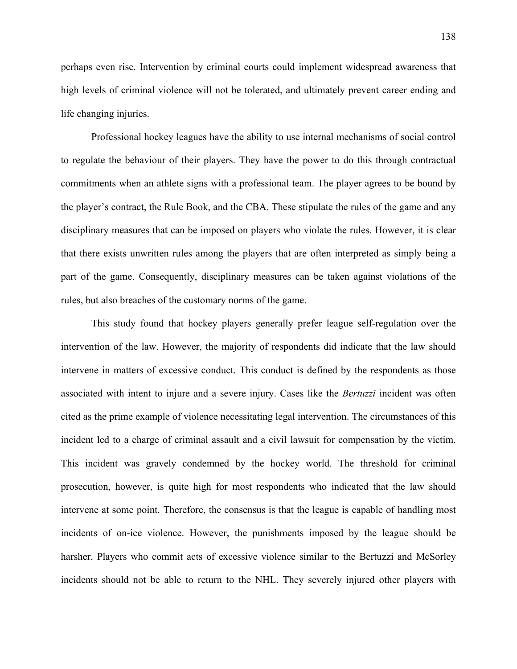perhaps even rise. Intervention by criminal courts could implement widespread awareness that high levels of criminal violence will not be tolerated, and ultimately prevent career ending and life changing injuries.

Professional hockey leagues have the ability to use internal mechanisms of social control to regulate the behaviour of their players. They have the power to do this through contractual commitments when an athlete signs with a professional team. The player agrees to be bound by the player's contract, the Rule Book, and the CBA. These stipulate the rules of the game and any disciplinary measures that can be imposed on players who violate the rules. However, it is clear that there exists unwritten rules among the players that are often interpreted as simply being a part of the game. Consequently, disciplinary measures can be taken against violations of the rules, but also breaches of the customary norms of the game.

This study found that hockey players generally prefer league self-regulation over the intervention of the law. However, the majority of respondents did indicate that the law should intervene in matters of excessive conduct. This conduct is defined by the respondents as those associated with intent to injure and a severe injury. Cases like the *Bertuzzi* incident was often cited as the prime example of violence necessitating legal intervention. The circumstances of this incident led to a charge of criminal assault and a civil lawsuit for compensation by the victim. This incident was gravely condemned by the hockey world. The threshold for criminal prosecution, however, is quite high for most respondents who indicated that the law should intervene at some point. Therefore, the consensus is that the league is capable of handling most incidents of on-ice violence. However, the punishments imposed by the league should be harsher. Players who commit acts of excessive violence similar to the Bertuzzi and McSorley incidents should not be able to return to the NHL. They severely injured other players with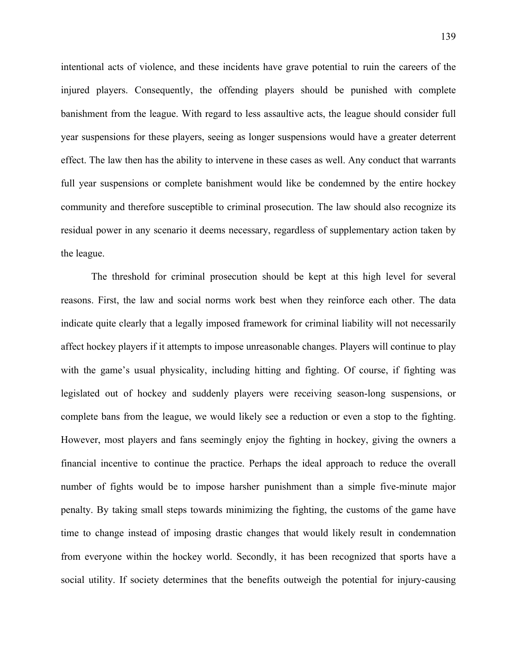intentional acts of violence, and these incidents have grave potential to ruin the careers of the injured players. Consequently, the offending players should be punished with complete banishment from the league. With regard to less assaultive acts, the league should consider full year suspensions for these players, seeing as longer suspensions would have a greater deterrent effect. The law then has the ability to intervene in these cases as well. Any conduct that warrants full year suspensions or complete banishment would like be condemned by the entire hockey community and therefore susceptible to criminal prosecution. The law should also recognize its residual power in any scenario it deems necessary, regardless of supplementary action taken by the league.

The threshold for criminal prosecution should be kept at this high level for several reasons. First, the law and social norms work best when they reinforce each other. The data indicate quite clearly that a legally imposed framework for criminal liability will not necessarily affect hockey players if it attempts to impose unreasonable changes. Players will continue to play with the game's usual physicality, including hitting and fighting. Of course, if fighting was legislated out of hockey and suddenly players were receiving season-long suspensions, or complete bans from the league, we would likely see a reduction or even a stop to the fighting. However, most players and fans seemingly enjoy the fighting in hockey, giving the owners a financial incentive to continue the practice. Perhaps the ideal approach to reduce the overall number of fights would be to impose harsher punishment than a simple five-minute major penalty. By taking small steps towards minimizing the fighting, the customs of the game have time to change instead of imposing drastic changes that would likely result in condemnation from everyone within the hockey world. Secondly, it has been recognized that sports have a social utility. If society determines that the benefits outweigh the potential for injury-causing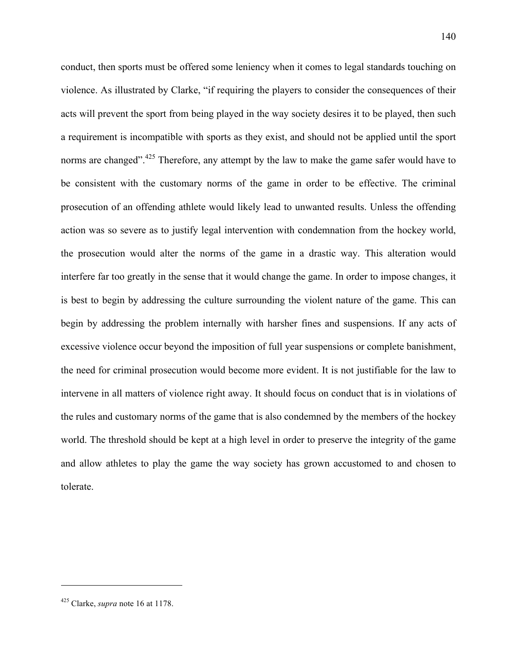conduct, then sports must be offered some leniency when it comes to legal standards touching on violence. As illustrated by Clarke, "if requiring the players to consider the consequences of their acts will prevent the sport from being played in the way society desires it to be played, then such a requirement is incompatible with sports as they exist, and should not be applied until the sport norms are changed".<sup>425</sup> Therefore, any attempt by the law to make the game safer would have to be consistent with the customary norms of the game in order to be effective. The criminal prosecution of an offending athlete would likely lead to unwanted results. Unless the offending action was so severe as to justify legal intervention with condemnation from the hockey world, the prosecution would alter the norms of the game in a drastic way. This alteration would interfere far too greatly in the sense that it would change the game. In order to impose changes, it is best to begin by addressing the culture surrounding the violent nature of the game. This can begin by addressing the problem internally with harsher fines and suspensions. If any acts of excessive violence occur beyond the imposition of full year suspensions or complete banishment, the need for criminal prosecution would become more evident. It is not justifiable for the law to intervene in all matters of violence right away. It should focus on conduct that is in violations of the rules and customary norms of the game that is also condemned by the members of the hockey world. The threshold should be kept at a high level in order to preserve the integrity of the game and allow athletes to play the game the way society has grown accustomed to and chosen to tolerate.

 

<sup>425</sup> Clarke, *supra* note 16 at 1178.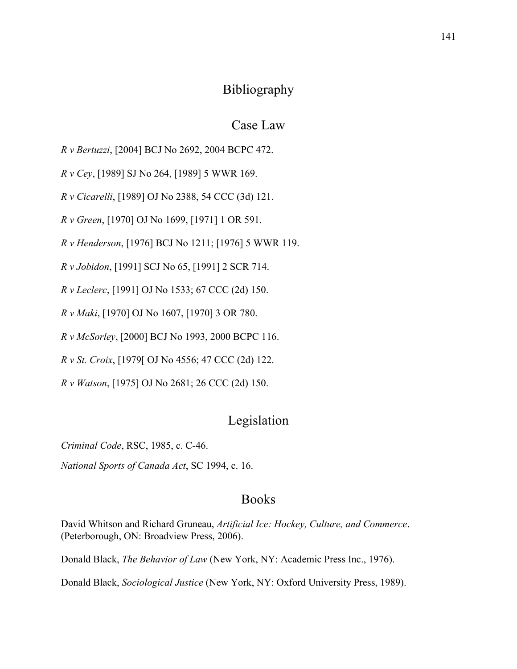## Bibliography

### Case Law

*R v Bertuzzi*, [2004] BCJ No 2692, 2004 BCPC 472.

*R v Cey*, [1989] SJ No 264, [1989] 5 WWR 169.

*R v Cicarelli*, [1989] OJ No 2388, 54 CCC (3d) 121.

*R v Green*, [1970] OJ No 1699, [1971] 1 OR 591.

*R v Henderson*, [1976] BCJ No 1211; [1976] 5 WWR 119.

*R v Jobidon*, [1991] SCJ No 65, [1991] 2 SCR 714.

*R v Leclerc*, [1991] OJ No 1533; 67 CCC (2d) 150.

*R v Maki*, [1970] OJ No 1607, [1970] 3 OR 780.

*R v McSorley*, [2000] BCJ No 1993, 2000 BCPC 116.

*R v St. Croix*, [1979[ OJ No 4556; 47 CCC (2d) 122.

*R v Watson*, [1975] OJ No 2681; 26 CCC (2d) 150.

## Legislation

*Criminal Code*, RSC, 1985, c. C-46.

*National Sports of Canada Act*, SC 1994, c. 16.

#### Books

David Whitson and Richard Gruneau, *Artificial Ice: Hockey, Culture, and Commerce*. (Peterborough, ON: Broadview Press, 2006).

Donald Black, *The Behavior of Law* (New York, NY: Academic Press Inc., 1976).

Donald Black, *Sociological Justice* (New York, NY: Oxford University Press, 1989).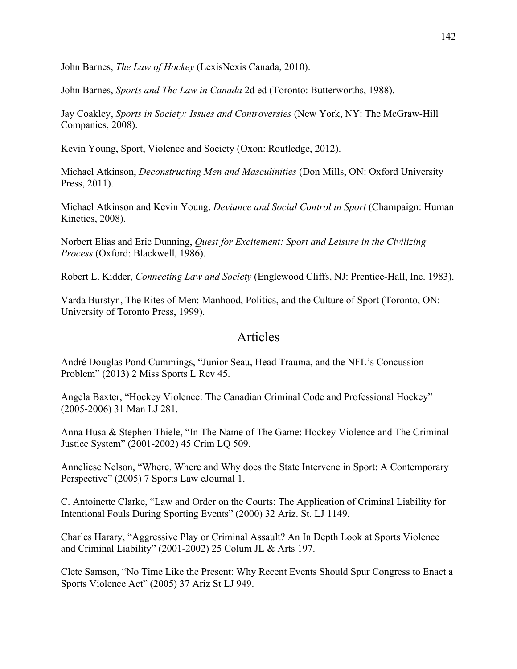John Barnes, *The Law of Hockey* (LexisNexis Canada, 2010).

John Barnes, *Sports and The Law in Canada* 2d ed (Toronto: Butterworths, 1988).

Jay Coakley, *Sports in Society: Issues and Controversies* (New York, NY: The McGraw-Hill Companies, 2008).

Kevin Young, Sport, Violence and Society (Oxon: Routledge, 2012).

Michael Atkinson, *Deconstructing Men and Masculinities* (Don Mills, ON: Oxford University Press, 2011).

Michael Atkinson and Kevin Young, *Deviance and Social Control in Sport* (Champaign: Human Kinetics, 2008).

Norbert Elias and Eric Dunning, *Quest for Excitement: Sport and Leisure in the Civilizing Process* (Oxford: Blackwell, 1986).

Robert L. Kidder, *Connecting Law and Society* (Englewood Cliffs, NJ: Prentice-Hall, Inc. 1983).

Varda Burstyn, The Rites of Men: Manhood, Politics, and the Culture of Sport (Toronto, ON: University of Toronto Press, 1999).

#### Articles

André Douglas Pond Cummings, "Junior Seau, Head Trauma, and the NFL's Concussion Problem" (2013) 2 Miss Sports L Rev 45.

Angela Baxter, "Hockey Violence: The Canadian Criminal Code and Professional Hockey" (2005-2006) 31 Man LJ 281.

Anna Husa & Stephen Thiele, "In The Name of The Game: Hockey Violence and The Criminal Justice System" (2001-2002) 45 Crim LQ 509.

Anneliese Nelson, "Where, Where and Why does the State Intervene in Sport: A Contemporary Perspective" (2005) 7 Sports Law eJournal 1.

C. Antoinette Clarke, "Law and Order on the Courts: The Application of Criminal Liability for Intentional Fouls During Sporting Events" (2000) 32 Ariz. St. LJ 1149.

Charles Harary, "Aggressive Play or Criminal Assault? An In Depth Look at Sports Violence and Criminal Liability" (2001-2002) 25 Colum JL & Arts 197.

Clete Samson, "No Time Like the Present: Why Recent Events Should Spur Congress to Enact a Sports Violence Act" (2005) 37 Ariz St LJ 949.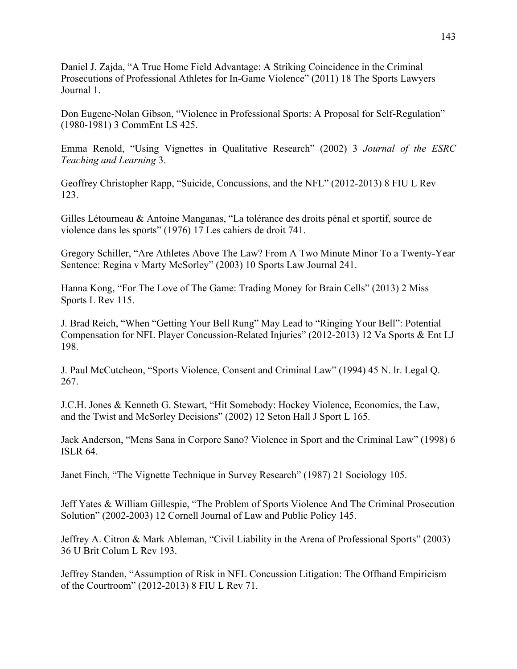Daniel J. Zajda, "A True Home Field Advantage: A Striking Coincidence in the Criminal Prosecutions of Professional Athletes for In-Game Violence" (2011) 18 The Sports Lawyers Journal 1.

Don Eugene-Nolan Gibson, "Violence in Professional Sports: A Proposal for Self-Regulation" (1980-1981) 3 CommEnt LS 425.

Emma Renold, "Using Vignettes in Qualitative Research" (2002) 3 *Journal of the ESRC Teaching and Learning* 3.

Geoffrey Christopher Rapp, "Suicide, Concussions, and the NFL" (2012-2013) 8 FIU L Rev 123.

Gilles Létourneau & Antoine Manganas, "La tolérance des droits pénal et sportif, source de violence dans les sports" (1976) 17 Les cahiers de droit 741.

Gregory Schiller, "Are Athletes Above The Law? From A Two Minute Minor To a Twenty-Year Sentence: Regina v Marty McSorley" (2003) 10 Sports Law Journal 241.

Hanna Kong, "For The Love of The Game: Trading Money for Brain Cells" (2013) 2 Miss Sports L Rev 115.

J. Brad Reich, "When "Getting Your Bell Rung" May Lead to "Ringing Your Bell": Potential Compensation for NFL Player Concussion-Related Injuries" (2012-2013) 12 Va Sports & Ent LJ 198.

J. Paul McCutcheon, "Sports Violence, Consent and Criminal Law" (1994) 45 N. lr. Legal Q. 267.

J.C.H. Jones & Kenneth G. Stewart, "Hit Somebody: Hockey Violence, Economics, the Law, and the Twist and McSorley Decisions" (2002) 12 Seton Hall J Sport L 165.

Jack Anderson, "Mens Sana in Corpore Sano? Violence in Sport and the Criminal Law" (1998) 6 ISLR 64.

Janet Finch, "The Vignette Technique in Survey Research" (1987) 21 Sociology 105.

Jeff Yates & William Gillespie, "The Problem of Sports Violence And The Criminal Prosecution Solution" (2002-2003) 12 Cornell Journal of Law and Public Policy 145.

Jeffrey A. Citron & Mark Ableman, "Civil Liability in the Arena of Professional Sports" (2003) 36 U Brit Colum L Rev 193.

Jeffrey Standen, "Assumption of Risk in NFL Concussion Litigation: The Offhand Empiricism of the Courtroom" (2012-2013) 8 FIU L Rev 71.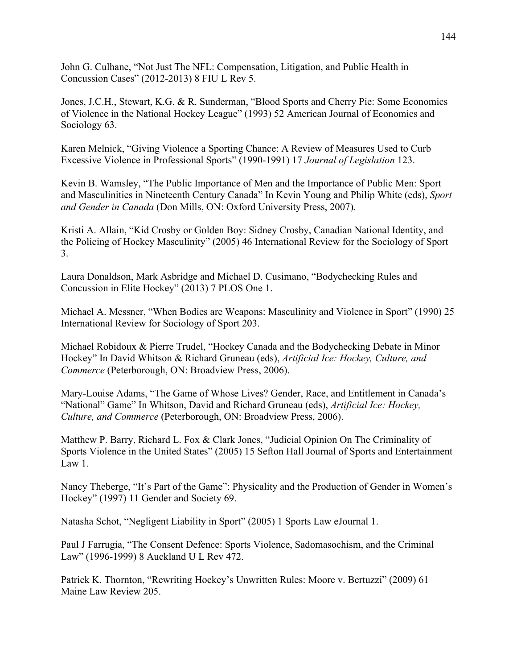John G. Culhane, "Not Just The NFL: Compensation, Litigation, and Public Health in Concussion Cases" (2012-2013) 8 FIU L Rev 5.

Jones, J.C.H., Stewart, K.G. & R. Sunderman, "Blood Sports and Cherry Pie: Some Economics of Violence in the National Hockey League" (1993) 52 American Journal of Economics and Sociology 63.

Karen Melnick, "Giving Violence a Sporting Chance: A Review of Measures Used to Curb Excessive Violence in Professional Sports" (1990-1991) 17 *Journal of Legislation* 123.

Kevin B. Wamsley, "The Public Importance of Men and the Importance of Public Men: Sport and Masculinities in Nineteenth Century Canada" In Kevin Young and Philip White (eds), *Sport and Gender in Canada* (Don Mills, ON: Oxford University Press, 2007).

Kristi A. Allain, "Kid Crosby or Golden Boy: Sidney Crosby, Canadian National Identity, and the Policing of Hockey Masculinity" (2005) 46 International Review for the Sociology of Sport 3.

Laura Donaldson, Mark Asbridge and Michael D. Cusimano, "Bodychecking Rules and Concussion in Elite Hockey" (2013) 7 PLOS One 1.

Michael A. Messner, "When Bodies are Weapons: Masculinity and Violence in Sport" (1990) 25 International Review for Sociology of Sport 203.

Michael Robidoux & Pierre Trudel, "Hockey Canada and the Bodychecking Debate in Minor Hockey" In David Whitson & Richard Gruneau (eds), *Artificial Ice: Hockey, Culture, and Commerce* (Peterborough, ON: Broadview Press, 2006).

Mary-Louise Adams, "The Game of Whose Lives? Gender, Race, and Entitlement in Canada's "National" Game" In Whitson, David and Richard Gruneau (eds), *Artificial Ice: Hockey, Culture, and Commerce* (Peterborough, ON: Broadview Press, 2006).

Matthew P. Barry, Richard L. Fox & Clark Jones, "Judicial Opinion On The Criminality of Sports Violence in the United States" (2005) 15 Sefton Hall Journal of Sports and Entertainment Law 1.

Nancy Theberge, "It's Part of the Game": Physicality and the Production of Gender in Women's Hockey" (1997) 11 Gender and Society 69.

Natasha Schot, "Negligent Liability in Sport" (2005) 1 Sports Law eJournal 1.

Paul J Farrugia, "The Consent Defence: Sports Violence, Sadomasochism, and the Criminal Law" (1996-1999) 8 Auckland U L Rev 472.

Patrick K. Thornton, "Rewriting Hockey's Unwritten Rules: Moore v. Bertuzzi" (2009) 61 Maine Law Review 205.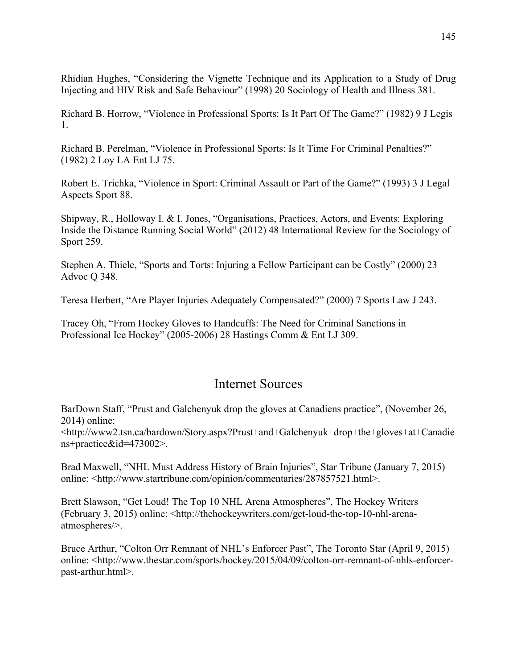Rhidian Hughes, "Considering the Vignette Technique and its Application to a Study of Drug Injecting and HIV Risk and Safe Behaviour" (1998) 20 Sociology of Health and Illness 381.

Richard B. Horrow, "Violence in Professional Sports: Is It Part Of The Game?" (1982) 9 J Legis 1.

Richard B. Perelman, "Violence in Professional Sports: Is It Time For Criminal Penalties?" (1982) 2 Loy LA Ent LJ 75.

Robert E. Trichka, "Violence in Sport: Criminal Assault or Part of the Game?" (1993) 3 J Legal Aspects Sport 88.

Shipway, R., Holloway I. & I. Jones, "Organisations, Practices, Actors, and Events: Exploring Inside the Distance Running Social World" (2012) 48 International Review for the Sociology of Sport 259.

Stephen A. Thiele, "Sports and Torts: Injuring a Fellow Participant can be Costly" (2000) 23 Advoc Q 348.

Teresa Herbert, "Are Player Injuries Adequately Compensated?" (2000) 7 Sports Law J 243.

Tracey Oh, "From Hockey Gloves to Handcuffs: The Need for Criminal Sanctions in Professional Ice Hockey" (2005-2006) 28 Hastings Comm & Ent LJ 309.

# Internet Sources

BarDown Staff, "Prust and Galchenyuk drop the gloves at Canadiens practice", (November 26, 2014) online:

<http://www2.tsn.ca/bardown/Story.aspx?Prust+and+Galchenyuk+drop+the+gloves+at+Canadie ns+practice&id=473002>.

Brad Maxwell, "NHL Must Address History of Brain Injuries", Star Tribune (January 7, 2015) online: <http://www.startribune.com/opinion/commentaries/287857521.html>.

Brett Slawson, "Get Loud! The Top 10 NHL Arena Atmospheres", The Hockey Writers (February 3, 2015) online: <http://thehockeywriters.com/get-loud-the-top-10-nhl-arenaatmospheres/>.

Bruce Arthur, "Colton Orr Remnant of NHL's Enforcer Past", The Toronto Star (April 9, 2015) online: <http://www.thestar.com/sports/hockey/2015/04/09/colton-orr-remnant-of-nhls-enforcerpast-arthur.html>.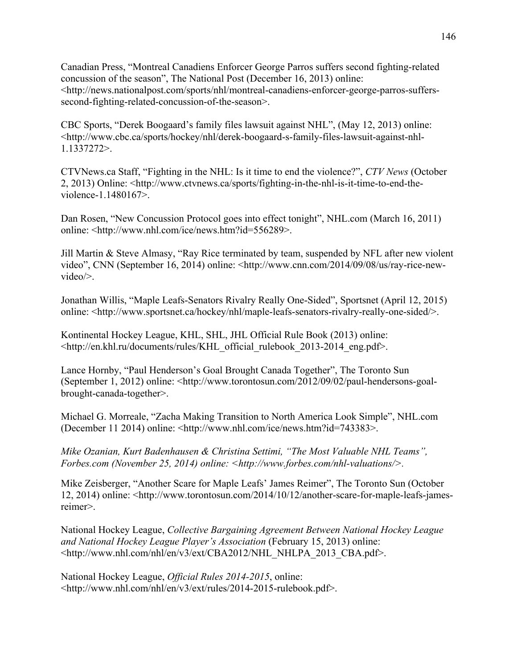Canadian Press, "Montreal Canadiens Enforcer George Parros suffers second fighting-related concussion of the season", The National Post (December 16, 2013) online: <http://news.nationalpost.com/sports/nhl/montreal-canadiens-enforcer-george-parros-sufferssecond-fighting-related-concussion-of-the-season>.

CBC Sports, "Derek Boogaard's family files lawsuit against NHL", (May 12, 2013) online: <http://www.cbc.ca/sports/hockey/nhl/derek-boogaard-s-family-files-lawsuit-against-nhl-1.1337272>.

CTVNews.ca Staff, "Fighting in the NHL: Is it time to end the violence?", *CTV News* (October 2, 2013) Online: <http://www.ctvnews.ca/sports/fighting-in-the-nhl-is-it-time-to-end-theviolence-1.1480167>.

Dan Rosen, "New Concussion Protocol goes into effect tonight", NHL.com (March 16, 2011) online: <http://www.nhl.com/ice/news.htm?id=556289>.

Jill Martin & Steve Almasy, "Ray Rice terminated by team, suspended by NFL after new violent video", CNN (September 16, 2014) online: <http://www.cnn.com/2014/09/08/us/ray-rice-newvideo/>.

Jonathan Willis, "Maple Leafs-Senators Rivalry Really One-Sided", Sportsnet (April 12, 2015) online: <http://www.sportsnet.ca/hockey/nhl/maple-leafs-senators-rivalry-really-one-sided/>.

Kontinental Hockey League, KHL, SHL, JHL Official Rule Book (2013) online: <http://en.khl.ru/documents/rules/KHL\_official\_rulebook\_2013-2014\_eng.pdf>.

Lance Hornby, "Paul Henderson's Goal Brought Canada Together", The Toronto Sun (September 1, 2012) online: <http://www.torontosun.com/2012/09/02/paul-hendersons-goalbrought-canada-together>.

Michael G. Morreale, "Zacha Making Transition to North America Look Simple", NHL.com (December 11 2014) online: <http://www.nhl.com/ice/news.htm?id=743383>.

*Mike Ozanian, Kurt Badenhausen & Christina Settimi, "The Most Valuable NHL Teams", Forbes.com (November 25, 2014) online: <http://www.forbes.com/nhl-valuations/>.*

Mike Zeisberger, "Another Scare for Maple Leafs' James Reimer", The Toronto Sun (October 12, 2014) online: <http://www.torontosun.com/2014/10/12/another-scare-for-maple-leafs-jamesreimer>.

National Hockey League, *Collective Bargaining Agreement Between National Hockey League and National Hockey League Player's Association* (February 15, 2013) online: <http://www.nhl.com/nhl/en/v3/ext/CBA2012/NHL\_NHLPA\_2013\_CBA.pdf>.

National Hockey League, *Official Rules 2014-2015*, online: <http://www.nhl.com/nhl/en/v3/ext/rules/2014-2015-rulebook.pdf>.